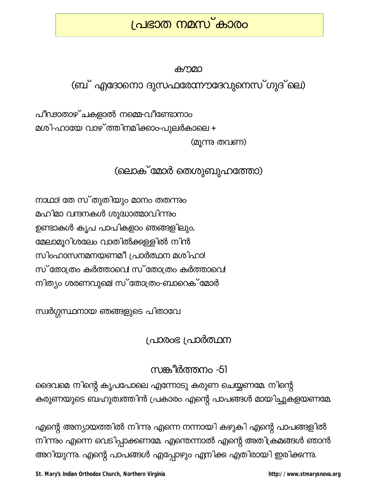# <u>പ്രഭാത നമസ് കാരം</u>

#### കനമാ

(ബ് എദോനൊ ദുസഫരേന്നൗദേവുനെസ്ഗുദ്ലെ)

പീഢാതാഴ്ചകളാൽ നമ്മെ-വീണ്ടോനാം മശി-ഹായേ വാഴ് ത്തിനമിക്കാം-പുലർകാലെ + (മൂന്നു തവണ)

## (ലൊക് മോർ തെശുബുഹത്തോ)

നാഥാ! തേ സ്തുതിയും മാനം തതന്നും മഹിമാ വന്ദനകൾ ശുദ്ധാത്മാവിന്നും ഉണ്ടാകൾ കൃപ പാപികളാം ഞങ്ങളിലും, മേലാമൂറിശലേം വാതിൽക്കുള്ളിൽ നിൻ സിംഹാസനമനയണമീ പ്രാർത്ഥന മശിഹാ! സ് തോത്രം കർത്താവെ! സ് തോത്രം കർത്താവെ! നിത്യം ശരണവുമെ! സ് തോത്രം-ബാറെക് മോർ

സ്വർഗ്ഗസ്ഥനായ ഞങ്ങളുടെ പിതാവേ

## പ്രാരംഭ പ്രാർത്ഥന

## സങ്കീർത്തനം -51

ദൈവമെ നിന്റെ കൃപപോലെ എന്നോടു കരുണ ചെയ്യണമേ. നിന്റെ കരുണയുടെ ബഹുത്വത്തിൻ പ്രകാരം എന്റെ പാപങ്ങൾ മായിച്ചുകളയണമേ

എന്റെ അന്യായത്തിൽ നിന്നു എന്നെ നന്നായി കഴുകി എന്റെ പാപങ്ങളിൽ നിന്നും എന്നെ വെടിപ്പാക്കണമേ. എന്തെന്നാൽ എന്റെ അതിക്രമങ്ങൾ ഞാൻ അറിയുന്നു. എന്റെ പാപങ്ങൾ എപ്പോഴും എനിക്ക എതിരായി ഇരിക്കന്നു.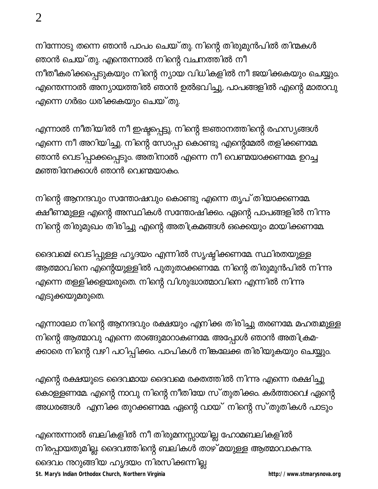നിന്നോടു തന്നെ ഞാൻ പാപം ചെയ്തു. നിന്റെ തിരുമുൻപിൽ തിന്മകൾ ഞാൻ ചെയ്തു. എന്തെന്നാൽ നിന്റെ വചനത്തിൽ നീ നീതീകരിക്കപ്പെടുകയും നിന്റെ ന്യായ വിധികളിൽ നീ ജയിക്കുകയും ചെയ്യും. എന്തെന്നാൽ അന്യായത്തിൽ ഞാൻ ഉൽഭവിച്ചു, പാപങ്ങളിൽ എന്റെ മാതാവു എന്നെ ഗർഭം ധരിക്കുകയും ചെയ്തു.

എന്നാൽ നീതിയിൽ നീ ഇഷ്ടപ്പെട്ടു. നിന്റെ ജ്ഞാനത്തിന്റെ രഹസ്യങ്ങൾ എന്നെ നീ അറിയിച്ചു. നിന്റെ സോപ്പാ കൊണ്ടു എന്റെമേൽ തളിക്കണമേ. ഞാൻ വെടിപ്പാക്കപ്പെടും. അതിനാൽ എന്നെ നീ വെണ്മയാക്കണമേ. ഉറച്ച മഞ്ഞിനേക്കാൾ ഞാൻ വെണ്മയാകം.

നിന്റെ ആനന്ദവും സന്തോഷവും കൊണ്ടു എന്നെ തൃപ് തിയാക്കണമേ. ക്ഷീണമുള്ള എന്റെ അസ്ഥികൾ സന്തോഷിക്കം. ഏന്റെ പാപങ്ങളിൽ നിന്നു നിന്റെ തിരുമുഖം തിരിച്ചു എന്റെ അതിക്രമങ്ങൾ ഒക്കെയും മായിക്കണമേ.

ദൈവമെ! വെടിപ്പുള്ള ഹൃദയം എന്നിൽ സൃഷ്ടിക്കണമേ. സ്ഥിരതയുള്ള ആത്മാവിനെ എന്റെയുള്ളിൽ പുതുതാക്കണമേ. നിന്റെ തിരുമുൻപിൽ നിന്നു എന്നെ തള്ളിക്കളയരുതെ. നിന്റെ വിശുദ്ധാത്മാവിനെ എന്നിൽ നിന്നു എടുക്കയുമരുതെ.

എന്നാലോ നിന്റെ ആനന്ദവും രക്ഷയും എനിക്ക തിരിച്ചു തരണമേ മഹതമ്മുള്ള നിന്റെ ആത്മാവു എന്നെ താങ്ങുമാറാകണമേ അപ്പോൾ ഞാൻ അതിക്രമ-ക്കാരെ നിന്റെ വഴി പഠിപ്പിക്കം. പാപികൾ നിങ്കലേക്കു തിരിയുകയും ചെയ്യും.

എന്റെ രക്ഷയുടെ ദൈവമായ ദൈവമെ രക്തത്തിൽ നിന്നു എന്നെ രക്ഷിച്ചു കൊള്ളണമേ. എന്റെ നാവു നിന്റെ നീതിയേ സ്തുതിക്കം. കർത്താവെ! ഏന്റെ അധരങ്ങൾ എനിക്ക തുറക്കണമേ. ഏന്റെ വായ് നിന്റെ സ്തുതികൾ പാടും

എന്തെന്നാൽ ബലികളിൽ നീ തിരുമനസ്സായില്ല ഹോമബലികളിൽ നിരപ്പായതുമില്ല. ദൈവത്തിന്റെ ബലികൾ താഴ് മയുള്ള ആത്മാവാകന്നു. ദൈവം നുറുങ്ങിയ ഹൃദയം നിരസിക്കന്നില്ല St. Mary's Indian Orthodox Church, Northern Virginia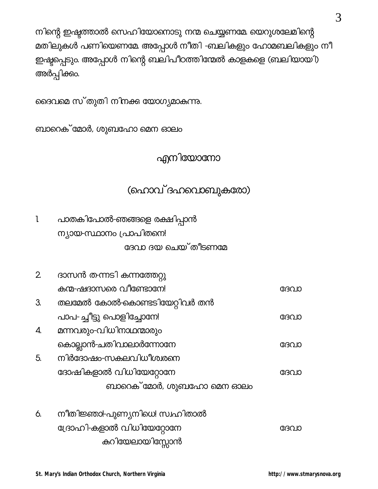|  |  | ദൈവമെ സ്തുതി നിനക്ക യോഗ്യമാകന്നു. |
|--|--|-----------------------------------|
|  |  |                                   |

ബാറെക് മോർ, ശുബഹോ മെന ഓലം

എനിയോനോ

## (ഹൊവ് ദഹവൊബുകരോ)

| പാതകിപോൽ-ഞങ്ങളെ രക്ഷിപ്പാൻ |
|----------------------------|
| ന്യായ-സ്ഥാനം പ്രാപിതനെ!    |
| ദേവാ ദയ ചെയ്തീടണമേ         |

| $\mathbf{2}$ | ദാസൻ ത-ന്നടി കന്നത്തേറ്റു     |      |
|--------------|-------------------------------|------|
|              | കന്മ-ഷദാസരെ വീണ്ടോനേ!         | ദേവാ |
| З.           | തലമേൽ കോൽ-കൊണ്ടടിയേറ്റിവർ തൻ  |      |
|              | പാപ-ച്ചീട്ടു പൊളിച്ചോനേ!      | ദേവാ |
| 4.           | മന്നവരും-വിധിനാഥന്മാരും       |      |
|              | കൊല്ലാൻ-ചതിവാലാർന്നോനേ        | ദേവാ |
| 5.           | നിർദോഷം-സകലവിധീശ്വരനെ         |      |
|              | ദോഷികളാൽ വിധിയേറ്റോനേ         | ദേവാ |
|              | ബാറെക് മോർ, ശുബഹോ മെന ഓലം     |      |
|              |                               |      |
| 6.           | നീതിജ്ഞാ!-പുണ്യനിധെ! സ്വഹിതാൽ |      |
|              | ദ്രോഹി-കളാൽ വിധിയേറ്റോനേ      | ദേവാ |
|              | കുറിയേലായിസ്പോൻ               |      |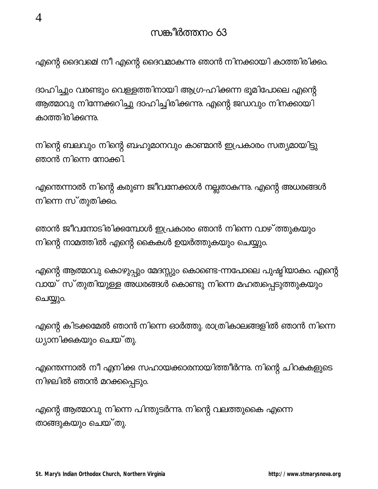എന്റെ ദൈവമെ! നീ എന്റെ ദൈവമാകുന്നു ഞാൻ നിനക്കായി കാത്തിരിക്കും.

ദാഹിച്ചും വരണ്ടും വെള്ളത്തിനായി ആഗ്ര-ഹിക്കന്ന ഭൂമിപോലെ എന്റെ ആത്മാവു നിന്നേക്കറിച്ചു ദാഹിച്ചിരിക്കന്നു. എന്റെ ജഡവും നിനക്കായി കാത്തിരിക്കുന്നു.

നിന്റെ ബലവും നിന്റെ ബഹുമാനവും കാണ്മാൻ ഇപ്രകാരം സത്യമായിട്ടു ഞാൻ നിന്നെ നോക്കി.

എന്തെന്നാൽ നിന്റെ കരുണ ജീവനേക്കാൾ നല്ലതാകന്നു. എന്റെ അധരങ്ങൾ നിന്നെ സ്തുതിക്കം.

ഞാൻ ജീവനോടിരിക്കമ്പോൾ ഇപ്രകാരം ഞാൻ നിന്നെ വാഴ് ത്തുകയും നിന്റെ നാമത്തിൽ എന്റെ കൈകൾ ഉയർത്തുകയും ചെയ്യും.

എന്റെ ആത്മാവു കൊഴുപ്പും മേദസ്സും കൊണ്ടെ-ന്നപോലെ പുഷ്ടിയാകം. എന്റെ വായ് സ്തുതിയുള്ള അധരങ്ങൾ കൊണ്ടു നിന്നെ മഹത്വപ്പെടുത്തുകയും ചെയ്യും.

എന്റെ കിടക്കമേൽ ഞാൻ നിന്നെ ഓർത്തു. രാത്രികാലങ്ങളിൽ ഞാൻ നിന്നെ ധ്യാനിക്കുകയും ചെയ്തു.

എന്തെന്നാൽ നീ എനിക്ക സഹായക്കാരനായിത്തീർന്നു. നിന്റെ ചിറകകളുടെ നിഴലിൽ ഞാൻ മറക്കപ്പെടും.

എന്റെ ആത്മാവു നിന്നെ പിന്തുടർന്നു. നിന്റെ വലത്തുകൈ എന്നെ താങ്ങുകയും ചെയ്തു.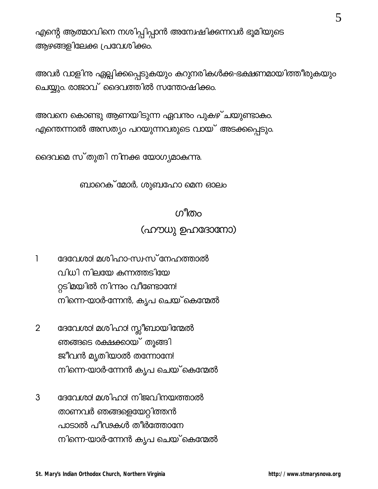എന്റെ ആത്മാവിനെ നശിപ്പിപ്പാൻ അന്വേഷിക്കന്നവർ ഭൂമിയുടെ ആഴങ്ങളിലേക്ക പ്രവേശിക്കം.

അവർ വാളിന ഏല്പിക്കപ്പെടുകയും കറുനരികൾക്ക-ഭക്ഷണമായിത്തീരുകയും ചെയ്യും. രാജാവ് ദൈവത്തിൽ സന്തോഷിക്കം.

അവനെ കൊണ്ടു ആണയിടുന്ന ഏവന്തം പുകഴ്ചയുണ്ടാകം. എന്തെന്നാൽ അസത്യം പറയുന്നവരുടെ വായ് അടക്കപ്പെടും.

ദൈവമെ സ്തുതി നിനക്ക യോഗ്യമാകുന്നു.

#### ബാറെക് മോർ, ശുബഹോ മെന ഓലം

# ഗീതം (ഹൗധു ഉഹദോനോ)

- ദേവേശാ! മശിഹാ-സ⊦സ് നേഹത്താൽ  $\mathbf{I}$ വിധി നിലയേ കന്നത്തടിയേ റ്റടിമയിൽ നിന്നും വീണ്ടോനേ! നിന്നെ-യാർ-ന്നേൻ, കൃപ ചെയ് കെന്മേൽ
- ദേവേശാ! മശിഹാ! സ്ലീബായിന്മേൽ  $\overline{2}$ ഞങ്ങടെ രക്ഷക്കായ് തൂങ്ങി ജീവൻ മൃതിയാൽ തന്നോനേ! നിന്നെ-യാർ-ന്നേൻ കൃപ ചെയ് കെന്മേൽ
- ദേവേശാ! മശിഹാ! നിജവിനയത്താൽ 3 താണവർ ഞങ്ങളെയേറ്റിത്തൻ പാടാൽ പീഢകൾ തീർത്തോനേ നിന്നെ-യാർ-ന്നേൻ കൃപ ചെയ്<sup>-</sup>കെന്മേൽ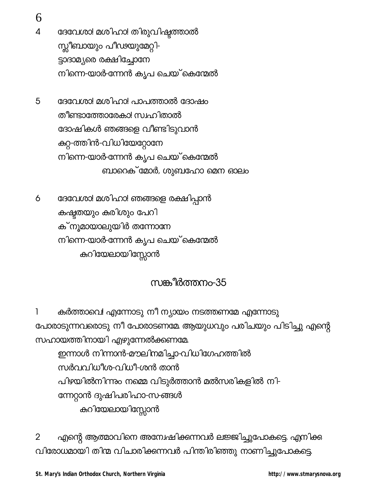6

- 4 ദേവേശാ! മശിഹാ! തിരുവിഷ്ടത്താൽ സ്സീബായും പീഢയുമേറ്റി-ട്ടാദാമ്യരെ രക്ഷിച്ചോനേ നിന്നെ-യാർ-ന്നേൻ കൃപ ചെയ് കെന്മേൽ
- 5 ദേവേശാ! മശിഹാ! പാപത്താൽ ദോഷം തീണ്ടാത്തോരേകാ! സ്വഹിതാൽ ദോഷികൾ ഞങ്ങളെ വീണ്ടിടുവാൻ ക്കറ്റ-ത്തിൻ-വിധിയേറ്റോനേ നിന്നെ-യാർ-ന്നേൻ കൃപ ചെയ് കെന്മേൽ ബാറെക് മോർ, ശുബഹോ മെന ഓലം
- ദേവേശാ! മശിഹാ! ഞങ്ങളെ രക്ഷിപ്പാൻ 6 കഷ്ടതയും കരിശും പേറി ക് നൂമായാലുയിർ തന്നോനേ നിന്നെ-യാർ-ന്നേൻ കൃപ ചെയ് കെന്മേൽ കുറിയേലായിസ്സോൻ

## സങ്കീർത്തനം-35

കർത്താവെ! എന്നോടു നീ ന്യായം നടത്തണമേ എന്നോടു 1 പോരാടുന്നവരൊടു നീ പോരാടണമേ ആയുധവും പരിചയും പിടിച്ചു എന്റെ സഹായത്തിനായി എഴുന്നേൽക്കണമേ. ഇന്നാൾ നിന്നാൻ-മൗലിനമിച്ചാ-വിധിഗേഹത്തിൽ സർവവിധീശ-വിധീ-ശൻ താൻ പിഴയിൽനിന്നും നമ്മെ വിടുർത്താൻ മൽസരികളിൽ നി-ന്നേറ്റാൻ ദുഷിപരിഹാ-സ-ങ്ങൾ കുറിയേലായിസ്സോൻ

എന്റെ ആത്മാവിനെ അന്വേഷിക്കന്നവർ ലജ്ജിച്ചുപോകട്ടെ. എനിക്ക  $\overline{2}$ വിരോധമായി തിന്മ വിചാരിക്കന്നവർ പിന്തിരിഞ്ഞു നാണിച്ചുപോകട്ടെ.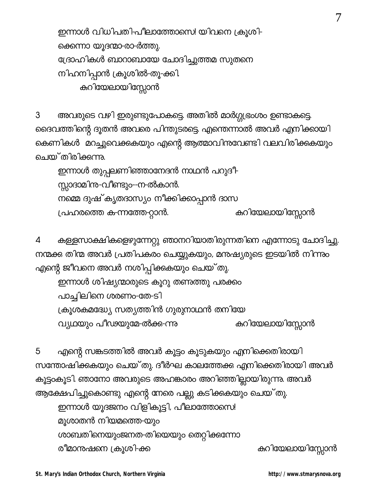ഇന്നാൾ വിധിപതി-പീലാത്തോസെ! യിവനെ ക്രൂശി-ക്കെന്നാ യൂദന്മാ-രാ-ർത്തു. ദ്രോഹികൾ ബാറാബായേ ചോദിച്ചുത്തമ സുതനെ നിഹനിപ്പാൻ ക്രൂശിൽ-തൂ-ക്കി. കുറിയേലായിസ്സോൻ

അവരുടെ വഴി ഇരുണ്ടുപോകട്ടെ. അതിൽ മാർഗ്ഗ്യഭംശം ഉണ്ടാകട്ടെ. 3 ദൈവത്തിന്റെ ദൂതൻ അവരെ പിന്തുടരട്ടെ. എന്തെന്നാൽ അവർ എനിക്കായി കെണികൾ മറച്ചുവെക്കുകയും എന്റെ ആത്മാവിനുവേണ്ടി വലവിരിക്കുകയും ചെയ്തിരിക്കന്നു.

ഇന്നാൾ തുപ്പലണിഞ്ഞാനേദൻ നാഥൻ പറുദീ-സ്സാദാമിനം-വീണ്ടും--ന-ൽകാൻ. നമ്മെ ദുഷ്കൃതദാസ്യം നീക്കിക്കാപ്പാൻ ദാസ കുറിയേലായിസ്സോൻ പ്രഹരത്തെ ക-ന്നത്തേ-റ്റാൻ.

കള്ളസാക്ഷികളെഴുന്നേറ്റു ഞാനറിയാതിരുന്നതിനെ എന്നോടു ചോദിച്ചു. 4 നന്മക്കു തിന്മ അവർ പ്രതിപകരം ചെയ്യുകയും, മനുഷ്യരുടെ ഇടയിൽ നിന്നും എന്റെ ജീവനെ അവർ നശിപ്പിക്കുകയു<mark>ം</mark> ചെയ്തു.

ഇന്നാൾ ശിഷ്യന്മാരുടെ കൂറു തണത്തു പരക്കം പാച്ചിലിനെ ശരണം-തേ-ടി

ക്രൂശകമദ്ധ്യേ സത്യത്തിൻ ഗുരുനാഥൻ തനിയേ

കുറിയേലായിസ്സോൻ വ്യഥയും പീഢയുമേ-ൽക്ക-ന്നു

എന്റെ സങ്കടത്തിൽ അവർ കൂട്ടം കൂടുകയും എനിക്കെതിരായി 5 സന്തോഷിക്കുകയും ചെയ്തു. ദീർഘ കാലത്തേക്ക എനിക്കെതിരായി അവർ കൂട്ടംകൂടി. ഞാനോ അവരുടെ അഹങ്കാരം അറിഞ്ഞില്ലായിരുന്നു. അവർ ആക്ഷേപിച്ചുകൊണ്ടു എന്റെ നേരെ പല്ലു കടിക്കുകയു<mark>ം</mark> ചെയ്തു. ഇന്നാൾ യൂദജനം വിളികൂട്ടി, പീലാത്തോസെ! മൂശാതൻ നിയമത്തെ-യും ശാബതിനെയുംജനത-തിയെയും തെറ്റിക്കന്നോ രീമാനുഷനെ ക്രൂശി-ക്ക

കുറിയേലായിസ്സോൻ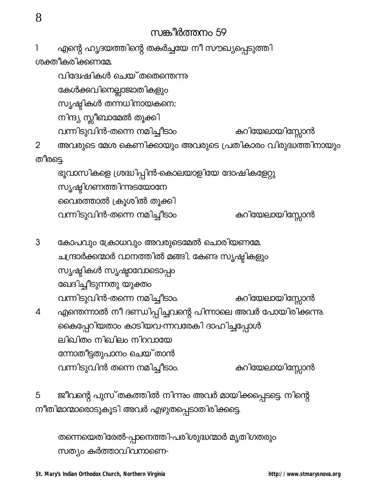## സങ്കീർത്തനം 59

എന്റെ ഹൃദയത്തിന്റെ തകർച്ചയേ നീ സൗഖ്യപ്പെടുത്തി 1 ശക്തീകരിക്കണമേ

വിദേഷികൾ ചെയ്തതെന്തെന്നു കേൾക്കവിനെല്ലാജാതികളും സൃഷ്ടികൾ തന്നധിനായകനെ; നിന്ദ്യ സ്സീബാമേൽ തൂക്കി വന്നിടുവിൻ-തന്നെ നമിച്ചീടാം കുറിയേലായിസ്സോൻ

അവരുടെ മേശ കെണിക്കായും അവരുടെ പ്രതികാരം വിരുദ്ധത്തിനായും  $\overline{2}$ തീരട്ടെ.

ഭൂവാസികളെ ശ്രദ്ധിപ്പിൻ-കൊലയാളിയേ ദോഷികളേറ്റു സൃഷ്ടിഗണത്തിന്നുടയോനേ വൈരത്താൽ ക്രൂശിൽ തൂക്കി കുറിയേലായിസ്സോൻ വന്നിടുവിൻ-തന്നെ നമിച്ചീടാം

കോപവും ക്രോധവും അവരുടെമേൽ ചൊരിയണമേ 3 ചന്ദ്രാർക്കന്മാർ വാനത്തിൽ മങ്ങി, കേണ സൃഷ്ടികളും സൃഷ്ടികൾ സൃഷ്ടാവോടൊപ്പം ഖേദിച്ചീടുന്നതു യുക്തം കുറിയേലായിസ്സോൻ വന്നിടുവിൻ-തന്നെ നമിച്ചീടാം. എന്തെന്നാൽ നീ ദണ്ഡിപ്പിച്ചവന്റെ പിന്നാലെ അവർ പോയിരിക്കന്നു. 4 കൈപ്പേറിയതാം കാടിയവ-ന്നവരേകി ദാഹിച്ചപ്പോൾ ലിഖിതം നിഖിലം നിറവായേ ന്നോതീട്ടതുപാനം ചെയ്താൻ

കുറിയേലായിസ്സോൻ വന്നിടുവിൻ തന്നെ നമിച്ചീടാം.

ജീവന്റെ പുസ്തകത്തിൽ നിന്നും അവർ മായിക്കപ്പെടട്ടെ. നിന്റെ 5 നീതിമാന്മാരൊടുകൂടി അവർ എഴുതപ്പെടാതിരിക്കട്ടെ.

തന്നെയെതിരേൽ-പ്പാനെത്തി-പരിശുദ്ധന്മാർ മൃതിഗതരും സത്യം കർത്താവിവനാണെ-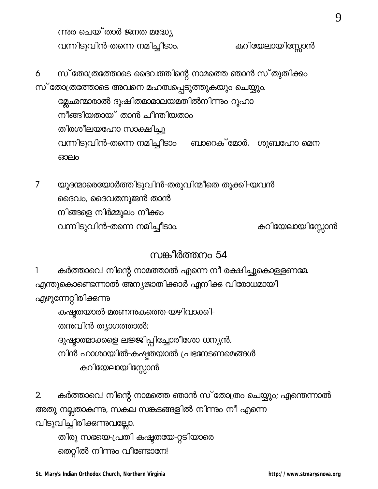ന്നുര ചെയ്താർ ജനത മദ്ധ്യേ വന്നിടുവിൻ-തന്നെ നമിച്ചീടാം.

കുറിയേലായിസ്സോൻ

സ് തോത്രത്തോടെ ദൈവത്തിന്റെ നാമത്തെ ഞാൻ സ്തുതിക്കം 6 സ് തോത്രത്തോടെ അവനെ മഹത്വപ്പെടുത്തുകയും ചെയ്യും. മ്ലേഛന്മാരാൽ ദൂഷിതമാമാലയമതിൽനിന്നും റൂഹാ നീങ്ങിയതായ് താൻ ചീന്തിയതാം

തിരശീലയഹോ സാക്ഷിച്ചു

വന്നിടുവിൻ-തന്നെ നമിച്ചീടാം ബാറെക് മോർ, ശുബഹോ മെന ഓലം

യൂദന്മാരെയോർത്തിടുവിൻ-തരുവിന്മീതെ തൂക്കി-യവൻ  $\overline{7}$ ദൈവം, ദൈവതനൂജൻ താൻ നിങ്ങളെ നിർമ്മൂലം നീക്കം വന്നിടുവിൻ-തന്നെ നമിച്ചീടാം. കുറിയേലായിസ്സോൻ

# സങ്കീർത്തനം 54

കർത്താവെ! നിന്റെ നാമത്താൽ എന്നെ നീ രക്ഷിച്ചുകൊളളണമേ. 1 എന്തുകൊണ്ടെന്നാൽ അന്യജാതിക്കാർ എനിക്കു വിരോധമായി എഴുന്നേറ്റിരിക്കന്നു കഷ്ടതയാൽ-മരണനുകത്തെ-യഴിവാക്കി-തന്തവിൻ ത്യാഗത്താൽ; ദുഷ്ടാത്മാക്കളെ ലജ്ജിപ്പിച്ചോരീശോ ധന്യൻ, നിൻ ഹാശായിൽ-കഷ്ടതയാൽ പ്രഭനേടണമെങ്ങൾ കുറിയേലായിസ്സോൻ

കർത്താവെ! നിന്റെ നാമത്തെ ഞാൻ സ്യാരാത്രം ചെയ്യും; എന്തെന്നാൽ  $\overline{2}$ അതു നല്ലതാകുന്നു, സകല സങ്കടങ്ങളിൽ നിന്നും നീ എന്നെ വിടുവിച്ചിരിക്കുന്നുവല്ലോ. തിരു സഭയെ-പ്രതി കഷ്ടതയേ-റ്റടിയാരെ തെറ്റിൽ നിന്നും വീണ്ടോനേ!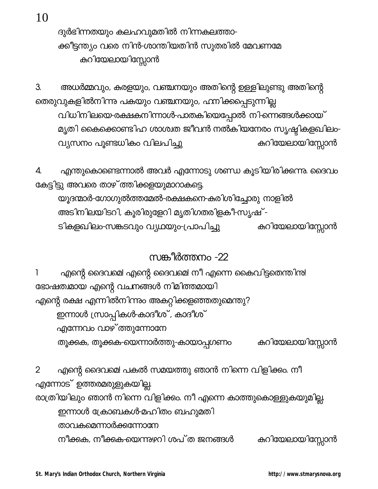10

ദുർഭിന്നതയും കലഹവുമതിൽ നിന്നകലത്താ-ക്കീട്ടന്ത്യം വരെ നിൻ-ശാന്തിയതിൻ സുതരിൽ മേവണമേ കുറിയേലായിസ്സോൻ

അധർമ്മവും, കരളയും, വഞ്ചനയും അതിന്റെ ഉള്ളിലുണ്ടു അതിന്റെ 3. തെരുവുകളിൽനിന്നു പകയും വഞ്ചനയും, ഹനിക്കപ്പെടുന്നില്ല വിധിനിലയെ-രക്ഷകനിന്നാൾ-പാതകിയെപ്പോൽ നി-ന്നെങ്ങൾക്കായ് മൃതി കൈക്കൊണ്ടിഹ ശാശ്വത ജീവൻ നൽകിയനേരം സൃഷ്ടികളഖിലം-കുറിയേലായിസ്സോൻ വ്യസനം പൂണ്ടധികം വിലപിച്ചു

എന്തുകൊണ്ടെന്നാൽ അവർ എന്നോടു ശണ്ഡ കൂടിയിരിക്കന്നു. ദൈവം 4. കേട്ടിട്ടു അവരെ താഴ് ത്തിക്കളയുമാറാകട്ടെ. യൂദന്മാർ-ഗോഗുൽത്തമേൽ-രക്ഷകനെ-കരിശിച്ചോരു നാളിൽ അടിനിലയിടറി, കൂരിരുളേറി മൃതിഗതരിളകീ-സൃഷ് -

കുറിയേലായിസ്സോൻ ടികളഖിലം-സങ്കടവും വ്യഥയും-പ്രാപിച്ചു

## സങ്കീർത്തനം -22

എന്റെ ദൈവമെ! എന്റെ ദൈവമെ! നീ എന്നെ കൈവിട്ടതെന്തിനു! 1 ഭോഷത്ഥായ എന്റെ വചനങ്ങൾ നിമിത്തമായി എന്റെ രക്ഷ എന്നിൽനിന്നും അകറ്റിക്കളഞ്ഞതുമെന്തു? ഇന്നാൾ സ്രാപ്പികൾ-കാദീശ് , കാദീശ് എന്നേവം വാഴ്ത്തുന്നോനേ കുറിയേലായിസ്സോൻ തൂക്കക, തൂക്കക-യെന്നാർത്തു-കായാപ്പഗണം

എന്റെ ദൈവമെ! പകൽ സമയത്തു ഞാൻ നിന്നെ വിളിക്കം. നീ  $\overline{2}$ എന്നോട് ഉത്തരമരുളുകയില്ല. രാത്രിയിലും ഞാൻ നിന്നെ വിളിക്കം. നീ എന്നെ കാത്തുകൊള്ളുകയുമില്ല. ഇന്നാൾ ക്രോബകൾ-മഹിതം ബഹുമതി താവകമെന്നാർക്കന്നോനേ നീക്കുക, നീക്കക-യെന്നുഴറി ശപ്ത ജനങ്ങൾ കുറിയേലായിസ്സോൻ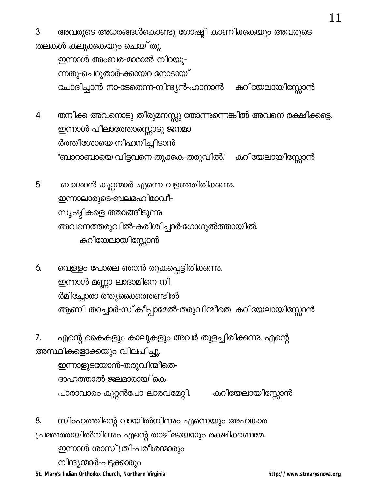അവരുടെ അധരങ്ങൾകൊണ്ടു ഗോഷ്ടി കാണിക്കുകയും അവരുടെ 3 തലകൾ കലുക്കുകയും ചെയ്തു. ഇന്നാൾ അംബര-മാരാൽ നിറയു-ന്നതു-ചെറുതാർ-ക്കായവനോടായ് ചോദിച്ചാൻ നാ-ടേതെന്ന-നിന്ദ്യൻ-ഹാനാൻ കുറിയേലായിസ്സോൻ

തനിക്കു അവനൊടു തിരുമനസ്സു തോന്നുന്നെങ്കിൽ അവനെ രക്ഷിക്കട്ടെ.  $\overline{4}$ ഇന്നാൾ-പീലാത്തോസ്സൊടു ജനമാ ർത്തീശോയെ-നിഹനിച്ചീടാൻ "ബാറാബായെ-വിട്ടവനെ-തൂക്കുക-തരുവിൽ." കുറിയേലായിസ്സോൻ

5 ബാശാൻ കൂറ്റന്മാർ എന്നെ വളഞ്ഞിരിക്കന്നു. ഇന്നാലാരുടെ-ബലമഹിമാവീ-സൃഷ്ടികളെ ത്താങ്ങീടുന്നു അവനെത്തരുവിൽ-കരിശിച്ചാർ-ഗോഗുൽത്തായിൽ. കുറിയേലായിസ്സോൻ

വെള്ളം പോലെ ഞാൻ തൂകപ്പെട്ടിരിക്കന്നു. 6. ഇന്നാൾ മണ്ണാ-ലാദാമിനെ നി ർമിച്ചോരാ-ത്തൃക്കൈത്തണ്ടിൽ ആണി തറച്ചാർ-സ്കീപ്പാമേൽ-തരുവിന്മീതെ കറിയേലായിസ്സോൻ

എന്റെ കൈകളും കാലുകളും അവർ തുളച്ചിരിക്കന്നു. എന്റെ  $7<sub>1</sub>$ അസ്ഥികളൊക്കയും വിലപിച്ചു.

ഇന്നാളുടയോൻ-തരുവിന്മീതെ-ദാഹത്താൽ-ജലമാരായ്കെ, കുറിയേലായിസ്സോൻ പാരാവാരം-കൂറ്റൻപോ-ലാരവമേറ്റി.

8. സിംഹത്തിന്റെ വായിൽനിന്നും എന്നെയും അഹങ്കാര പ്രമത്തതയിൽനിന്നും എന്റെ താഴ് മയെയും രക്ഷിക്കണമേ. ഇന്നാൾ ശാസ് (തി-പരീശന്മാരും നിന്ദ്യന്മാർ-പട്ടക്കാരും St. Mary's Indian Orthodox Church, Northern Virginia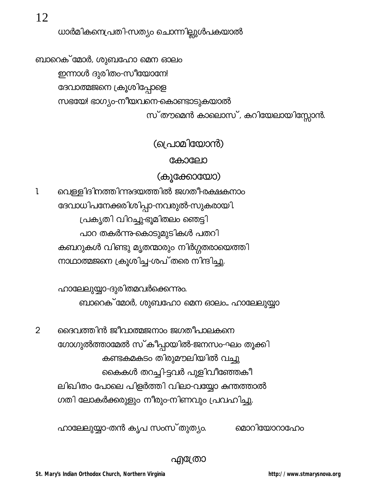12

ധാർമികനെപ്രതി-സത്യം ചൊന്നില്ലുൾപകയാൽ

ബാറെക് മോർ, ശുബഹോ മെന ഓലം ഇന്നാൾ ദുരിതം-സീയോനേ! ദേവാത്മജനെ ക്രൂശിപ്പോളെ സഭയേ! ഭാഗ്യം-നീയവനെ-കൊണ്ടാടുകയാൽ സ് തൗമെൻ കാലൊസ്, കറിയേലായിസ്സോൻ.

(പ്രൊമിയോൻ)

കോലോ

(കൂക്കോയോ)

വെള്ളിദിനത്തിന്നുദയത്തിൽ ജഗതീ-രക്ഷകനാം l ദേവാധിപനേക്കരിശിപ്പാ-നവരുൽ-സുകരായി. പ്രകൃതി വിറച്ചു-ഭൂമിതലം ഞെട്ടി പാറ തകർന്നു-കൊടുമുടികൾ പതറി കബറുകൾ വിണ്ടു മൃതന്മാരും നിർഗ്ഗതരായെത്തി നാഥാത്മജനെ ക്രൂശിച്ച-ശപ് തരെ നിന്ദിച്ചു.

> ഹാലേലുയ്യാ-ദുരിതമവർക്കെന്നും. ബാറെക് മോർ, ശുബഹോ മെന ഓലം… ഹാലേലുയ്യാ

ദൈവത്തിൻ ജീവാത്മജനാം ജഗതീപാലകനെ  $\overline{2}$ ഗോഗുൽത്താമേൽ സ്കീപ്പായിൽ-ജനസം-ഘം തൂക്കി കണ്ടകമകടം തിരുമൗലിയിൽ വച്ചു കൈകൾ തറച്ചി-ട്ടവർ പുളിവീഞ്ഞേകീ ലിഖിതം പോലെ പിളർത്തി വിലാ-വയ്യോ കന്തത്താൽ ഗതി ലോകർക്കരുളും നീരും-നിണവും പ്രവഹിച്ചു.

ഹാലേലുയ്യാ-തൻ കൃപ സംസ് തുത്യം.

മൊറിയോറാഫോം

എ്രോ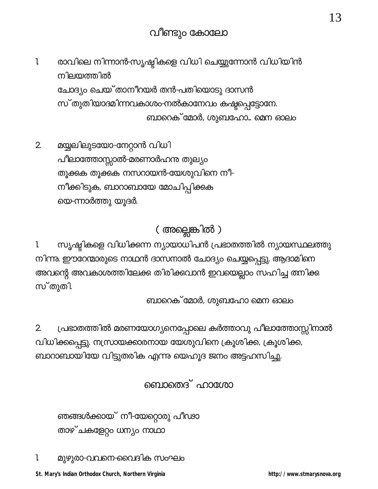- $\mathbf{l}$ രാവിലെ നിന്നാൻ-സൃഷ്ടികളെ വിധി ചെയ്യുന്നോൻ വിധിയിൻ നിലയത്തിൽ ചോദ്യം ചെയ്താനീറയർ തൻ-പതിയൊടു ദാസൻ സ്തുതിയാദമിന്നവകാശം-നൽകാനേവം കഷ്ടപ്പെട്ടോനേ. ബാറെക് മോർ, ശുബഹോ… മെന ഓലം
- മയ്യലിലുടയോ-നേറ്റാൻ വിധി  $2\overline{ }$ പീലാത്തോസ്സാൽ-മരണാർഹന്ദ തുല്യം തൂക്കുക തൂക്കുക നസറായൻ-യേശുവിനെ നീ-നീക്കിടുക, ബാറാബായേ മോചിപ്പിക്കക യെ-ന്നാർത്തു യൂദർ.

## ( അല്ലെങ്കിൽ )

സൃഷ്ടികളെ വിധിക്കന്ന ന്യായാധിപൻ പ്രഭാതത്തിൽ ന്യായസ്ഥലത്തു 1. നിന്നു. ഈറേന്മാരുടെ നാഥൻ ദാസനാൽ ചോദ്യം ചെയ്യപ്പെട്ടു. ആദാമിനെ അവന്റെ അവകാശത്തിലേക്കു തിരിക്കവാൻ ഇവയെല്ലാം സഹിച്ച തനിക്കു സ്തുതി

ബാറെക് മോർ, ശുബഹോ മെന ഓലം

പ്രഭാതത്തിൽ മരണയോഗ്യനെപ്പോലെ കർത്താവു പീലാത്തോസ്സിനാൽ 2. വിധിക്കപ്പെട്ടു. നസ്രായക്കാരനായ യേശുവിനെ ക്രൂശിക്ക, ക്രൂശിക്ക, ബാറാബായിയേ വിട്ടുതരിക എന്നു യെഹൂദ ജനം അട്ടഹസിച്ചു.

## ബൊതെദ് ഹാശോ

ഞങ്ങൾക്കായ് നീ-യേറ്റൊരു പീഢാ താഴ്ചകളേറ്റം ധന്യം നാഥാ

മുഴുരാ-വവനെ-വൈദിക സംഘം 1.

St. Mary's Indian Orthodox Church, Northern Virginia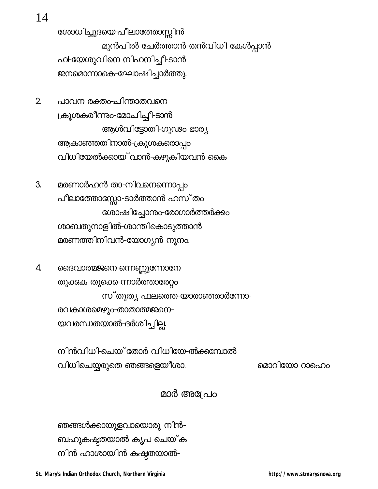14

ശോധിച്ചുദയെ-പീലാത്തോസ്സിൻ മുൻപിൽ ചേർത്താൻ-തൻവിധി കേൾപ്പാൻ ഹ!-യേശുവിനെ നിഹനിച്ചീ-ടാൻ ജനമൊന്നാകെ-ഘോഷിച്ചാർത്തു.

- $\overline{2}$ പാവന രക്തം-ചിന്താതവനെ ക്രൂശകരീന്നും-മോചിച്ചീ-ടാൻ ആൾവിട്ടോതി-ഗൂഢം ഭാര്യ ആകാഞ്ഞതിനാൽ-ക്രൂശകരൊപ്പം വിധിയേൽക്കായ് വാൻ-കഴുകിയവൻ കൈ
- 3. മരണാർഹൻ താ-നിവനെന്നൊപ്പം പീലാത്തോസ്സോ-ടാർത്താൻ ഹസ്തം ശോഷിച്ചോന്തം-രോഗാർത്തർക്കം ശാബതുനാളിൽ-ശാന്തികൊടുത്താൻ മരണത്തിനിവൻ-യോഗ്യൻ നൂനം.
- 4. ദൈവാത്മജനെ-ന്നെണ്ണുന്നോനേ തൂക്കുക തൂക്കെ-ന്നാർത്താരേറ്റം സ്തുത്യ ഫലത്തെ-യാരാഞ്ഞാർന്നോ-രവകാശമെഴും-താതാത്മജനെ-യവരന്ധതയാൽ-ദർശിച്ചില്ല.

നിൻവിധി-ചെയ്തോർ വിധിയേ-ൽക്കമ്പോൽ വിധിചെയ്യരുതെ ഞങ്ങളെയീശാ.

മൊറിയോ റാഹെം

## മാർ അശേപം

ഞങ്ങൾക്കായുളവായൊരു നിൻ-ബഹുകഷ്ടതയാൽ കൃപ ചെയ്ക നിൻ ഹാശായിൻ കഷ്ടതയാൽ-

St. Mary's Indian Orthodox Church, Northern Virginia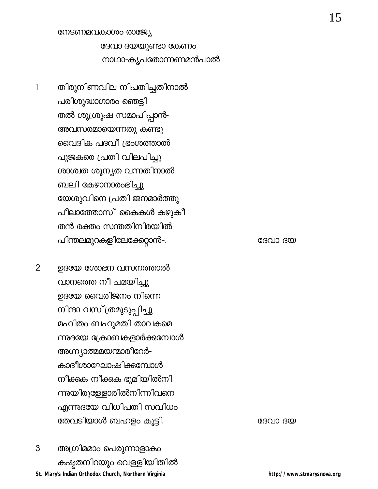#### നേടണമവകാശം-രാജ്യേ

ദേവാ-ദയയുണ്ടാ-കേണം നാഥാ-കൃപതോന്നണമൻപാൽ

തിരുനിണവില നിപതിച്ചതിനാൽ  $\mathbf{1}$ പരിശുദ്ധാഗാരം ഞെട്ടി തൽ ശുശ്രൂഷ സമാപിപ്പാൻ-അവസരമായെന്നതു കണ്ടു വൈദിക പദവീ ഭ്രംശത്താൽ പൂജകരെ പ്രതി വിലപിച്ചു ശാശ്വത ശൂന്യത വന്നതിനാൽ ബലി കേഴാനാരംഭിച്ചു യേശുവിനെ പ്രതി ജനമാർത്തു പീലാത്തോസ് കൈകൾ കഴുകീ തൻ രക്തം സന്തതിനിരയിൽ പിന്തലമുറകളിലേക്കേറ്റാൻ-.

ഉദയേ ശോഭന വസനത്താൽ  $\overline{2}$ വാനത്തെ നീ ചമയിച്ചു ഉദയേ വൈരിജനം നിന്നെ നിന്ദാ വസ് ത്രമുടുപ്പിച്ചു മഹിതം ബഹുമതി താവകമെ ന്നുദയേ ക്രോബകളാർക്കമ്പോൾ അഗ്ന്യാത്മമയന്മാരീറേർ-കാദീശാഘോഷിക്കമ്പോൾ നീക്കുക നീക്കുക ഭൂമിയിൽനി ന്നുയിരുള്ളോരിൽനിന്നിവനെ എന്നുദയേ വിധിപതി സവിധം തേവടിയാൾ ബഹളം കൂട്ടി.

3 അഗ്രിമമാം പെരുന്നാളാകം കഷ്ടതനിറയും വെള്ളിയിതിൽ St. Mary's Indian Orthodox Church, Northern Virginia

ദേവാ ദയ

ദേവാ ദയ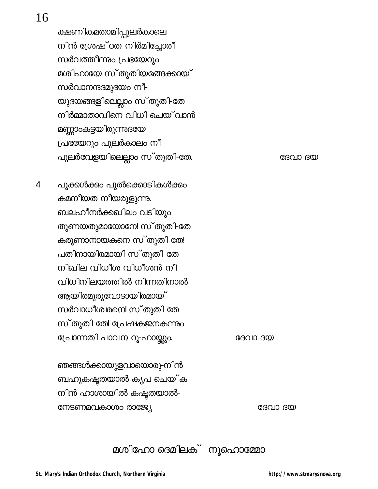## 16

ക്ഷണികമതാമിപ്പുലർകാലെ നിൻ ശ്രേഷ്ഠത നിർമിച്ചോരീ സർവത്തീന്നും പ്രഭയേറും മശിഹായേ സ്തുതിയങ്ങേക്കായ് സർവാനന്ദദമുദയം നീ-യുദയങ്ങളിലെല്ലാം സ്തുതി-തേ നിർമ്മാതാവിനെ വിധി ചെയ് വാൻ മണ്ണാംകട്ടയിരുന്നുദയേ പ്രഭയേറും പുലർകാലം നീ പുലർവേളയിലെല്ലാം സ്തുതി-തേ.

പൂക്കൾക്കം പുൽക്കൊടികൾക്കം  $\overline{\mathcal{L}}$ കമനീയത നീയരുളുന്നു. ബലഹീനർക്കഖിലം വടിയും തുണയതുമായോനേ! സ്തുതി-തേ കരുണാനായകനെ സ്തുതി തേ! പതിനായിരമായി സ്തുതി തേ നിഖില വിധീശ വിധീശൻ നീ വിധിനിലയത്തിൽ നിന്നതിനാൽ ആയിരമുരുവോടായിരമായ് സർവാധീശ്വരനെ! സ്തുതി തേ സ്തുതി തേ! പ്രേഷകജനകന്നും പ്രോന്നതി പാവന റൂ-ഹായ്ക്കും.

ദേവാ ദയ

ദേവാ ദയ

ഞങ്ങൾക്കായുളവായൊരു-നിൻ ബഹുകഷ്ടതയാൽ കൃപ ചെയ് ക നിൻ ഹാശായിൽ കഷ്ടതയാൽ-നേടണമവകാശം രാജ്യേ

ദേവാ ദയ

മശിഹോ ദെമിലക് നൂഹൊമ്മോ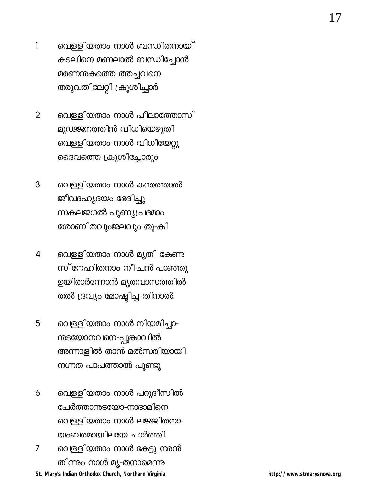- വെള്ളിയതാം നാൾ ബന്ധിതനായ്  $\mathbf{1}$ കടലിനെ മണലാൽ ബന്ധിച്ചോൻ മരണനകത്തെ ത്തച്ചവനെ തരുവതിലേറ്റി ക്രൂശിച്ചാർ
- വെള്ളിയതാം നാൾ പീലാത്തോസ്  $\overline{2}$ മുഢജനത്തിൻ വിധിയെഴുതി വെള്ളിയതാം നാൾ വിധിയേറ്റു ദൈവത്തെ ക്രൂശിച്ചോരും
- $\mathfrak{S}$ വെള്ളിയതാം നാൾ കന്തത്താൽ ജീവദഹൃദയം ഭേദിച്ചു സകലജഗൽ പുണ്യപ്രദമാം ശോണിതവുംജലവും തൂ-കി
- വെള്ളിയതാം നാൾ മൃതി കേണു  $\overline{4}$ സ്നേഹിതനാം നീചൻ പാഞ്ഞു ഉയിരാർന്നോൻ മൃതവാസത്തിൽ തൽ ദ്രവ്യം മോഷ്ടിച്ച-തിനാൽ.
- വെള്ളിയതാം നാൾ നിയമിച്ചാ-5 ന്ദയോനവനെ-പ്പൂങ്കാവിൽ അന്നാളിൽ താൻ മൽസരിയായി നഗ്നത പാപത്താൽ പൂണ്ടു
- വെള്ളിയതാം നാൾ പറുദീസിൽ 6 ചേർത്താന്ദടയോ-നാദാമിനെ വെള്ളിയതാം നാൾ ലജ്ജിതനാ-യംബരമായിലയേ ചാർത്തി.
- വെള്ളിയതാം നാൾ കേട്ടു നരൻ  $\overline{7}$ തിന്നും നാൾ മൃ-തനാമെന്നു St. Mary's Indian Orthodox Church, Northern Virginia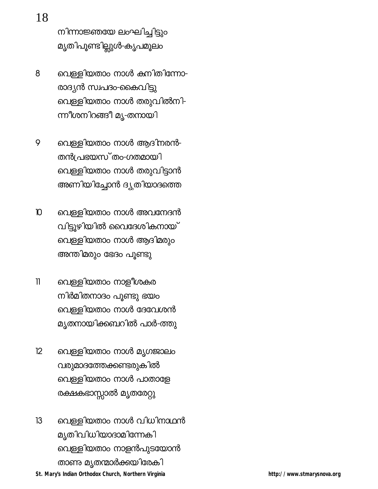നിന്നാജ്ഞയേ ലംഘിച്ചിട്ടും മൃതിപൂണ്ടില്ലുൾ-കൃപമൂലം

- വെള്ളിയതാം നാൾ കനിതിന്നോ-8 രാദ്യൻ സ്വപദം-കൈവിട്ടു വെള്ളിയതാം നാൾ തരുവിൽനി-ന്നീശനിറങ്ങീ മൃ-തനായി
- വെള്ളിയതാം നാൾ ആദിനരൻ-9 തൻപ്രഭയസ്തം-ഗതമായി വെള്ളിയതാം നാൾ തരുവിട്ടാൻ അണിയിച്ചോൻ ദ്യുതിയാദത്തെ
- വെള്ളിയതാം നാൾ അവനേദൻ  $\mathbf{D}$ വിട്ടൂഴിയിൽ വൈദേശികനായ് വെള്ളിയതാം നാൾ ആദിമരും അന്തിമരും ഭേദം പൂണ്ടു
- $\mathbf{I}$ വെള്ളിയതാം നാളീശകര നിർമിതനാദം പൂണ്ടു ഭയം വെള്ളിയതാം നാൾ ദേവേശൻ മൃതനായിക്കബറിൽ പാർ-ത്തു
- $12$ വെള്ളിയതാം നാൾ മൃഗജാലം വരുമാദത്തേക്കണ്ടരുകിൽ വെള്ളിയതാം നാൾ പാതാളേ രക്ഷകഭാസ്സാൽ മൃതരേറ്റു
- $13$ വെള്ളിയതാം നാൾ വിധിനാഥൻ മൃതിവിധിയാദാമിന്നേക<u>ി</u> വെള്ളിയതാം നാളൻപുടയോൻ താണു മൃതന്മാർക്കയിരേകി St. Mary's Indian Orthodox Church, Northern Virginia

18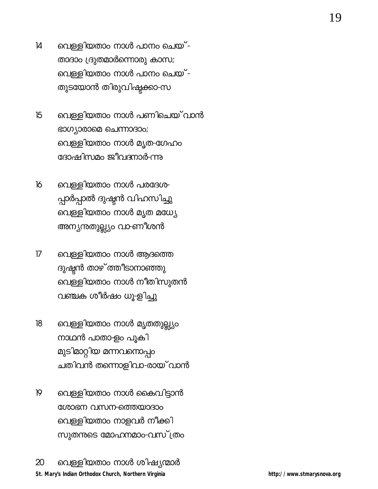- വെള്ളിയതാം നാൾ പാനം ചെയ്- $\mathsf{I}4$ താദാം ദ്രുതമാർന്നൊരു കാസ; വെള്ളിയതാം നാൾ പാനം ചെയ്-തുടയോൻ തിരുവിഷ്ടക്കാ-സ
- വെള്ളിയതാം നാൾ പണിചെയ് വാൻ 15 ഭാഗ്യാരാമെ ചെന്നാദാം; വെള്ളിയതാം നാൾ മൃത-ഗേഹം ദോഷിസമം ജീവദനാർ-ന്നു
- $16$ വെള്ളിയതാം നാൾ പരദേശ-പ്പാർപ്പാൽ ദുഷ്ടൻ വിഹസിച്ചു വെള്ളിയതാം നാൾ മൃത മധ്യേ അന്യനുതുല്ല്യം വാ-ണീശൻ
- $17$ വെള്ളിയതാം നാൾ ആദത്തെ ദുഷ്ടൻ താഴ് ത്തീടാനാഞ്ഞു വെള്ളിയതാം നാൾ നീതിസുതൻ വഞ്ചക ശീർഷം ധൂ-ളിച്ചു
- വെള്ളിയതാം നാൾ മൃതതുല്ല്യം  $18<sup>°</sup>$ നാഥൻ പാതാ-ളം പൂകി മുടിമാറ്റിയ മന്നവനൊപ്പം ചതിവൻ തന്നൊളിവാ-രായ് വാൻ
- $19$ വെള്ളിയതാം നാൾ കൈവിട്ടാൻ ശോഭന വസന-ത്തെയാദാം വെള്ളിയതാം നാളവർ നീക്കി സുതന്നടെ മോഹനമാം-വസ് ത്രം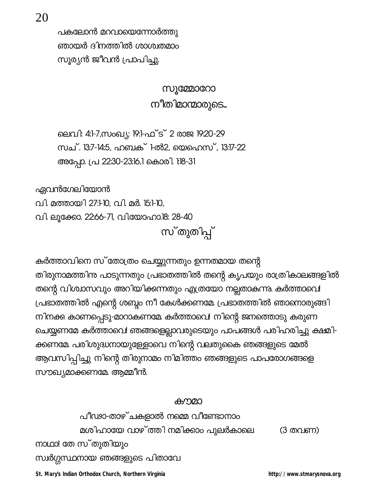പകലോൻ മറവായെന്നോർത്തു ഞായർ ദിനത്തിൽ ശാശ്വതമാം സൂര്യൻ ജീവൻ പ്രാപിച്ചു.

> **സുമ്മോറോ** നീതിമാന്മാരുടെ...

ലെവി: 4:1-7,സംഖ്യ: 19:1-ഫ്ട് 2 രാജ 19:20-29 സച്. 13:7-14:5, ഹബക് 1-ൽ2, യെഹെസ്, 13:17-22 അപ്പോ. പ്ര 22:30-23:16,1 കൊരി. 1:18-31

ഏവൻഗേലിയോൻ

വി. മത്തായി 27:10, വി. മർ. 15:1-10,

വി. ലൂക്കോ. 22:66-71, വിയോഹാ.18: 28-40

സ്തുതിപ്പ്

കർത്താവിനെ സ് തോത്രം ചെയ്യുന്നതും ഉന്നതമായ തന്റെ തിരുനാമത്തിന്ന പാടുന്നതും പ്രഭാതത്തിൽ തന്റെ കൃപയും രാത്രികാലങ്ങളിൽ തന്റെ വിശ്വാസവും അറിയിക്കന്നതും എത്രയോ നല്ലതാകുന്നു. കർത്താവെ! പ്രഭാതത്തിൽ എന്റെ ശബ്ദം നീ കേൾക്കണമേ. പ്രഭാതത്തിൽ ഞാനൊരുങ്ങി നിനക്കു കാണപ്പെടു-മാറാകണമേ കർത്താവെ! നിന്റെ ജനത്തൊടു കരുണ ചെയ്യണമേ കർത്താവെ! ഞങ്ങളെല്ലാവരുടെയും പാപങ്ങൾ പരിഹരിച്ചു ക്ഷമി-ക്കണമേ. പരിശുദ്ധനായുള്ളോവെ നിന്റെ വലതുകൈ ഞങ്ങളുടെ മേൽ ആവസിപ്പിച്ചു നിന്റെ തിരുനാമം നിമിത്തം ഞങ്ങളുടെ പാപരോഗങ്ങളെ സൗഖ്യമാക്കണമേ ആമ്മീൻ.

#### കനമാ

പീഢാ-താഴ്ചകളാൽ നമ്മെ വീണ്ടോനാം മശിഹായേ വാഴ് ത്തി നമിക്കാം പുലർകാലെ (3 തവണ) നാഥാ! തേ സ്തുതിയും സ്വർഗ്ഗസ്ഥനായ ഞങ്ങളുടെ പിതാവേ

St. Mary's Indian Orthodox Church, Northern Virginia

http://www.stmarysnova.org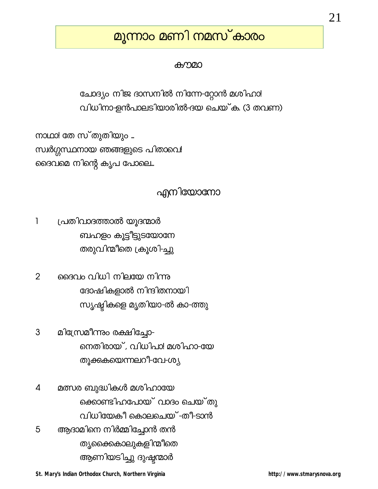# മൂന്നാം മണി നമസ്കാരം

#### കനമാ

ചോദ്യം നിജ ദാസനിൽ നിന്നേ-റ്റോൻ മശിഹാ! വിധിനാ-ളൻപാലടിയാരിൽ-ദയ ചെയ്ക. (3 തവണ)

നാഥാ! തേ സ്തുതിയും ... സ്വർഗ്ഗസ്ഥനായ ഞങ്ങളുടെ പിതാവെ! ദൈവമെ നിന്റെ കൃപ പോലെ...

## എനിയോനോ

 $\mathbf{1}$ പ്രതിവാദത്താൽ യൂദന്മാർ ബഹളം കൂട്ടീട്ടുടയോനേ തരുവിന്മീതെ ക്രൂശി-ച്ചു

 $\overline{2}$ ദൈവം വിധി നിലയേ നിന്നു ദോഷികളാൽ നിന്ദിതനായി സൃഷ്ടികളെ മൃതിയാ-ൽ കാ-ത്തു

3 മിന്ത്രേമീന്നും രക്ഷിച്ചോ-നെതിരായ്, വിധിപാ! മശിഹാ-യേ തൂക്കുകയെന്നലറീ-വേ-ശ്<del>യ</del>

മത്സര ബുദ്ധികൾ മശിഹായേ  $\boldsymbol{\mathcal{A}}$ ക്കൊണ്ടിഹപോയ് വാദം ചെയ്തു വിധിയേകീ കൊലചെയ് -തീ-ടാൻ 5 ആദാമിനെ നിർമ്മിച്ചോൻ തൻ തൃക്കൈകാലുകളിന്മീതെ ആണിയടിച്ചു ദുഷ്ടന്മാർ

St. Mary's Indian Orthodox Church, Northern Virginia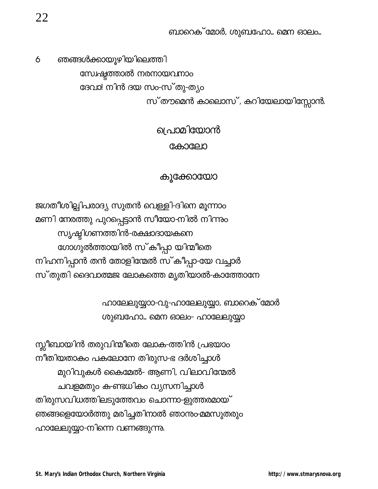ബാറെക് മോർ, ശുബഹോ... മെന ഓലം...

ഞങ്ങൾക്കായൂഴിയിലെത്തി 6 സ്വേഷ്ടത്താൽ നരനായവനാം ദേവാ! നിൻ ദയ സം-സ്തു-ത്യം സ് തൗമെൻ കാലൊസ്, കറിയേലായിസ്സോൻ.

# പ്രാമിയോൻ കോലോ

### കുക്കോയോ

ജഗതീശില്പിപരാദ്യ സുതൻ വെള്ളി-ദിനെ മൂന്നാം മണി നേരത്തു പുറപ്പെട്ടാൻ സീയോ-നിൽ നിന്നും സ്യഷ്ടിഗണത്തിൻ-രക്ഷാദായകനെ ഗോഗുൽത്തായിൽ സ്കീപ്പാ യിന്മീതെ നിഹനിപ്പാൻ തൻ തോളിന്മേൽ സ്കീപ്പാ-യേ വച്ചാർ സ്തുതി ദൈവാത്മജ ലോകത്തെ മൃതിയാൽ-കാത്തോനേ

> ഹാലേലുയ്യാാ-വു-ഹാലേലുയ്യാ, ബാറെക് മോർ ശുബഹോ... മെന ഓലം- ഹാലേലുയ്യാ

സ്സീബായിൻ തരുവിന്മീതെ ലോക-ത്തിൻ പ്രഭയാം നീതിയതാകം പകലോനേ തിരുസ-ഭ ദർശിച്ചാൾ മുറിവുകൾ കൈമേൽ- ആണി, വിലാവിന്മേൽ ചവളമതും ക-ണ്ടധികം വ്യസനിച്ചാൾ തിരുസവിധത്തിലടുത്തേവം ചൊന്നാ-ളുത്തരമായ് ഞങ്ങളെയോർത്തു മരിച്ചതിനാൽ ഞാന്രം-മമസുതരും ഹാലേലുയ്യാ-നിന്നെ വണങ്ങുന്നു.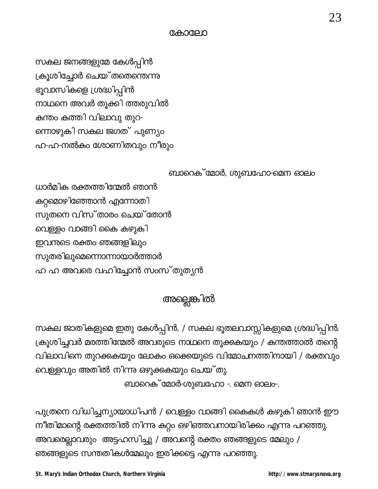St. Mary's Indian Orthodox Church, Northern Virginia

http://www.stmarysnova.org

സകല ജാതികളുമെ ഇതു കേൾപ്പിൻ, / സകല ഭൂതലവാസ്സികളുമെ ശ്രദ്ധിപ്പിൻ. വിലാവിനെ തുറക്കുകയും ലോകം ഒക്കെയുടെ വിമോചനത്തിനായി / രക്തവും വെള്ളവും അതിൽ നിന്നു ഒഴുക്കുകയും ചെയ്തു. ബാറെക് മോർ-ശുബഹോ -. മെന ഓലം-.

പുത്രനെ വിധിച്ചന്യായാധിപൻ / വെള്ളം വാങ്ങി കൈകൾ കഴുകി ഞാൻ ഈ

നീതിമാന്റെ രക്തത്തിൽ നിന്നു കുറ്റം ഒഴിഞ്ഞവനായിരിക്കും എന്നു പറഞ്ഞു.

അവരെല്ലാവരും അട്ടഹസിച്ചു / അവന്റെ രക്തം ഞങ്ങളുടെ മേലും /

ഞങ്ങളുടെ സന്തതികൾമേലും ഇരിക്കട്ടെ എന്നു പറഞ്ഞു.

ക്രൂശിച്ചവർ മരത്തിന്മേൽ അവരുടെ നാഥനെ തൂക്കുകയും / കന്തത്താൽ തന്റെ

അല്ലെങ്കിൽ

ബാറെക് മോർ, ശുബഹോ-മെന ഓലം

സകല ജനങ്ങളുമേ കേൾപ്പിൻ ക്രൂശിച്ചോർ ചെയ് തതെന്തെന്നു ഭൂവാസികളെ ശ്രദ്ധിപ്പിൻ നാഥനെ അവർ തൂക്കി ത്തരുവിൽ കുന്തം കത്തി വിലാവു തുറ-ന്നൊഴുകി സകല ജഗത് പുണ്യം ഹ-ഹ-നൽകം ശോണിതവും നീരും

ധാർമിക രക്തത്തിന്മേൽ ഞാൻ

സുതനെ വിസ്താരം ചെയ്തോൻ

കറ്റമൊഴിഞ്ഞോൻ എന്നോതി

വെള്ളം വാങ്ങി കൈ കഴുകി

ഇവന്തടെ രക്തം ഞങ്ങളിലും

സുതരിലുമെന്നൊന്നായാർത്താർ

ഹ ഹ അവരെ വഹിച്ചോൻ സംസ്തുതൃൻ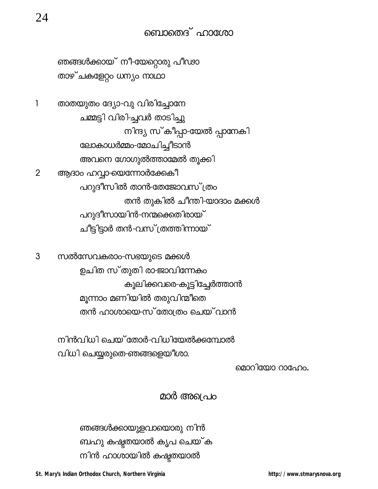ഞങ്ങൾക്കായ് നീ-യേറ്റൊരു പീഢാ താഴ്ചകളേറ്റം ധന്യം നാഥാ

 $\mathbf{1}$ താതയുതം ദ്യോ-വു വിരിച്ചോനേ ചമ്മട്ടി വിരി-ചുവർ താടിച്ചു നിന്ദ്യ സ്കീപ്പാ-യേൽ പ്പാനേകി ലോകാധർമ്മം-മോചിച്ചീടാൻ അവനെ ഗോഗുൽത്താമേൽ തൂക്കി ആദാം ഹവ്വാ-യെന്നോർക്കേകീ  $\overline{2}$ പറുദീസിൽ താൻ-തേജോവസ് ത്രം തൻ തുകിൽ ചീന്തി-യാദാം മക്കൾ പറുദീസായിൻ-നന്മക്കെതിരായ് ചീട്ടിട്ടാർ തൻ-വസ് ത്രത്തിന്നായ്

സൽസേവകരാം-സഭയുടെ മക്കൾ 3 ഉചിത സ്തുതി രാ-ജാവിന്നേകം കൂലിക്കവരെ-കൂട്ടിച്ചേർത്താൻ മൂന്നാം മണിയിൽ തരുവിന്മീതെ തൻ ഹാശായെ-സ് തോത്രം ചെയ്വാൻ

> നിൻവിധി ചെയ്തോർ-വിധിയേൽക്കമ്പോൽ വിധി ചെയ്യരുതെ-ഞങ്ങളെയീശാ.

> > മൊറിയോ റാഹോം.

## മാർ അശപ്രെ

ഞങ്ങൾക്കായുളവായൊരു നിൻ ബഹു കഷ്ടതയാൽ കൃപ ചെയ്ക നിൻ ഹാശായിൽ കഷ്ടതയാൽ

St. Mary's Indian Orthodox Church, Northern Virginia

http://www.stmarysnova.org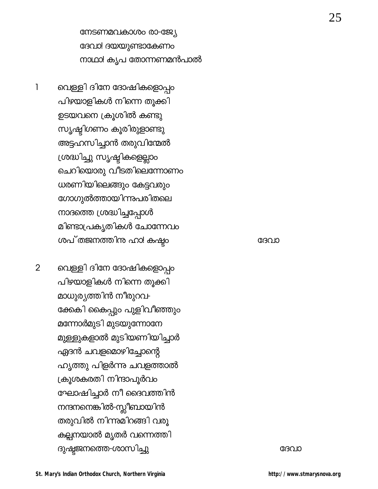നേടണമവകാശം രാ-ജ്യേ ദേവാ! ദയയുണ്ടാകേണം നാഥാ! കൃപ തോന്നണമൻപാൽ

വെള്ളി ദിനേ ദോഷികളൊപ്പം  $\mathbf{1}$ പിഴയാളികൾ നിന്നെ തൂക്കി ഉടയവനെ ക്രൂശിൽ കണ്ടു സൃഷ്ടിഗണം കൂരിരുളാണ്ടു അട്ടഹസിച്ചാൻ തരുവിന്മേൽ ശ്രദ്ധിച്ചു സൃഷ്ടികളെല്ലാം ചെറിയൊരു വീടതിലെന്നോണം ധരണിയിലെങ്ങും കേട്ടവരും ഗോഗുൽത്തായിന്നുപരിതലെ നാദത്തെ ശ്രദ്ധിച്ചപ്പോൾ മിണ്ടാപ്രകൃതികൾ ചോന്നേവം ശപ്തജനത്തിനു ഹാ! കഷ്ട്ര

 $\overline{2}$ വെള്ളി ദിനേ ദോഷികളൊപ്പം പിഴയാളികൾ നിന്നെ തൂക്കി മാധുര്യത്തിൻ നീരുറവ-ക്കേകി കൈപ്പും പുളിവീഞ്ഞും മന്നോർമുടി മുടയുന്നോനേ മുള്ളുകളാൽ മുടിയണിയിച്ചാർ ഏദൻ ചവളമൊഴിച്ചോന്റെ ഹൃത്തു പിളർന്നു ചവളത്താൽ ക്രൂശകരതി നിന്ദാപൂർവ<mark>ം</mark> ഘോഷിച്ചാർ നീ ദൈവത്തിൻ നന്ദനനെങ്കിൽ-സ്ലീബായിൻ തരുവിൽ നിന്നുമിറങ്ങി വരു കല്പനയാൽ മൃതർ വന്നെത്തി ദുഷ്ടജനത്തെ-ശാസിച്ചു

ദേവാ

ദേവാ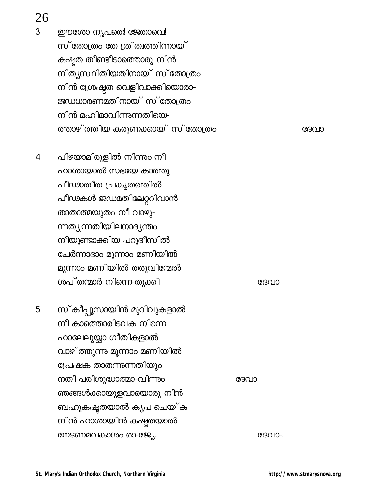26

 $\overline{3}$ 

ഈശോ നൃപതെ! ജേതാവെ! സ്തോത്രം തേ ത്രിത്വത്തിന്നായ് കഷ്ടത തീണ്ടീടാത്തൊരു നിൻ നിത്യസ്ഥിതിയതിനായ് സ്തോത്രം നിൻ ശ്രേഷ്ടത വെളിവാക്കിയൊരാ-ജഡധാരണമതിനായ് സ്തോത്രം നിൻ മഹിമാവിന്നുന്നതിയെ-ത്താഴ് ത്തിയ കരുണക്കായ് സ്തോത്രം

- $\overline{4}$ പിഴയാമിരുളിൽ നിന്നും നീ ഹാശായാൽ സഭയേ കാത്തു പീഢാതീത പ്രകൃതത്തിൽ പീഢകൾ ജഡമതിലേറ്ററിവാൻ താതാത്മയുതം നീ വാഴു-ന്നത്യന്നതിയിലനാദ്യന്തം നീയുണ്ടാക്കിയ പറുദീസിൽ ചേർന്നാദാം മൂന്നാം മണിയിൽ മൂന്നാം മണിയിൽ തരുവിന്മേൽ ശപ്തന്മാർ നിന്നെ-തുക്കി
- സ്കീപ്പൂസായിൻ മുറിവുകളാൽ 5 നീ കാത്തൊരിടവക നിന്നെ ഹാലേലുയ്യാ ഗീതികളാൽ വാഴ് ത്തുന്നു മൂന്നാം മണിയിൽ പ്രേഷക താതന്നുന്നതിയും നതി പരിശുദ്ധാത്മാ-വിന്നും ഞങ്ങൾക്കായുളവായൊരു നിൻ ബഹുകഷ്ടതയാൽ കൃപ ചെയ്ക നിൻ ഹാശായിൻ കഷ്ടതയാൽ നേടണമവകാശം രാ-ജ്യേ.

ദേവാ

ദേവാ

ദേവാ

ദേവാ-.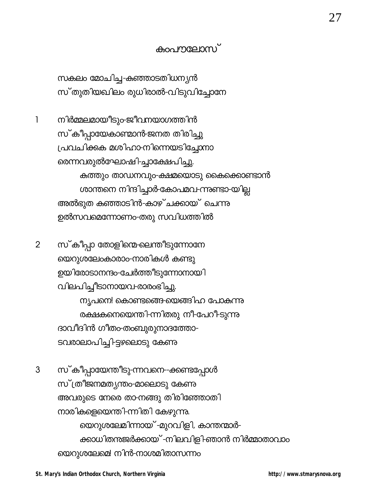## കംപൗലോസ്

സകലം മോചിച്ച-കഞ്ഞാടതിധന്യൻ സ്തുതിയഖിലം രുധിരാൽ-വിടുവിച്ചോനേ

നിർമ്മലമായീടും-ജീവനയാഗത്തിൻ 1 സ്കീപ്പായേകാണ്മാൻ-ജനത തിരിച്ചു പ്രവചിക്കുക മശിഹാ-നിന്നെയടിച്ചോനാ രെന്നവരുൽഘോഷി-ച്ചാക്ഷേപിച്ചു. കത്തും താഡനവും-ക്ഷമയൊടു കൈക്കൊണ്ടാൻ ശാന്തനെ നിന്ദിച്ചാർ-കോപമവ-ന്നുണ്ടാ-യില്ല അൽഭുത കഞ്ഞാടിൻ-കാഴ്ചക്കായ് ചെന്നു ഉൽസവമെന്നോണം-തരു സവിധത്തിൽ

സ്കീപ്പാ തോളിന്മെ-ലെന്തീടുന്നോനേ  $\overline{2}$ യെറുശലേംകാരാം-നാരികൾ കണ്ടു ഉയിരോടാനന്ദം-ചേർത്തീടുന്നോനായി വിലപിച്ചീടാനായവ-രാരംഭിച്ചു. നൃപനെ! കൊണ്ടങ്ങെ-യെങ്ങിഹ പോകുന്നു രക്ഷകനെയെന്തി-ന്നിതരു നീ-പേറീ-ടുന്നു ദാവീദിൻ ഗീതം-തംബുരുനാദത്തോ-ടവരാലാപിച്ചി-ട്ടഴലൊടു കേണു

 $\mathfrak{S}$ സ്കീപ്പായേന്തീടു-ന്നവനെ--ക്കണ്ടപ്പോൾ സ് ത്രീജനമത്യന്തം-മാലൊടു കേണു അവരുടെ നേരെ താ-നങ്ങു തിരിഞ്ഞോതി നാരികളെയെന്തി-ന്നിതി കേഴുന്നു. യെറുശലേമിന്നായ് -മുറവിളി, കാന്തന്മാർ-ക്കാധിതനജർക്കായ് -നിലവിളി-ഞാൻ നിർമ്മാതാവാം യെറുശലേമെ! നിൻ-നാശമിതാസന്നം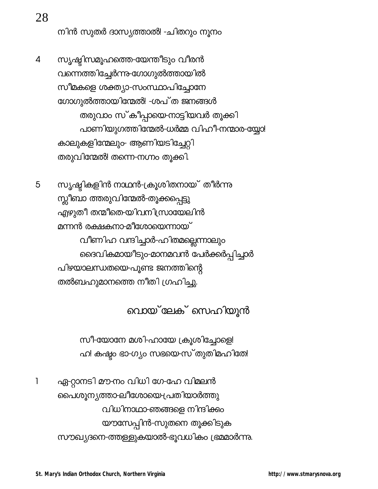നിൻ സുതർ ദാസ്യത്താൽ! -ചിതറും നൂനം

സൃഷ്ടിസമൂഹത്തെ-യേന്തീടും വീരൻ  $\overline{4}$ വന്നെത്തിച്ചേർന്നു-ഗോഗുൽത്തായിൽ സീമകളെ ശക്ത്യാ-സംസ്ഥാപിച്ചോനേ ഗോഗുൽത്തായിന്മേൽ! -ശപ് ത ജനങ്ങൾ തരുവാം സ്കീപ്പായെ-നാട്ടിയവർ തൂക്കി പാണിയുഗത്തിന്മേൽ-ധർമ്മ വിഹീ-നന്മാര-യ്യോ! കാലുകളിന്മേലും- ആണിയടിച്ചേറ്റി തരുവിന്മേൽ! തന്നെ-നഗ്നം തൂക്കി.

സൃഷ്ടികളിൻ നാഥൻ-ക്രൂശിതനായ് തീർന്നു 5 സ്സീബാ ത്തരുവിന്മേൽ-തൂക്കപ്പെട്ടു എഴുതീ തന്മീതെ-യിവനിസ്രായേലിൻ മന്നൻ രക്ഷകനാ-മീശോയെന്നായ് വീണിഹ വന്ദിച്ചാർ-ഹിതമല്ലെന്നാലും ദൈവികമായീടും-മാനമവൻ പേർക്കർപ്പിച്ചാർ പിഴയാലന്ധതയെ-പൂണ്ട ജനത്തിന്റെ തൽബഹുമാനത്തെ നീതി ഗ്രഹിച്ചു.

വൊയ്ലേക് സെഹിയുൻ

സീ-യോനേ മശി-ഹായേ ക്രൂശിച്ചോളെ! ഹ! കഷ്ടം ഭാ-ഗ്യം സഭയെ-സ്തുതിമഹിതേ!

 $\overline{1}$ ഏ-റ്റാനടി മൗ-നം വിധി ഗേ-ഹേ വിമലൻ പൈശൂന്യത്താ-ലീശോയെ-പ്രതിയാർത്തു വിധിനാഥാ-ഞങ്ങളെ നിന്ദിക്കം യൗസേപ്പിൻ-സുതനെ തൂക്കിടുക സൗഖ്യദനെ-ത്തള്ളുകയാൽ-ഭൂവധികം ഭ്രമമാർന്നു.

28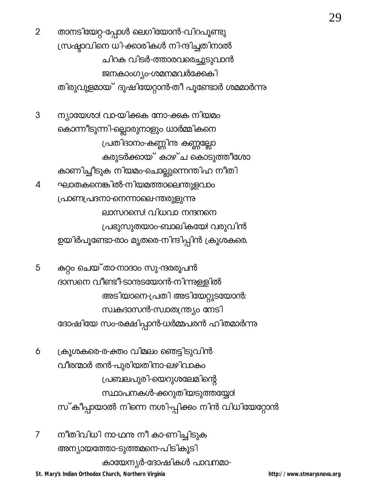$\overline{2}$ താനടിയേറ്റ-പ്പോൾ ലെഗിയോൻ-വിറപൂണ്ടു ന്ധ്രഷ്ടാവിനെ ധി-ക്കാരികൾ നിന്ദിച്ചതിനാൽ ചിറക വിടർ-ത്താരവരെച്ചുടുവാൻ ജനകാംഗ്യം-ശമനമവർക്കേകി തിരുവുളമായ് ദുഷിയേറ്റാൻ-തീ പൂണ്ടോർ ശമമാർന്നു

ന്യായേശാ! വാ-യിക്കുക നോ-ക്കുക നിയമം 3 കൊന്നീടുന്നി-ല്ലൊരുനാളും ധാർമ്മികനെ പ്രതിദാനം കണ്ണിനു കണ്ണല്ലോ കരുടർക്കായ് കാഴ്ച കൊടുത്തീശോ കാണിച്ചീടുക നിയമം-ചൊല്ലുന്നെന്തിഹ നീതി ഘാതകനെങ്കിൽ-നിയമത്താലെന്തുളവാം  $\overline{\mathcal{L}}$ പ്രാണപ്രദനാ-നെന്നാലെ-ന്തരുളുന്നു ലാസറസെ! വിധവാ നന്ദനനെ പ്രഭുസുതയാം-ബാലികയേ! വരുവിൻ ഉയിർപൂണ്ടോ-രാം മൃതരെ-നിന്ദിപ്പിൻ ക്രൂശകരെ.

5 കുറ്റം ചെയ്താ-നാദാം സു-ന്ദരരൂപൻ ദാസനെ വീണ്ടീ-ടാനുടയോൻ-നിന്നുള്ളിൽ അടിയാനെ-പ്രതി അടിയേറ്റുടയോൻ: സ്വകദാസൻ-സ്വാതന്ത്ര്യം നേടി ദോഷിയേ സം-രക്ഷിപ്പാൻ-ധർമ്മപരൻ ഹിതമാർന്നു

ക്രൂശകരെ-ര-ക്തം വിമലം ഞെട്ടിടുവിൻ 6 വീരന്മാർ തൻ-പുരിയതിനാ-ലഴിവാകം പ്രബലപുരി-യെറുശലേമിന്റെ സ്ഥാപനകൾ-ക്കറുതിയടുത്തയ്യോ! സ്കീപ്പായാൽ നിന്നെ നശി-പ്പിക്കം നിൻ വിധിയേറ്റോൻ

നീതിവിധി നാ-ഥനു നീ കാ-ണിച്ചിടുക 7 അന്യായത്തോ-ടുത്തമനെ-പിടികൂടി കായേന്യർ-ദോഷികൾ പാവനമാ-

St. Mary's Indian Orthodox Church, Northern Virginia

http://www.stmarysnova.org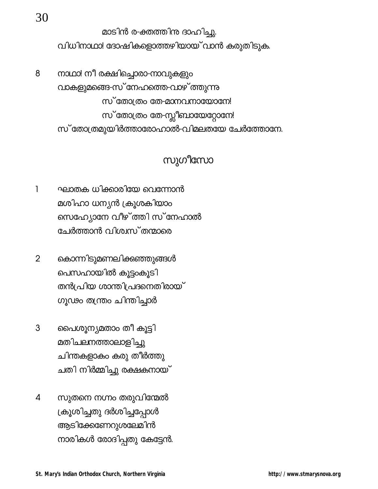മാടിൻ ര-ക്തത്തിനു ദാഹിച്ചു. വിധിനാഥാ! ദോഷികളൊത്തഴിയായ് വാൻ കരുതിടുക.

നാഥാ! നീ രക്ഷിച്ചൊരാ-നാവുകളും 8 വാകളുമങ്ങെ-സ് നേഹത്തെ-വാഴ് ത്തുന്നു സ്തോത്രം തേ-മാനവനായോനേ! സ് തോത്രം തേ-സ്ലീബായേറ്റോനേ! സ് തോത്രമുയിർത്താരോഹാൽ-വിമലതയേ ചേർത്തോനേ.

## സുഗീസോ

- ഘാതക ധിക്കാരിയേ വെന്നോൻ  $\mathbf{1}$ മശിഹാ ധന്യൻ ക്രൂശകിയാം സെഹ്യോനേ വീഴ് ത്തി സ് നേഹാൽ ചേർത്താൻ വിശ്വസ്തന്മാരെ
- കൊന്നിടുമണലിക്കഞ്ഞുങ്ങൾ  $\overline{2}$ പെസഹായിൽ കൂട്ടംകൂടി തൻപ്രിയ ശാന്തിപ്രദനെതിരായ് ഗൂഢം തന്ത്രം ചിന്തിച്ചാർ
- 3 പൈശൂനൃമതാം തീ കൂട്ടി മതിചലനത്താലാളിച്ചു ചിന്തകളാകം കരു തീർത്തു ചതി നിർമ്മിച്ചു രക്ഷകനായ്
- സുതനെ നഗ്നം തരുവിന്മേൽ  $\overline{4}$ ക്രൂശിച്ചതു ദർശിച്ചപ്പോൾ ആടിക്കേണേറുശലേമിൻ നാരികൾ രോദിപ്പതു കേട്ടേൻ.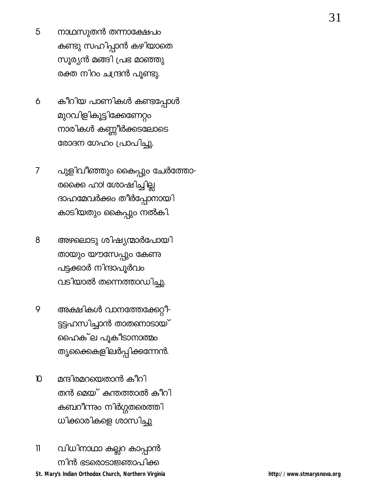- നാഥസുതൻ തന്നാക്ഷേപ<mark>ം</mark> 5 കണ്ടു സഹിപ്പാൻ കഴിയാതെ സൂര്യൻ മങ്ങി പ്രഭ മാഞ്ഞു രക്ത നിറം ചന്ദ്രൻ പൂണ്ടു.
- കീറിയ പാണികൾ കണ്ടപ്പോൾ 6 മുറവിളികൂട്ടിക്കേണേറ്റം നാരികൾ കണ്ണീർക്കടലോടെ രോദന ഗേഹം പ്രാപിച്ചു.
- പുളിവീഞ്ഞും കൈപ്പും ചേർത്തോ- $\overline{7}$ രക്കൈ ഹാ! ശോഷിച്ചില്ല ദാഹമേവർക്കം തീർപ്പോനായി കാടിയതും കൈപ്പും നൽകി.
- 8 അഴലൊടു ശിഷ്യന്മാർപോയി തായും യൗസേപ്പും കേണു പട്ടക്കാർ നിന്ദാപൂർവം വടിയാൽ തന്നെത്താഡിച്ചു.
- അക്ഷികൾ വാനത്തേക്കേറ്റീ-9 ട്ടട്ടഹസിച്ചാൻ താതനൊടായ് ഹൈക്ല പൂകീടാനാത്മം ത<mark>ൃക്കൈളിലർപ്പിക്കണേ</mark>ൻ.
- മന്ദിരമറയെതാൻ കീറി  $\mathbf{D}$ തൻ മെയ് കന്തത്താൽ കീറി കബറീന്നും നിർഗ്ഗതരെത്ത<mark>ി</mark> ധിക്കാരികളെ ശാസിച്ചു
- $\overline{\mathbf{l}}$ വിധിനാഥാ കല്ലറ കാപ്പാൻ നിൻ ഭടരൊടാജ്ഞാപിക്ക St. Mary's Indian Orthodox Church, Northern Virginia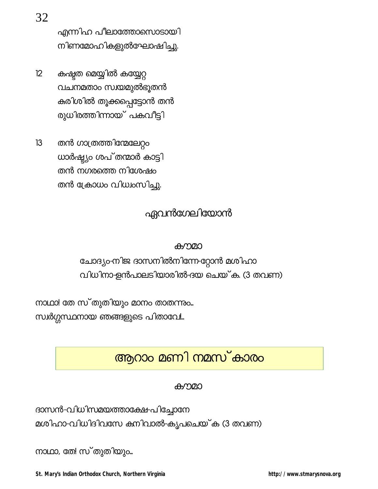എന്നിഹ പീലാത്തോസൊടായി നിണമോഹികളുൽഘോഷിച്ചു.

- $12$ കഷ്ടത മെയ്യിൽ കയ്യേറ്റ വചനമതാം സ്വയമുൽഭൂതൻ കരിശിൽ തൂക്കപ്പെട്ടോൻ തൻ രുധിരത്തിന്നായ് പകവീട്ടി
- $13$ തൻ ഗാത്രത്തിന്മേലേറ്റം ധാർഷ്ട്യം ശപ്തന്മാർ കാട്ടി തൻ നഗരത്തെ നിശേഷം തൻ ക്രോധം വിധ്വംസിച്ചു.

## ഏവൻഗേലിയോൻ

#### കൗമാ

ചോദ്യം-നിജ ദാസനിൽനിന്നേ-റ്റോൻ മശിഹാ വിധിനാ-ളൻപാലടിയാരിൽ-ദയ ചെയ്ക. (3 തവണ)

നാഥാ! തേ സ്തുതിയും മാനം താതന്നും... സ്വർഗ്ഗസ്ഥനായ ഞങ്ങളുടെ പിതാവേ!..

# ആറാം മണി നമസ്കാരം

#### കൗമാ

ദാസൻ-വിധിസമയത്താക്ഷേ-പിച്ചോനേ മശിഹാ-വിധിദിവസേ കനിവാൽ-കൃപചെയ്ക (3 തവണ)

നാഥാ, തേ! സ്തുതിയും...

St. Mary's Indian Orthodox Church, Northern Virginia

32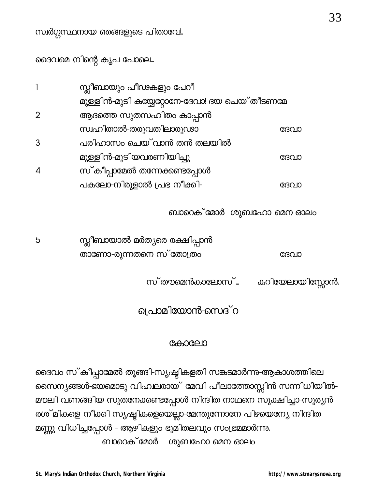ദൈവമെ നിന്റെ കൃപ പോലെ...

|                | സ്ലീബായും പീഢകളും പേറീ                        |      |
|----------------|-----------------------------------------------|------|
|                | മുള്ളിൻ-മുടി കയ്യേറ്റോനേ-ദേവാ! ദയ ചെയ് തീടണമേ |      |
| $\overline{2}$ | ആദത്തെ സുതസഹിതം കാപ്പാൻ                       |      |
|                | സ്വഹിതാൽ-തരുവതിലാരുഢാ                         | ദേവാ |
| 3              | പരിഹാസം ചെയ് വാൻ തൻ തലയിൽ                     |      |
|                | മുള്ളിൻ-മുടിയവരണിയിച്ചു                       | ദേവാ |
|                | സ്കീപ്പാമേൽ തന്നേക്കണ്ടപ്പോൾ                  |      |
|                | പകലോ-നിരുളാൽ പ്രഭ നീക്കി-                     | (૪૩૮ |

ബാറെക് മോർ ശുബഹോ മെന ഓലം

| 5 | സ്ലീബായാൽ മർത്യരെ രക്ഷിപ്പാൻ |      |
|---|------------------------------|------|
|   | താണോ-രുന്നതനെ സ് തോത്രം      | ദേവാ |

സ്തൗമെൻകാലോസ്... കറിയേലായിസ്സോൻ.

പ്രാമിയോൻ-സെദ് റ

#### കോലോ

ദൈവം സ്കീപ്പാമേൽ തൂങ്ങി-സൃഷ്ടികളതി സങ്കടമാർന്നു-ആകാശത്തിലെ സൈന്യങ്ങൾ-ഭയമൊടു വിഹലരായ് മേവി പീലാത്തോസ്സിൻ സന്നിധിയിൽ-മൗലി വണങ്ങിയ സുതനേക്കണ്ടപ്പോൾ നിന്ദിത നാഥനെ സൂക്ഷിച്ചാ-സൂര്യൻ രശ് മികളെ നീക്കി സൃഷ്ടികളെയെല്ലാ-മേന്തുന്നോനേ പിഴയെന്യേ നിന്ദിത മണ്ണു വിധിച്ചപ്പോൾ - ആഴികളും ഭൂമിതലവും സംഭ്രമമാർന്നു. ബാറെക് മോർ ശുബഹോ മെന ഓലം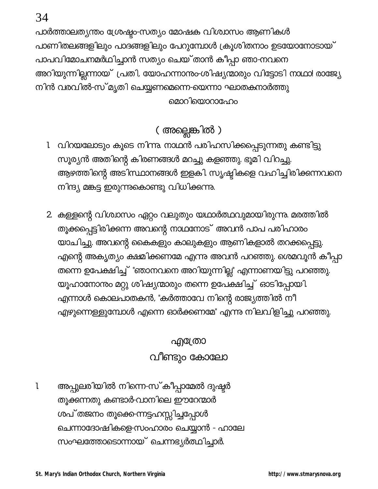പാർത്താലത്യന്തം ശ്രേഷ്ടം-സത്യം മോഷക വിശ്വാസം ആണികൾ പാണിതലങ്ങളിലും പാദങ്ങളിലും പേറുമ്പോൾ ക്രൂശിതനാം ഉടയോനോടായ് പാപവിമോചനമർഥിച്ചാൻ സത്യം ചെയ്താൻ കീപ്പാ ഞാ-നവനെ അറിയുന്നില്ലന്നായ് പ്രതി, യോഹന്നാനും-ശിഷ്യന്മാരും വിട്ടോടി നാഥാ! രാജ്യേ നിൻ വരവിൽ-സ് മൃതി ചെയ്യണമെന്നെ-യെന്നാ ഘാതകനാർത്തു മൊറിയൊറാഹേം

# ( അല്ലെങ്കിൽ )

- 1 വിറയലോടും കൂടെ നിന്നു നാഥൻ പരിഹസിക്കപ്പെടുന്നതു കണ്ടിട്ടു സൂര്യൻ അതിന്റെ കിരണങ്ങൾ മറച്ചു കളഞ്ഞു. ഭൂമി വിറച്ചു. ആഴത്തിന്റെ അടിസ്ഥാനങ്ങൾ ഇളകി. സൃഷ്ടികളെ വഹിച്ചിരിക്കന്നവനെ നിന്ദ്യ മങ്കട്ട ഇരുന്നുകൊണ്ടു വിധിക്കന്നു.
- 2. കള്ളന്റെ വിശ്വാസം ഏറ്റം വലുതും യഥാർത്ഥവുമായിരുന്നു. മരത്തിൽ തൂക്കപ്പെട്ടിരിക്കന്ന അവന്റെ നാഥനോട് അവൻ പാപ പരിഹാരം യാചിച്ചു. അവന്റെ കൈകളും കാലുകളും ആണികളാൽ തറക്കപ്പെട്ടു. എന്റെ അകൃത്യം ക്ഷമിക്കണമേ എന്നു അവൻ പറഞ്ഞു. ശെമവൂൻ കീപ്പാ തന്നെ ഉപേക്ഷിച്ച് "ഞാനവനെ അറിയുന്നില്ല" എന്നാണയിട്ടു പറഞ്ഞു. യൂഹാനോന്നം മറ്റു ശിഷ്യന്മാരും തന്നെ ഉപേക്ഷിച്ച് ഓടിപ്പോയി. എന്നാൾ കൊലപാതകൻ, "കർത്താവേ നിന്റെ രാജ്യത്തിൽ നീ എഴുന്നെള്ളുമ്പോൾ എന്നെ ഓർക്കണമേ" എന്നു നിലവിളിച്ചു പറഞ്ഞു.

# എ്രോ വീണ്ടും കോലോ

അപ്പുലരിയിൽ നിന്നെ-സ്കീപ്പാമേൽ ദുഷ്ടർ 1 തൂക്കന്നതു കണ്ടാർ-വാനിലെ ഈറേന്മാർ ശപ് തജനം തൂക്കെന്നട്ടഹസ്സിച്ചപ്പോൾ ചെന്നാദോഷികളെ-സംഹാരം ചെയ്യാൻ - ഹാലേ സംഘത്തോടൊന്നായ് ചെന്നഭ്യർത്ഥിച്ചാർ.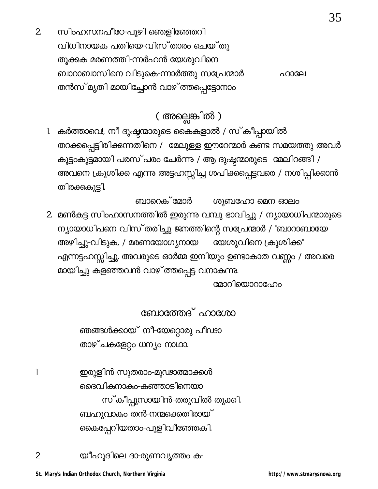സിംഹസനപീഠേ-പൂഴി ഞെളിഞ്ഞേറി  $\overline{2}$ വിധിനായക പതിയെ-വിസ്താരം ചെയ്തു തൂക്കുക മരണത്തി-ന്നർഹൻ യേശുവിനെ ബാറാബാസിനെ വിടുകെ-ന്നാർത്തു സപ്രേന്മാർ ഹാലേ തൻസ് മൃതി മായിച്ചോൻ വാഴ് ത്തപ്പെട്ടോനാം

## ( അല്ലെങ്കിൽ )

- കർത്താവെ!, നീ ദുഷ്ടന്മാരുടെ കൈകളാൽ / സ്കീപ്പായിൽ l തറക്കപ്പെട്ടിരിക്കന്നതിനെ / മേലുള്ള ഈറേന്മാർ കണ്ട സമയത്തു അവർ കൂട്ടംകൂട്ടമായി പരസ്പരം ചേർന്നു / ആ ദുഷ്ടന്മാരുടെ മേലിറങ്ങി / അവനെ ക്രൂശിക്ക എന്നു അട്ടഹസ്സിച്ച ശപിക്കപ്പെട്ടവരെ / നശിപ്പിക്ക<mark>ാ</mark>ൻ തിരക്കുകൂട്ടി.
- ശുബഹോ മെന ഓലം ബാറെക് മോർ 2. മൺകട്ട സിംഹാസനത്തിൽ ഇരുന്നു വമ്പു ഭാവിച്ചു / ന്യായാധിപന്മാരുടെ ന്യായാധിപനെ വിസ്തരിച്ചു ജനത്തിന്റെ സപ്രേന്മാർ / "ബാറാബായേ യേശുവിനെ ക്രൂശിക്ക" അഴിച്ചു-വിടുക, / മരണയോഗ്യനായ എന്നട്ടഹസ്സിച്ചു. അവരുടെ ഓർമ്മ ഇനിയും ഉണ്ടാകാത വണ്ണം / അവരെ മായിച്ചു കളഞ്ഞവൻ വാഴ്ത്തപ്പെട്ട വനാകുന്നു.

മോറിയൊറാഫോം

ബോത്തേദ് ഹാഗ്രോ

ഞങ്ങൾക്കായ് നീ-യേറ്റൊരു പീഢാ താഴ്ചകളേറ്റം ധന്യം നാഥാ.

ഇരുളിൻ സുതരാം-മൂഢാത്മാക്കൾ ദൈവികനാകം-കഞ്ഞാടിനെയാ സ്കീപ്പൂസായിൻ-തരുവിൽ തൂക്കി. ബഹുവാകം തൻ-നന്മക്കെതിരായ് കൈപ്പേറിയതാം-പുളിവീഞ്ഞേകി.

 $\mathbf{1}$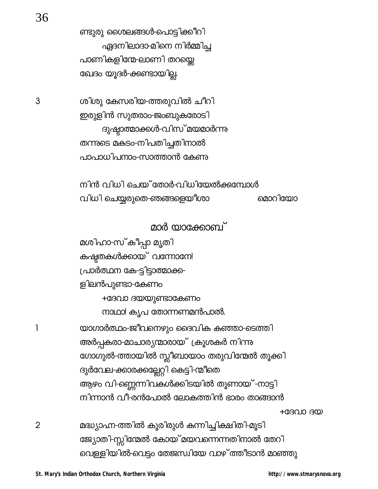ണ്ടുരു ശൈലങ്ങൾ-പൊട്ടിക്കീറി ഏദനിലാദാ-മിനെ നിർമ്മിച്ച പാണികളിന്മേ-ലാണി തറയ്കെ ഖേദം യൂദർ-ക്കണ്ടായില്ല.

ശിശു കേസരിയ-ത്തരുവിൽ ചീറി ഇരുളിൻ സുതരാം-ജംബുകരോടി ദുഷ്ടാത്മാക്കൾ-വിസ് മയമാർന്നു തന്നുടെ മകടം-നിപതിച്ചതിനാൽ പാപാധിപനാം-സാത്താൻ കേണു

നിൻ വിധി ചെയ് തോർ-വിധിയേൽക്കുമ്പോൾ വിധി ചെയ്യരുതെ-ഞങ്ങളെയീശാ മൊറിയോ

മാർ യാക്കോബ്

മശിഹാ-സ്കീപ്പാ മൃതി കഷ്ടതകൾക്കായ് വന്നോനേ! പ്രാർത്ഥന കേ-ട്ടിട്ടാത്മാക്ക-ളിലൻപുണ്ടാ-കേണം +ദേവാ ദയയുണ്ടാകേണം നാഥാ! കൃപ തോന്നണമൻപാൽ. യാഗാർത്ഥം-ജീവനെഴും ദൈവിക കഞ്ഞാ-ടെത്തി അർപ്പകരാ-മാചാര്യന്മാരായ് ക്രൂശകർ നിന്നു ഗോഗുൽ-ത്തായിൽ സ്ലീബായാം തരുവിന്മേൽ തൂക്കി ദുർവേല-ക്കാരക്കല്ലേറ്റി കെട്ടി-ന്മീതെ ആഴം വി-ണ്ണെന്നിവകൾക്കിടയിൽ തൂണായ് -നാട്ടി നിന്നാൻ വീ-രൻപോൽ ലോകത്തിൻ ഭാരം താങ്ങാൻ  $+$ GBQIO B $@$ 

മദ്ധ്യാഹ്ന-ത്തിൽ കൂരിരുൾ കുന്നിച്ചിക്ഷിതി-മൂടി ജ്യോതി-സ്സിന്മേൽ കോയ് മയവന്നെന്നതിനാൽ തേറി വെള്ളിയിൽ-വെട്ടം തേജസ്വിയേ വാഴ് ത്തീടാൻ മാഞ്ഞു

http://www.stmarysnova.org

1

 $\overline{2}$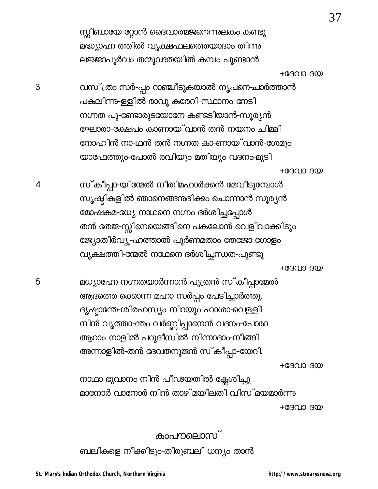സ്സീബായേ-റ്റോൻ ദൈവാത്മജനെന്നുലകം-കണ്ടു മദ്ധ്യാഹ്ന-ത്തിൽ വൃക്ഷഫലത്തെയാദാം തിന്നു ലജ്ജാപൂർവം തന്മൂഢതയിൽ കമ്പം പൂണ്ടാൻ

#### $+$ GBQIO B $@$

വസ് ത്രം സർ-പ്പം റാഞ്ചീടുകയാൽ നൃപണ-ചാർത്താൻ പകലിന്നു-ള്ളിൽ രാവു കരേറി സ്ഥാനം നേടി നഗ്നത പൂ-ണ്ടോരുടയോനേ കണ്ടടിയാൻ-സൂര്യൻ ഘോരാ-ക്ഷേപം കാണായ് വാൻ തൻ നയനം ചിമ്മി നോഹിൻ നാ-ഥൻ തൻ നഗ്നത കാ-ണായ് വാൻ-ശേമും യാഫേത്തും-പോൽ രവിയും മതിയും വദനം-മൂടി

#### $+$ GBOID BCO)

സ്കീപ്പാ-യിന്മേൽ നീതിമഹാർക്കൻ മേവീടുമ്പോൾ സൃഷ്ടികളിൽ ഞാനെങ്ങന്ദദിക്കം ചൊന്നാൻ സൂര്യൻ മോഷകമ-ധ്യേ നാഥനെ നഗ്നം ദർശിച്ചപ്പോൾ തൻ തേജ-സ്സിനെയെങ്ങിനെ പകലോൻ വെളിവാക്കിടും ജ്യോതിർവ്യൂ-ഹത്താൽ പൂർണമതാം തേജോ ഗോളം വൃക്ഷത്തി-ന്മേൽ നാഥനെ ദർശിച്ചന്ധത-പുണ്ടു

 $+$ GB $\Omega$ IO B $\omega$ 

മധ്യാഹ്നേ-നഗ്നതയാർന്നാൻ പുത്രൻ സ്കീപ്പാമേൽ ആദത്തെ-ക്കൊന്ന മഹാ സർപ്പം പേടിച്ചാർത്തു. ദൃഷ്ടാന്തേ-ശിരഹസ്യം നിറയും ഹാശാ-വെള്ളി! നിൻ വൃത്താ-ന്തം വർണ്ണിപ്പാനെൻ വദനം-പോരാ ആറാം നാളിൽ പറുദീസിൽ നിന്നാദാം-നീങ്ങി അന്നാളിൽ-തൻ ദേവതനൂജൻ സ്കീപ്പാ-യേറി.

 $+$ GBQIO B $@$ 

നാഥാ ഭൂവാനം നിൻ പീഢയതിൽ ക്ലേശിച്ചു മാനോർ വാനോർ നിൻ താഴ് മയിലതി വിസ് മയമാർന്നു  $+$ GB $\Omega$ IO B $\omega$ 

### കാപനലൊസ്

ബലികളെ നീക്കീടും-തിരുബലി ധന്യം താൻ

 $\overline{4}$ 

5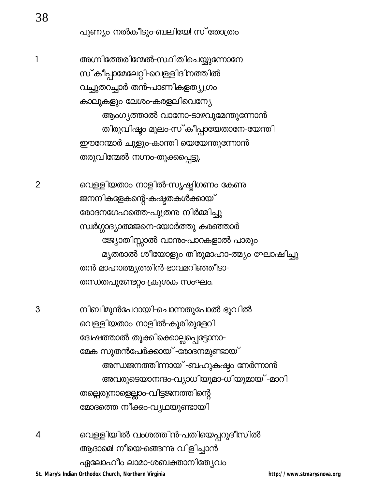പുണ്യം നൽകീടും-ബലിയേ! സ്തോത്രം

അഗ്നിത്തേരിന്മേൽ-സ്ഥിതിചെയ്യുന്നോനേ സ്കീപ്പാമേലേറ്റി-വെള്ളിദിനത്തിൽ വച്ചുതറച്ചാർ തൻ-പാണികളത്യ്യഗ്രം കാലുകളും ലേശ<mark>ം</mark>-കരളലിവെന്യേ ആംഗ്യത്താൽ വാനോ-ടാഴവുമേന്തുന്നോൻ തിരുവിഷ്ടം മൂലം-സ്കീപ്പായേതാനേ-യേന്തി ഈറേന്മാർ ചൂളും-കാന്തി യെയേന്തുന്നോൻ തരുവിന്മേൽ നഗ്നം-തൂക്കപ്പെട്ടു.

> വെള്ളിയതാം നാളിൽ-സൃഷ്ടിഗണം കേണു ജനനികളേകന്റെ-കഷ്ടതകൾക്കായ് രോദനഗേഹത്തെ-പുത്രന്ത നിർമ്മിച്ചു സ്വർഗ്ഗാദ്യാത്മജനെ-യോർത്തു കരഞ്ഞാർ ജ്യോതിസ്സാൽ വാന്തംപാറകളാൽ പാരും മൃതരാൽ ശീയോളും തിരുമാഹാ-ത്മ്യം ഘോഷിച്ചു തൻ മാഹാത്മ്യത്തിൻ-ഭാവമറിഞ്ഞീടാ-തന്ധതപൂണ്ടേറ്റം-ക്രൂശക സംഘം.

നിബിമുൻപേറായി-ചൊന്നതുപോൽ ഭൂവിൽ വെള്ളിയതാം നാളിൽ-കൂരിരുളേറി ദ്വേഷത്താൽ തൂക്കിക്കൊല്ലപ്പെട്ടോനാ-മേക സുതൻപേർക്കായ് -രോദനമുണ്ടായ് അന്ധജനത്തിന്നായ് -ബഹുകഷ്ടം നേർന്നാൻ അവരുടെയാനന്ദം-വ്യാധിയുമാ-ധിയുമായ് -മാറി തല്പെരുനാളെല്ലാം-വിട്ടജനത്തിന്റെ മോദത്തെ നീക്കം-വ്യഥയുണ്ടായി

വെള്ളിയിൽ വംശത്തിൻ-പതിയെപ്പറുദീസിൽ 4 ആദാമെ! നീയെ-ങ്ങെന്നു വിളിച്ചാൻ ഏലോഹീം ലാമാ-ശബക്താനിത്യേവം

St. Mary's Indian Orthodox Church, Northern Virginia

http://www.stmarysnova.org

3

 $\overline{2}$ 

 $\mathbf{1}$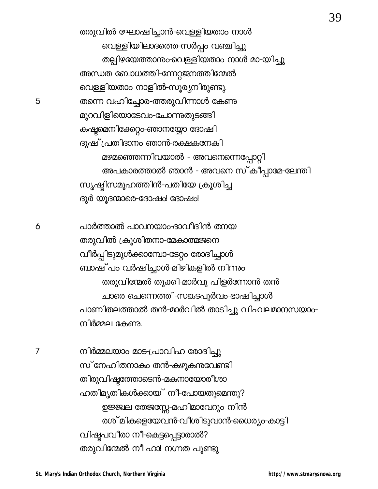തരുവിൽ ഘോഷിച്ചാൻ-വെള്ളിയതാം നാൾ വെള്ളിയിലാദത്തെ-സർപ്പം വഞ്ചിച്ചു തല്പിഴയേത്താനും വെള്ളിയതാം നാൾ മാ-യിച്ചു അന്ധത ബോധത്തി-ന്നേറ്റജനത്തിന്മേൽ വെള്ളിയതാം നാളിൽ-സൂര്യനിരുണ്ടു. തന്നെ വഹിച്ചോര-ത്തരുവിന്നാൾ കേണു മുറവിളിയൊടേവം-ചോന്നുതുടങ്ങി കഷ്ടമെനിക്കേറ്റാ-ഞാനയ്യോ ദോഷി ദുഷ് പ്രതിദാനം ഞാൻ-രക്ഷകനേകി മഴമഞ്ഞെന്നിവയാൽ - അവനെന്നെപ്പോറ്റി അപകാരത്താൽ ഞാൻ - അവനെ സ്കീപ്പാമേ-ലേന്തി സൃഷ്ടിസമൂഹത്തിൻ-പതിയേ ക്രൂശിച്ച ദുർ യൂദന്മാരെ-ദോഷം! ദോഷം!

പാർത്താൽ പാവനയാം-ദാവീദിൻ ത്നയ തരുവിൽ ക്രൂശിതനാ-മേകാത്മജനെ വീർപ്പിടുമുൾക്കാമ്പോ-ടേറ്റം രോദിച്ചാൾ ബാഷ് പം വർഷിച്ചാൾ-മിഴികളിൽ നിന്നും തരുവിന്മേൽ തൂക്കി-മാർവു പിളർന്നോൻ തൻ ചാരെ ചെന്നെത്തി-സങ്കടപൂർവം-ഭാഷിച്ചാൾ പാണിതലത്താൽ തൻ-മാർവിൽ താടിച്ചു വിഹലമാനസയാം-നിർമ്മല കേണു.

നിർമ്മലയാം മാട-പ്രാവിഹ രോദിച്ചു സ് നേഹിതനാകം തൻ-കഴുകനവേണ്ടി തിരുവിഷ്ടത്തോടെൻ-മകനായോരീശാ ഹതിമൃതികൾക്കായ് നീ-പോയതുമെന്തു? ഉജ്ജ്ഥ തേജസ്സേ-മഹിമാവേറും നിൻ രശ് മികളെയേവൻ-വീശിടുവാൻ-ധൈര്യം-കാട്ടി വിഷ്ടപവീരാ നീ-കെട്ടപ്പെട്ടാരാൽ? തരുവിന്മേൽ നീ ഹാ! നഗ്നത പൂണ്ടു

 $\overline{7}$ 

39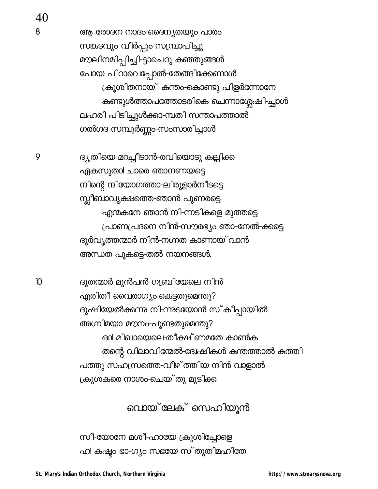9

 $\mathbf D$ 

ആ രോദന നാദം-ദൈന്യതയും പാരം സങ്കടവും വീർപ്പും-സമ്പ്രാപിച്ചു മൗലിനമിപ്പിച്ചി-ട്ടാചെറു കഞ്ഞുങ്ങൾ പോയ പിറാവെപ്പോൽ-തേങ്ങിക്കേണാൾ ക്രൂശിതനായ് കന്തം-കൊണ്ടു പിളർന്നോനേ കണ്ടുൾത്താപത്തോടരികെ ചെന്നാശ്ലേഷി-ച്ചാൾ ലഹരി പിടിച്ചുൾക്കാ-മ്പതി സന്താപത്താൽ ഗൽഗദ സമ്പൂർണ്ണം-സംസാരിച്ചാൾ

ദ്യതിയെ മറച്ചീടാൻ-രവിയൊടു കല്പിക്ക ഏകസുതാ! ചാരെ ഞാനണയട്ടെ നിന്റെ നിയോഗത്താ-ലിരുളാർനീടട്ടെ സ്ലീബാവൃക്ഷത്തെ-ഞാൻ പുണരട്ടെ എന്മകനേ ഞാൻ നി-ന്നടികളെ മുത്തട്ടെ പ്രാണപ്രദനെ നിൻ-സൗരഭ്യം ഞാ-നേൽ-ക്കട്ടെ ദുർവ്യത്തന്മാർ നിൻ-നഗ്നത കാണായ് വാൻ അന്ധത പൂകട്ടെ-തൽ നയനങ്ങൾ.

ദൂതന്മാർ മുൻപൻ-ഗബ്രിയേലെ നിൻ എരിതീ വൈരാഗ്യാ-കെട്ടതുമെന്തു? ദുഷിയേൽക്കന്നു നി-ന്നുടയോൻ സ് കീപ്പായിൽ അഗ്നിമയാ മൗനം-പൂണ്ടതുമെന്തു? ഓ! മിഖായെലെ-തീക്ഷ് ണമതേ കാൺക തന്റെ വിലാവിന്മേൽ-ദേശ്ചികൾ കന്തത്താൽ കത്തി പത്തു സഹസ്രത്തെ-വീഴ്ത്തിയ നിൻ വാളാൽ ക്രൂശകരെ നാശം-ചെയ്തു മുടിക്ക

വൊയ്ലേക് സെഹിയുൻ

സീ-യോനേ മശീ-ഹായേ ക്രൂശിച്ചോളെ ഹ! കഷ്ടം ഭാ-ഗ്യം സഭയേ സ്തുതിമഹിതേ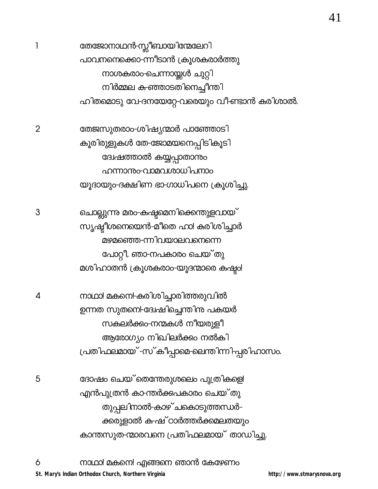തേജോനാഥൻ-സ്സീബായിന്മേലേറി പാവനനെക്കൊ-ന്നീടാൻ ക്രൂശകരാർത്തു നാശകരാം-ചെന്നായ്ക്കൾ ചുറ്റി നിർമ്മല ക-ഞ്ഞാടതിനെച്ചീന്തി ഹിതമൊടു വേ-ദനയേറ്റേ-വരെയും വീ-ണ്ടാൻ കരിശാൽ.

തേജസുതരാം-ശിഷ്യന്മാർ പാഞ്ഞോടി കൂരിരുളുകൾ തേ-ജോമയനെപ്പിടികൂടി ദ്വേഷത്താൽ കയ്യപ്പാതാന്തം ഹന്നാനും-വാമവശാധിപനാം യൂദായും-ദക്ഷിണ ഭാ-ഗാധിപനെ ക്രൂശിച്ചു.

ചൊല്ലുന്നു മരാ-കഷ്ട്രമെനിക്കെന്തുളവായ് സൃഷ്ടീശനെയെൻ-മീതെ ഹാ! കരിശിച്ചാർ മഴമഞ്ഞെ-ന്നിവയാലവനെന്നെ പോറ്റീ, ഞാ-നപകാരം ചെയ്തു മശിഹാതൻ ക്രൂശകരാം-യൂദന്മാരെ കഷ്ടം!

നാഥാ! മകനെ!-കരിശിച്ചാരിത്തരുവിൽ ഉന്നത സുതനെ!-ദ്വേഷിച്ചെന്തിനു പകയർ സകലർക്കം-നന്മകൾ നീയരുളീ ആരോഗ്യം നിഖിലർക്കം നൽകി പ്രതിഫലമായ് -സ്കീപ്പാമെ-ലെന്തിന്നി-പ്പരിഹാസം.

ദോഷം ചെയ്`തെന്തേരുശലെം പുത്രികളെ! എൻപുത്രൻ കാ-ന്തർക്കപകാരം ചെയ് തു തുപ്പലിനാൽ-കാഴ് ചകൊടുത്തന്ധർ-ക്കരുളാൽ ക-ഷ് ഠാർത്തർക്കമലതയും കാന്തസുത-ന്മാരവനെ പ്രതിഫലമായ് താഡിച്ചു. 41

 $\mathbf{1}$ 

 $\overline{2}$ 

4

5

3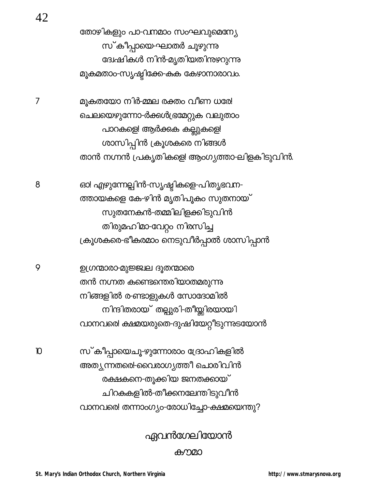#### കനമാ

# ഏവൻഗേലിയോൻ

സ്കീപ്പായെചൂ-ഴുന്നോരാം ദ്രോഹികളിൽ അത്യുന്നതരെ!-വൈരാഗ്യത്തീ ചൊരിവിൻ രക്ഷകനെ-തൂക്കിയ ജനതക്കായ് ചിറകുകളിൽ-തീക്കനലേന്തിടുവീൻ വാനവരെ! തന്നാംഗ്യം-രോധിച്ചോ-ക്ഷമയെന്തു?

ഉഗ്രന്മാരാ-മുജ്ജ്ഥ ദൂതന്മാരെ തൻ നഗ്നത കണ്ടെന്തെരിയാതമരുന്നു നിങ്ങളിൽ ര-ണ്ടാളുകൾ സോദോമിൽ നിന്ദിതരായ് തല്പുരി-തീയ്<u>ലി</u>രയായി വാനവരെ! ക്ഷമയരുതെ-ദുഷിയേറ്റീടുന്നുടയോൻ

ഓ! എഴുന്നേല്പിൻ-സൃഷ്ടികളെ-പിതൃഭവന-ത്തായകളെ കേ-ഴിൻ മൃതിപൂകം സുതനായ് സുതനേകൻ-തമ്മിലിളക്കിടുവിൻ തിരുമഹിമാ-വേറ്റം നിരസിച്ച ക്രൂശകരെ-ഭീകരമാം നെടുവീർപ്പാൽ ശാസിപ്പാൻ

മുകതയോ നിർ-മ്മല രക്തം വീണ ധരേ! ചെലയെഴുന്നോ-ർക്കൾഭ്രമേറ്റുക വലുതാം പാറകളെ! ആർക്കക കല്ലുകളെ! ശാസിപ്പിൻ ക്രൂശകരെ നിങ്ങൾ താൻ നഗ്നൻ പ്രകൃതികളെ! ആംഗൃത്താ-ലിളകിടുവിൻ.

തോഴികളും പാ-വനമാം സംഘവുമെന്ന്യേ സ്കീപ്പായെ-ഘാതർ ചൂഴുന്നു ദ്വേഷികൾ നിൻ-മൃതിയതിനുഴറുന്നു മൂകമതാം-സൃഷ്ടിക്കേ-കുക കേഴാനാരാവം.

 $\overline{7}$ 

8

9

 $\mathbf{D}$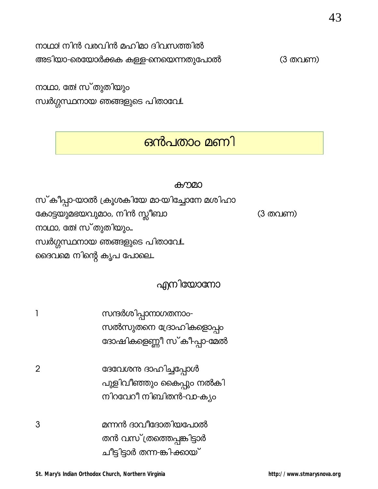$\overline{2}$ 

നാഥാ! നിൻ വരവിൻ മഹിമാ ദിവസത്തിൽ

അടിയാ-രെയോർക്കക കള്ള-നെയെന്നതുപോൽ

നാഥാ, തേ! സ്തുതിയും സ്വർഗ്ഗസ്ഥനായ ഞങ്ങളുടെ പിതാവേ!

# ഒൻപതാം മണി

### കൗമാ

സ്കീപ്പാ-യാൽ ക്രൂശകിയേ മാ-യിച്ചോനേ മശിഹാ കോട്ടയുമഭയവുമാം, നിൻ സ്ലീബാ (3 തവണ) നാഥാ, തേ! സ്തുതിയും... സ്വർഗ്ഗസ്ഥനായ ഞങ്ങളുടെ പിതാവേ!.. ദൈവമെ നിന്റെ കൃപ പോലെ...

# എനിയോനോ

- സന്ദർശിപ്പാനാഗതനാം- $\mathbf{1}$ സൽസുതനെ ദ്രോഹികളൊപ്പം ദോഷികളെണ്ണീ സ്കീപ്പാ-മേൽ
	- ദേവേശന ദാഹിച്ചപ്പോൾ പുളിവീഞ്ഞും കൈപ്പും നൽകി നിറവേറീ നിബിതൻ-വാ-ക്യം
- മന്നൻ ദാവീദോതിയപോൽ 3 തൻ വസ് ത്രത്തെപ്പങ്കിട്ടാർ ചീട്ടിട്ടാർ തന്ന-ങ്കി-ക്കായ്

(3 തവണ)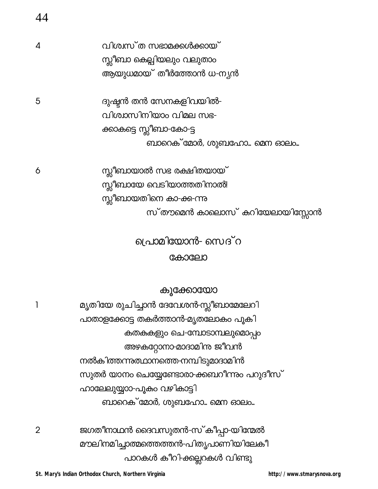|   | വിശ്വസ്ത സഭാമക്കൾക്കായ്       |
|---|-------------------------------|
|   | സ്ക്ലീബാ കെല്പിയലും വലുതാം    |
|   | ആയുധമായ് തീർത്തോൻ ധ-ന്യൻ      |
| 5 | ദുഷ്ടൻ തൻ സേനകളിവയിൽ-         |
|   | വിശ്വാസിനിയാം വിമല സഭ-        |
|   | ക്കാകട്ടെ സ്ലീബാ-കോ-ട്ട       |
|   | ബാറെക് മോർ, ശുബഹോ… മെന ഓലം…   |
| 6 | സ്ലീബായാൽ സഭ രക്ഷിതയായ്       |
|   | സ്ലീബായേ വെടിയാത്തതിനാൽ!      |
|   | സ്ലീബായതിനെ കാ-ക്ക-ന്നു       |
|   | സ്തൗമെൻ കാലൊസ് കറിയേലായിസ്സോൻ |
|   |                               |

# പ്രൊമിയോൻ- സെദ് റ

### കോലോ

കൂക്കോയോ

മൃതിയേ രുചിച്ചാൻ ദേവേശൻ-സ്ലീബാമേലേറി 1 പാതാളക്കോട്ട തകർത്താൻ-മൃതലോകം പൂകി കതകകളും ചെ-മ്പോടാമ്പലുമൊപ്പം അഴകറ്റോനാ-മാദാമിനു ജീവൻ നൽകിത്തന്നുഝാനത്തെ-നമ്പിടുമാദാമിൻ സുതർ യാനം ചെയ്യേണ്ടോരാ-ക്കബറീന്നും പറുദീസ് ഹാലേലുയ്യാാ-പൂകം വഴികാട്ടി ബാറെക് മോർ, ശുബഹോ... മെന ഓലം...

ജഗതീനാഥൻ ദൈവസുതൻ-സ്കീപ്പാ-യിന്മേൽ മൗലിനമിച്ചാത്മത്തെത്തൻ-പിതൃപാണിയിലേകീ പാറകൾ കീറി-ക്കല്ലറകൾ വിണ്ടു

 $\overline{2}$ 

44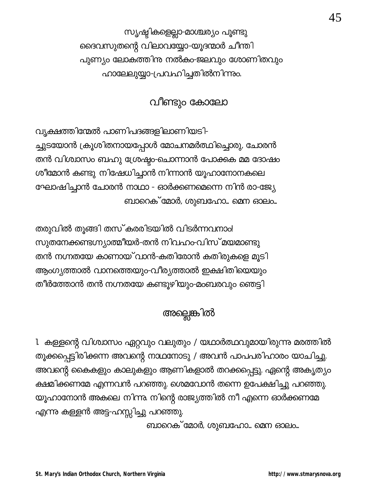സൃഷ്ടികളെല്ലാ-മാശ്ചര്യം പൂണ്ടു ദൈവസുതന്റെ വിലാവയ്യോ-യൂദന്മാർ ചീന്തി പുണ്യം ലോകത്തിന നൽകം-ജലവും ശോണിതവും ഹാലേലുയ്യാ-പ്രവഹിച്ചതിൽനിന്നും.

വീണ്ടും കോലോ

വ്യക്ഷത്തിന്മേൽ പാണിപദങ്ങളിലാണിയടി-ച്ചുടയോൻ ക്രൂശിതനായപ്പോൾ മോചനമർത്ഥിച്ചൊരു, ചോരൻ തൻ വിശ്വാസം ബഹു ശ്രേഷ്ട്ര-ചൊന്നാൻ പോക്കുക മമ ദോഷം ശീമോൻ കണ്ടു നിഷേധിച്ചാൻ നിന്നാൻ യൂഹാനോനകലെ ഘോഷിച്ചാൻ ചോരൻ നാഥാ - ഓർക്കണമെന്നെ നിൻ രാ-ജ്യേ ബാറെക് മോർ, ശുബഹോ... മെന ഓലം...

തരുവിൽ തൂങ്ങി തസ്കരരിടയിൽ വിടർന്നവനാം! സുതനേക്കണ്ടഗ്ന്യാത്മീയർ-തൻ നിവഹം-വിസ് മയമാണ്ടു തൻ നഗ്നതയേ കാണായ് വാൻ-കതിരോൻ കതിരുകളെ മൂടി ആംഗൃത്താൽ വാനത്തെയും-വീര്യത്താൽ ഇക്ഷിതിയെയും തീർത്തോൻ തൻ നഗ്നതയേ കണ്ടൂഴിയും-മംബരവും ഞെട്ടി

# അല്ലെങ്കിൽ

1. കള്ളന്റെ വിശ്വാസം ഏറ്റവും വലുതും / യഥാർത്ഥവുമായിരുന്നു മരത്തിൽ തൂക്കപ്പെട്ടിരിക്കന്ന അവന്റെ നാഥനോടു / അവൻ പാപപരിഹാരം യാചിച്ചു. അവന്റെ കൈകളും കാലുകളും ആണികളാൽ തറക്കപ്പെട്ടു. ഏന്റെ അകൃത്യം ക്ഷമിക്കണമേ എന്നവൻ പറഞ്ഞു. ശെമവോൻ തന്നെ ഉപേക്ഷിച്ചു പറഞ്ഞു. യൂഹാനോൻ അകലെ നിന്നു. നിന്റെ രാജ്യത്തിൽ നീ എന്നെ ഓർക്കണമേ എന്നു കള്ളൻ അട്ട-ഹസ്സിച്ചു പറഞ്ഞു.

ബാറെക് മോർ, ശുബഹോ... മെന ഓലം...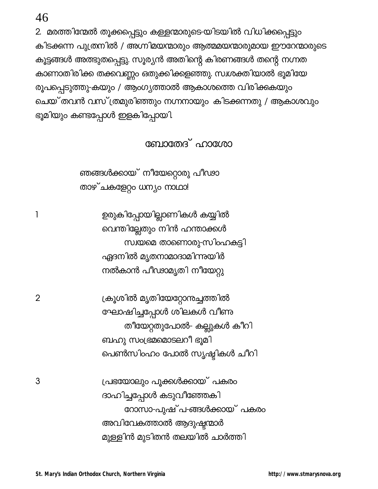$\mathbf{1}$ 

 $\overline{2}$ 

3

2. മരത്തിന്മേൽ തൂക്കപ്പെട്ടും കള്ളന്മാരുടെ-യിടയിൽ വിധിക്കപ്പെട്ടും കിടക്കുന്ന പുത്രനിൽ / അഗ്നിമയന്മാരും ആത്മമയന്മാരുമായ ഈറേന്മാരുടെ കൂട്ടങ്ങൾ അത്ഭുതപ്പെട്ടു. സൂര്യൻ അതിന്റെ കിരണങ്ങൾ തന്റെ നഗ്നത കാണാതിരിക്ക തക്കവണ്ണം ഒതുക്കിക്കളഞ്ഞു. സ്വശക്തിയാൽ ഭൂമിയേ രൂപപ്പെടുത്തു-കയും / ആംഗ്യത്താൽ ആകാശത്തെ വിരിക്കുകയും ചെയ് തവൻ വസ് ത്രമുരിഞ്ഞും നഗ്നനായും കിടക്കന്നതു / ആകാശവും ഭൂമിയും കണ്ടപ്പോൾ ഇളകിപ്പോയി.

ബോതേദ് ഹാശോ

ഞങ്ങൾക്കായ് നീയേറ്റൊരു പീഢാ താഴ്ചകളേറ്റം ധന്യം നാഥാ!

ഉരുകിപ്പോയില്ലാണികൾ കയ്യിൽ വെന്തില്ലേതും നിൻ ഹന്താക്കൾ സ്വയമെ താണൊരു-സിംഹകുട്ടി ഏദനിൽ മൃതനാമാദാമിന്നുയിർ നൽകാൻ പീഢാമൃതി നീയേറ്റു

ക്രൂശിൽ മൃതിയേറ്റോനുച്ചത്തിൽ ഘോഷിച്ചപ്പോൾ ശിലകൾ വീണു തീയേറ്റതുപോൽ- കല്ലുകൾ കീറി ബഹു സംഭ്രമമൊടലറീ ഭൂമി പെൺസിംഹം പോൽ സൃഷ്ടികൾ ചീറി

പ്രഭയോലും പൂക്കൾക്കായ് പകരം ദാഹിച്ചപ്പോൾ കടുവീഞ്ഞേകി റോസാ-പുഷ് പ-ങ്ങൾക്കായ് പകരം അവിവേകത്താൽ ആദുഷ്ടന്മാർ മുള്ളിൻ മുടിതൻ തലയിൽ ചാർത്തി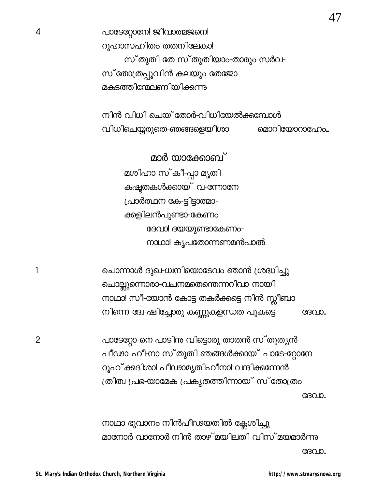പാടേറ്റോനേ! ജീവാത്മജനെ! റുഹാസഹിതം തതനിലേകാ! സ്തുതി തേ സ്തുതിയാം-താരും സർവ-സ് തോത്രപ്പൂവിൻ കലയും തേജോ മകടത്തിന്മേലണിയിക്കുന്നു

നിൻ വിധി ചെയ് തോർ-വിധിയേൽക്കുമ്പോൾ വിധിചെയ്യരുതെ-ഞങ്ങളെയീശാ മൊറിയോറാഫോം...

മാർ യാക്കോബ് മശിഹാ സ്കീ-പ്പാ മൃതി കഷ്ടതകൾക്കായ് വ-ന്നോനേ പ്രാർത്ഥന കേ-ട്ടിട്ടാത്മാ-ക്കളിലൻപുണ്ടാ-കേണം ദേവാ! ദയയുണ്ടാകേണം-നാഥാ! കൃപതോന്നണമൻപാൽ

ചൊന്നാൾ ദുഖ-ധനിയൊടേവം ഞാൻ ശ്രദ്ധിച്ചു ചൊല്ലുന്നൊരാ-വചനമതെന്തെന്നറിവാ നായി നാഥാ! സീ-യോൻ കോട്ട തകർക്കട്ടെ നിൻ സ്ലീബാ നിന്നെ ദ്വേ-ഷിച്ചോരു കണ്ണുകളന്ധത പൂകട്ടെ ദേവാ.

പാടേറ്റോ-നെ പാടിനു വിട്ടൊരു താതൻ-സ് തുതൃൻ പീഢാ ഹീനാ സ്തുതി ഞങ്ങൾക്കായ് പാടേ-റ്റോനേ റൂഹ് ക്കദിശാ! പീഢാമൃതിഹീനാ! വന്ദിക്കന്നേൻ ത്രിത്വ പ്രഭ-യാമേക പ്രകൃതത്തിന്നായ് സ്തോത്രം ദേവാ.

നാഥാ ഭൂവാനം നിൻപീഢയതിൽ ക്ലേശിച്ചു മാനോർ വാനോർ നിൻ താഴ് മയിലതി വിസ് മയമാർന്നു ദേവാ.

 $\overline{2}$ 

 $\mathbf{1}$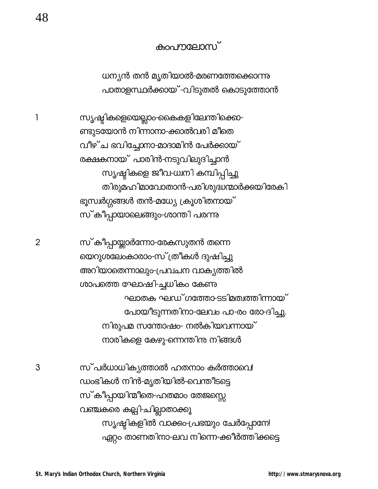### കംപനലോസ്

ധന്യൻ തൻ മൃതിയാൽ-മരണത്തേക്കൊന്നു പാതാളസ്ഥർക്കായ് -വിടുതൽ കൊടുത്തോൻ

സൃഷ്ടികളെയെല്ലാം-കൈകളിലേന്തിക്കൊ-ണ്ടുടയോൻ നിന്നാനാ-ക്കാൽവരി മീതെ വീഴ്ച ഭവിച്ചോനാ-മാദാമിൻ പേർക്കായ് രക്ഷകനായ് പാരിൻ-നടുവിലുദിച്ചാൻ സൃഷ്ടികളെ ജീവ-ധ്വനി കമ്പിപ്പിച്ചു തിരുമഹിമാവോതാൻ-പരിശുദ്ധന്മാർക്കയിരേകി ഭൂസ്വർഗ്ഗങ്ങൾ തൻ-മധ്യേ ക്രൂശിതനായ് സ്കീപ്പായാലെങ്ങും-ശാന്തി പരന്നു

സ്കീപ്പായ്ക്കാർന്നോ-രേകസുതൻ തന്നെ യെറുശലേംകാരാം-സ് ത്രീകൾ ദുഷിച്ചു അറിയാതെന്നാലും-പ്രവചന വാകൃത്തിൽ ശാപത്തെ ഘോഷി-ച്ചധികം കേണു ഘാതക ഘഡ്ഗത്തോ-ടടിമത്വത്തിന്നായ് പോയീടുന്നതിനാ-ലേവം പാ-രം രോ-ദിച്ചു. നിരുപമ സന്തോഷം- നൽകിയവന്നായ് നാരികളെ കേഴു-ന്നെന്തിന് നിങ്ങൾ

സ്പർധാധികൃത്താൽ ഹതനാം കർത്താവെ! ഡംഭികൾ നിൻ-മൃതിയിൽ-വെന്തീടട്ടെ സ്കീപ്പായിന്മീതെ-ഹതമാം തേജസ്സെ വഞ്ചകരെ കല്പി-ചില്ലാതാക്കൂ സ്യഷ്ടികളിൽ വാക്കം-പ്രഭയും ചേർപ്പോനേ! ഏറ്റം താണതിനാ-ലവ നിന്നെ-ക്കീർത്തിക്കട്ടെ

1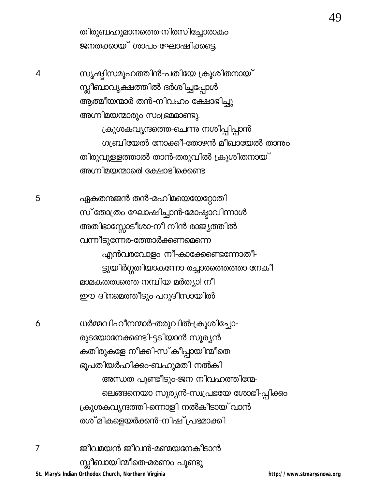തിരുബഹുമാനത്തെ-നിരസിച്ചോരാകം ജനതക്കായ് ശാപം-ഘോഷിക്കടെ.

സൃഷ്ടിസമൂഹത്തിൻ-പതിയേ ക്രൂശിതനായ് സ്സീബാവൃക്ഷത്തിൽ ദർശിച്ചപ്പോൾ ആത്മീയന്മാർ തൻ-നിവഹം ക്ഷോഭിച്ചു അഗ്നിമയന്മാരും സംഭ്രമമാണ്ടു. ക്രൂശകവൃന്ദത്തെ-ചെന്നു നശിപ്പിപ്പാൻ

ഗ്യ ബിയേൽ നോക്കീ-തോഴൻ മീഖായേൽ താന്നും തിരുവുള്ളത്താൽ താൻ-തരുവിൽ ക്രൂശിതനായ് അഗ്നിമയന്മാരെ! ക്ഷോഭിക്കെണ്ട

ഏകതനജൻ തൻ-മഹിമയെയേറ്റോതി സ് തോത്രം ഘോഷിച്ചാൻ-മോഷ്ടാവിന്നാൾ അതിഭാസ്സോടീശാ-നീ നിൻ രാജ്യത്തിൽ വന്നീടുന്നേര-ത്തോർക്കണമെന്നെ എൻവരവോളം നീ-കാക്കേണ്ടെന്നോതീ-ട്ടുയിർഗ്ഗതിയാകന്നോ-രച്ചാരത്തെത്താ-നേകീ മാമകതത്വത്തെ-നമ്പിയ മർത്യാ! നീ ഈ ദിനമെത്തീടും-പറുദീസായിൽ

ധർമ്മവിഹീനന്മാർ-തരുവിൽ-ക്രൂശിച്ചോ-രുടയോനേക്കണ്ടി-ട്ടടിയാൻ സൂര്യൻ കതിരുകളേ നീക്കി-സ്കീപ്പായിന്മീതെ ഭൂപതിയർഹിക്കം-ബഹുമതി നൽകി അന്ധത പൂണ്ടീടും-ജന നിവഹത്തിന്മേ-ലെങ്ങനെയാ സൂര്യൻ-സ്വപ്രഭയേ ശോഭി-പ്പിക്കം ക്രൂശകവൃന്ദത്തി-ന്നൊളി നൽകീടായ് വാൻ രശ് മികളെയർക്കൻ-നിഷ് പ്രഭമാക്കി

ജീവമയൻ ജീവൻ-മണ്മയനേകീടാൻ  $\overline{7}$ സ്സീബായിന്മീതെ-മരണം പൂണ്ടു St. Mary's Indian Orthodox Church, Northern Virginia

4

6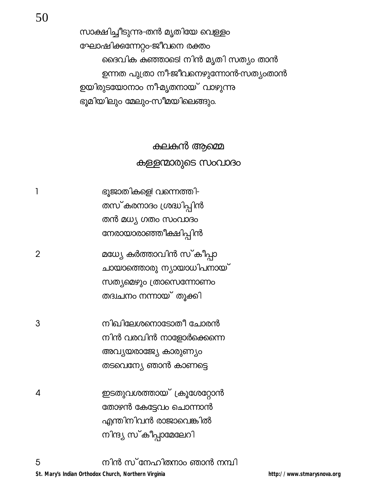സാക്ഷിച്ചീടുന്നു-തൻ മൃതിയേ വെള്ളം ഘോഷിക്കന്നേറ്റം-ജീവനെ രക്തം ദൈവിക കഞ്ഞാടെ! നിൻ മൃതി സത്യം താൻ ഉന്നത പുത്രാ നീ-ജീവനെഴുന്നോൻ-സത്യംതാൻ ഉയിരുടയോനാം നീ-മൃതനായ് വാഴുന്നു ഭൂമിയിലും മേലും-സീമയിലെങ്ങും.

> കലകൻ ആമ്മെ കള്ളന്മാരുടെ സംവാദം

ഭൂജാതികളെ! വന്നെത്തി- $\mathbf{1}$ തസ്കരനാദം ശ്രദ്ധിപ്പിൻ തൻ മധ്യ ഗതം സംവാദം നേരായാരാഞ്ഞീക്ഷിപ്പിൻ

മധ്യേ കർത്താവിൻ സ്കീപ്പാ  $\overline{2}$ ചായാത്തൊരു ന്യായാധിപനായ് സത്യമെഴും ത്രാസെന്നോണം തദ്വചനം നന്നായ് തൂക്കി

3 നിഖിലേശനൊടോതീ ചോരൻ നിൻ വരവിൻ നാളോർക്കെന്നെ അവ്യയരാജ്യേ കാരുണ്യം തടവെന്യേ ഞാൻ കാണട്ടെ

ഇടതുവശത്തായ് ക്രൂശേറ്റോൻ 4 തോഴൻ കേട്ടേവം ചൊന്നാൻ എന്തിനിവൻ രാജാവെങ്കിൽ നിന്ദ്യ സ്കീപ്പാമേലേറി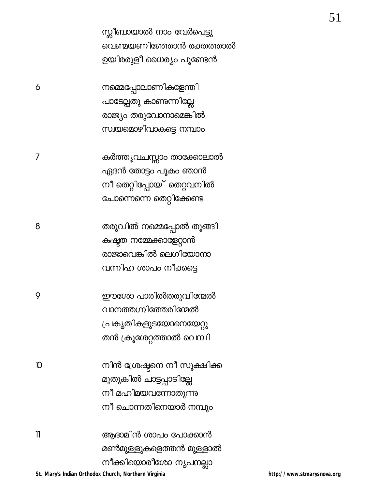സ്ലീബായാൽ നാം വേർപെട്ടു വെണ്മയണിഞ്ഞോൻ രക്തത്താൽ ഉയിരരുളീ ധൈര്യം പൂണ്ടേൻ

നമ്മെപ്പോലാണികളേന്തി പാടേല്പതു കാണന്നില്ലേ രാജ്യം തരുവോനാമെങ്കിൽ സ്വയമൊഴിവാകട്ടെ നമ്പാം

കർത്തൃവചസ്സാം താക്കോലാൽ ഏദൻ തോട്ടം പൂകം ഞാൻ നീ തെറ്റിപ്പോയ് തെറ്റവനിൽ ചോന്നെന്നെ തെറ്റിക്കേണ്ട

6

 $\overline{7}$ 

തരുവിൽ നമ്മെപ്പോൽ തൂങ്ങി 8 കഷ്ടത നമ്മേക്കാളേറ്റാൻ രാജാവെങ്കിൽ ലെഗിയോനാ വന്നിഹ ശാപം നീക്കട്ടെ

9 ഈശോ പാരിൽതരുവിന്മേൽ വാനത്തഗ്നിത്തേരിന്മേൽ പ്രകൃതികളുടയോനെയേറ്റു തൻ ക്രൂശേറ്റത്താൽ വെമ്പി

നിൻ ശ്രേഷ്ടനെ നീ സൂക്ഷിക്ക  $\mathbf{D}$ മുതുകിൽ ചാട്ടപ്പാടില്ലേ നീ മഹിമയവന്നോതുന്നു നീ ചൊന്നതിനെയാർ നമ്പും

 $\overline{\phantom{a}}$ ആദാമിൻ ശാപം പോക്കാൻ മൺമുള്ളുകളെത്തൻ മുള്ളാൽ നീക്കിയൊരീശോ നൃപനല്ലാ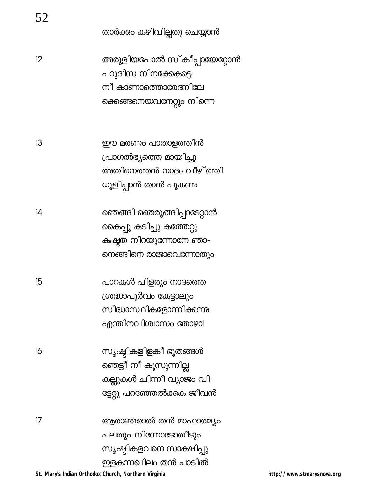| 52 |                            |
|----|----------------------------|
|    | താർക്കം കഴിവില്ലതു ചെയ്യാൻ |
| 12 | അരുളിയപോൽ സ് കീപ്പായേറ്റോൻ |
|    | പറുദീസ നിനക്കേകട്ടെ        |
|    | നീ കാണാത്തൊരേദനിലേ         |
|    | ക്കെങ്ങനെയവനേറ്റും നിന്നെ  |
| 13 | ഈ മരണം പാതാളത്തിൻ          |
|    | പ്രാഗൽഭ്യത്തെ മായിച്ചു     |
|    | അതിനെത്തൻ നാദം വീഴ് ത്തി   |
|    | ധൂളിപ്പാൻ താൻ പൂകന്നു      |
| 14 | ഞെങ്ങി ഞെരുങ്ങിപ്പാടേറ്റാൻ |
|    | കൈപ്പു കടിച്ചു കത്തേറ്റു   |
|    | കഷ്ടത നിറയുന്നോനേ ഞാ-      |
|    | നെങ്ങിനെ രാജാവെന്നോതും     |
| 15 | പാറകൾ പിളരും നാദത്തെ       |
|    | ശ്രദ്ധാപൂർവം കേട്ടാലും     |
|    | സിദ്ധാസ്ഥികളോന്നിക്കന്നു   |
|    | എന്തിനവിശ്വാസം തോഴാ!       |
| 16 | സൃഷ്ടികളിളകീ ഭൂതങ്ങൾ       |
|    | ഞെട്ടീ നീ കൂസുന്നില്ല      |
|    | കല്ലുകൾ ചിന്നീ വ്യാജം വി-  |
|    | ട്ടേറ്റു പറഞ്ഞേൽക്കക ജീവൻ  |
| 17 | ആരാഞ്ഞാൽ തൻ മാഹാത്മ്യം     |
|    | പലതും നിന്നോടോതീടും        |
|    | സൃഷ്ടികളവനെ സാക്ഷിപ്പു     |
|    | ഇളകന്നഖിലം തൻ പാടിൽ        |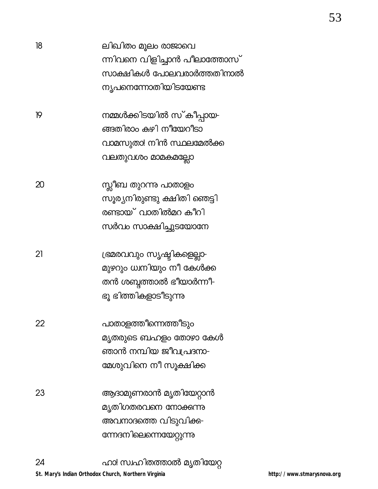| 18 | ലിഖിതം മൂലം രാജാവെ<br>ന്നിവനെ വിളിച്ചാൻ പീലാത്തോസ്<br>സാക്ഷികൾ പോലവരാർത്തതിനാൽ<br>ന്യപനെന്നോതിയിടയേണ്ട   |
|----|----------------------------------------------------------------------------------------------------------|
| 19 | നമ്മൾക്കിടയിൽ സ് കീപ്പായ-<br>ങ്ങതിരാം കഴി നീയേറീടാ<br>വാമസുതാ! നിൻ സ്ഥലമേൽക്ക<br>വലതുവശം മാമകമല്ലോ       |
| 20 | സ്ലീബ തുറന്നു പാതാളം<br>സൂര്യനിരുണ്ടു ക്ഷിതി ഞെട്ടി<br>രണ്ടായ് വാതിൽമറ കീറി<br>സർവം സാക്ഷിച്ചുടയോനേ      |
| 21 | ഭ്രമരവവും സൃഷ്ടികളെല്ലാ-<br>മുഴറും ധ്വനിയും നീ കേൾക്ക<br>തൻ ശബ്ദത്താൽ ഭീയാർന്നീ-<br>ഭൂ ഭിത്തികളാടീടുന്നു |
| 22 | പാതാളത്തീന്നെത്തീടും<br>മൃതരുടെ ബഹളം തോഴാ കേൾ<br>ഞാൻ നമ്പിയ ജീവപ്രദനാ-<br>മേശുവിനെ നീ സൂക്ഷിക്ക          |
| 23 | ആദാമുണരാൻ മൃതിയേറ്റാൻ<br>മൃതിഗതരവനെ നോക്കന്നു<br>അവനാദത്തെ വിടുവിക്ക-<br>ന്നേദനിലെന്നെയേറ്റുന്നു         |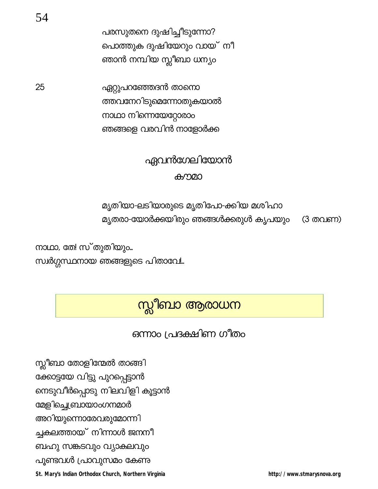സ്ലീബാ തോളിന്മേൽ താങ്ങി ക്കോട്ടയേ വിട്ടു പുറപ്പെട്ടാൻ നെടുവീർപ്പൊടു നിലവിളി കൂട്ടാൻ മേളിച്ചെബ്രായാംഗനമാർ അറിയുന്നൊരേവരുമോന്നി ച്ചകലത്തായ് നിന്നാൾ ജനനീ ബഹു സങ്കടവും വ്യാകുലവും പൂണ്ടവൾ പ്രാവുസമം കേണു

St. Mary's Indian Orthodox Church, Northern Virginia

ഒന്നാം പ്രദക്ഷിണ ഗീതം

# സ്സീബാ ആരാധന

നാഥാ, തേ! സ്തുതിയും... സ്വർഗ്ഗസ്ഥനായ ഞങ്ങളുടെ പിതാവേ!..

മൃതരാ-യോർക്കയിരും ഞങ്ങൾക്കരുൾ കൃപയും

# മൃതിയാ-ലടിയാരുടെ മൃതിപോ-ക്കിയ മശിഹാ

# കൗമാ

# ഏവൻഗേലിയോൻ

ഏറ്റുപറഞ്ഞേദൻ താനൊ ത്തവനേറിടുമെന്നോതുകയാൽ ധാനാ ധ്വയേഗ്മോഗാ ഞങ്ങളെ വരവിൻ നാളോർക്ക

പരസുതനെ ദുഷിച്ചീടുന്നോ? പൊത്തുക ദുഷിയേറും വായ് നീ ഞാൻ നമ്പിയ സ്ലീബാ ധന്യം

25

(3 തവണ)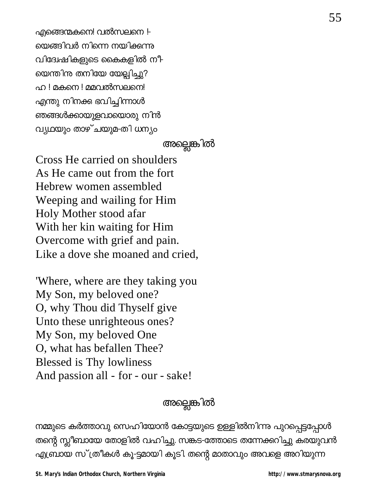എങ്ങെന്മകനെ! വൽസലനെ l-യെങ്ങിവർ നിന്നെ നയിക്കന്നു വിദ്വേഷികളുടെ കൈകളിൽ നീ-യെന്തിന തനിയേ യേല്പിച്ചു? ഹ ! മകനെ ! മമവൽസലനെ! എന്തു നിനക്ക ഭവിച്ചിന്നാൾ ഞങ്ങൾക്കായുളവായൊരു നിൻ വ്യഥയും താഴ്ചയുമ-തി ധന്യം

# അല്ലെങ്കിൽ

Cross He carried on shoulders As He came out from the fort Hebrew women assembled Weeping and wailing for Him Holy Mother stood afar With her kin waiting for Him Overcome with grief and pain. Like a dove she moaned and cried.

Where, where are they taking you My Son, my beloved one? O, why Thou did Thyself give Unto these unrighteous ones? My Son, my beloved One O, what has befallen Thee? Blessed is Thy lowliness And passion all - for - our - sake!

# അല്ലെങ്കിൽ

നമ്മുടെ കർത്താവു സെഹിയോൻ കോട്ടയുടെ ഉള്ളിൽനിന്നു പുറപ്പെട്ടപ്പോൾ തന്റെ സ്ലീബായേ തോളിൽ വഹിച്ചു. സങ്കട-ത്തോടെ തന്നേക്കറിച്ചു കരയുവൻ എബ്രായ സ് ത്രീകൾ കൂ-ട്ടമായി കൂടി. തന്റെ മാതാവും അവളെ അറിയുന്ന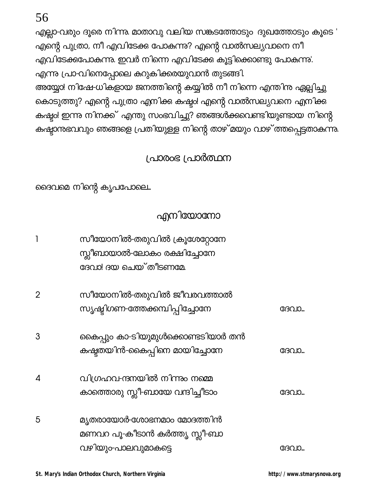| 2 | സീയോനിൽ-തരുവിൽ ജീവരവത്താൽ<br>സൃഷ്ടിഗണ-ത്തേക്കമ്പിപ്പിച്ചോനേ                       | ദേവാ  |
|---|-----------------------------------------------------------------------------------|-------|
| 3 | കൈപ്പും കാ-ടിയുമുൾക്കൊണ്ടടിയാർ തൻ<br>കഷ്ടതയിൻ-കൈപ്പിനെ മായിച്ചോനേ                 | ദേവാ  |
| 4 | വിഗ്രഹവ-ന്ദനയിൽ നിന്നും നമ്മെ<br>കാത്തൊരു സ്ലീ-ബായേ വന്ദിച്ചീടാം                  | ദേവാ  |
| 5 | മ്യതരായോർ-ശോഭനമാം മോദത്തിൻ<br>മണവറ പൂ-കീടാൻ കർത്തൃ സ്ലീ-ബാ<br>വഴിയും-പാലവുമാകട്ടെ | ഭേവാ. |

സീയോനിൽ-തരുവിൽ ക്രൂശേറ്റോനേ സ്സീബായാൽ-ലോകം രക്ഷിച്ചോനേ ദേവാ! ദയ ചെയ്തീടണമേ

# എനിയോനോ

ദൈവമെ നിന്റെ കൃപപോലെ...

# (പാരംഭ (പാർത്ഥന

എല്ലാ-വരും ദൂരെ നിന്നു. മാതാവു വലിയ സങ്കടത്തോടും ദുഖത്തോടും കൂടെ ' എന്റെ പുത്രാ, നീ എവിടേക്കു പോകുന്നു? എന്റെ വാൽസല്യവാനെ നീ എവിടേക്കപോകുന്നു. ഇവർ നിന്നെ എവിടേക്കു കൂട്ടിക്കൊണ്ടു പോകുന്നു'. എന്നു പ്രാ-വിനെപ്പോലെ കറുകിക്കരയുവാൻ തുടങ്ങി. അയ്യോ! നിഷേ-ധികളായ ജനത്തിന്റെ കയ്യിൽ നീ നിന്നെ എന്തിന്ത ഏല്പിച്ചു കൊടുത്തു? എന്റെ പുത്രാ എനിക്ക കഷ്ടം! എന്റെ വാൽസല്യവനെ എനിക്ക കഷ്ട<mark>്ടം</mark>! ഇന്നു നിനക്ക് എന്തു സംഭവിച്ചു? ഞങ്ങൾക്കുവണ്ടിയുണ്ടായ നിന്റെ കഷ്ടാന്നഭവവും ഞങ്ങളെ പ്രതിയുള്ള നിന്റെ താഴ് മയും വാഴ് ത്തപ്പെട്ടതാകന്നു.

 $\overline{1}$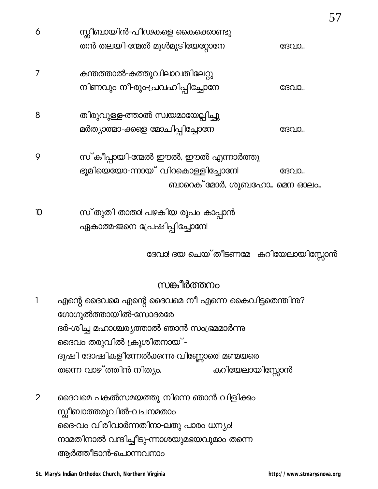| 6 | സ്ലീബായിൻ-പീഢകളെ കൈക്കൊണ്ടു<br>തൻ തലയി-ന്മേൽ മുൾമുടിയേറ്റോനേ                                           | ദേവാ |
|---|--------------------------------------------------------------------------------------------------------|------|
| 7 | കുന്തത്താൽ-കുത്തുവിലാവതിലേറ്റു<br>നിണവും നീ-രും-പ്രവഹിപ്പിച്ചോനേ                                       | ദേവാ |
| 8 | തിരുവുള്ള-ത്താൽ സ്വയമായേല്പിച്ചു<br>മർത്യാത്മാ-ക്കളെ മോചിപ്പിച്ചോനേ                                    | ദേവാ |
| 9 | സ് കീപ്പായി-ന്മേൽ ഈൽ, ഈൽ എന്നാർത്തു<br>ഭൂമിയെയോ-ന്നായ് വിറകൊള്ളിച്ചോനേ!<br>ബാറെക് മോർ, ശുബഹോ… മെന ഓലം… | ദേവാ |

സ്തുതി താതാ! പഴകിയ രൂപം കാപ്പാൻ  $\mathbf D$ ഏകാത്മ-ജനെ പ്രേഷിപ്പിച്ചോനേ!

ദേവാ! ദയ ചെയ്തീടണമേ കറിയേലായിസ്സോൻ

# സങ്കീർത്തനം

എന്റെ ദൈവമെ എന്റെ ദൈവമെ നീ എന്നെ കൈവിട്ടതെന്തിന്ദ?  $\mathbf{1}$ ഗോഗുൽത്തായിൽ-സോദരരേ ദർ-ശിച്ച മഹാശ്ചര്യത്താൽ ഞാൻ സംഭ്രമമാർന്നു ദൈവം തരുവിൽ ക്രൂശിതനായ് -ദുഷി ദോഷികളീന്നേൽക്കന്നു-വിണ്ണോരെ! മണ്മയരെ തന്നെ വാഴ്ത്തിൻ നിത്യം. കുറിയേലായിസ്സോൻ

 $\overline{2}$ ദൈവമെ പകൽസമയത്തു നിന്നെ ഞാൻ വിളിക്കം സ്സീബാത്തരുവിൽ-വചനമതാം ദൈ-വം വിരിവാർന്നതിനാ-ലതു പാരം ധന്യം! നാമതിനാൽ വന്ദിച്ചീടു-ന്നാശയുമഭയവുമാം തന്നെ ആർത്തീടാൻ-ചൊന്നവനാം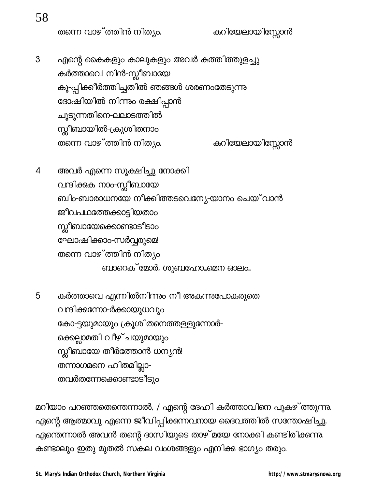തന്നെ വാഴ്ത്തിൻ നിത്യം.

കുറിയേലായിസ്സോൻ

- $\mathfrak{S}$ എന്റെ കൈകളും കാലുകളും അവർ കത്തിത്തുളച്ചു കർത്താവെ! നിൻ-സ്<mark>സീബായേ</mark> കൂ-പ്പിക്കീർത്തിച്ചതിൽ ഞങ്ങൾ ശരണംതേടുന്നു ദോഷിയിൽ നിന്നും രക്ഷിപ്പാൻ ചൂടുന്നതിനെ-ലലാടത്തിൽ സ്സീബായിൽ-ക്രൂശിതനാം തന്നെ വാഴ്ത്തിൻ നിത്യം. കുറിയേലായിസ്സോൻ
- അവർ എന്നെ സൂക്ഷിച്ചു നോക്കി 4 വന്ദിക്കുക നാം-സ്ലീബായേ ബിം-ബാരാധനയേ നീക്കിത്തടവെന്യേ-യാനം ചെയ് വാൻ ജീവപഥത്തേക്കാട്ടിയതാം സ്സീബായേക്കൊണ്ടാടീടാം ഘോഷിക്കാം-സർവ്വരുമെ! തന്നെ വാഴ്ത്തിൻ നിത്യം ബാറെക്്മോർ, ശുബഹോ...മെന ഓലം...
- കർത്താവെ എന്നിൽനിന്നും നീ അകന്നുപോകരുതെ 5 വന്ദിക്കന്നോ-ർക്കായുധവും കോ-ട്ടയുമായും ക്രൂശിതനെത്തള്ളുന്നോർ-ക്കെല്ലാമതി വീഴ്ചയുമായും സ്സീബായേ തീർത്തോൻ ധന്യൻ! തന്നാഗമനെ ഹിതമില്ലാ-തവർതന്നേക്കൊണ്ടാടിടും

മറിയാം പറഞ്ഞതെന്തെന്നാൽ, / എന്റെ ദേഹി കർത്താവിനെ പുകഴ് ത്തുന്നു. ഏന്റെ ആത്മാവു എന്നെ ജീവിപ്പിക്കന്നവനായ ദൈവത്തിൽ സന്തോഷിച്ചു. ഏന്തെന്നാൽ അവൻ തന്റെ ദാസിയുടെ താഴ്മയേ നോക്കി കണ്ടിരിക്കന്നു. കണ്ടാലും ഇതു മുതൽ സകല വംശങ്ങളും എനിക്ക ഭാഗ്യം തരും.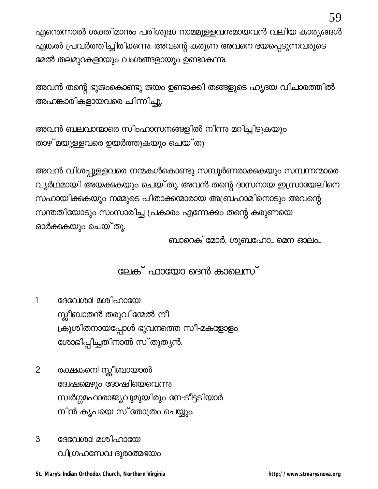എന്തെന്നാൽ ശക്തിമാനും പരിശുദ്ധ നാമമുള്ളവനുമായവൻ വലിയ കാര്യങ്ങൾ എങ്കൽ പ്രവർത്തിച്ചിരിക്കന്നു. അവന്റെ കരുണ അവനെ ഭയപ്പെടുന്നവരുടെ മേൽ തലമുറകളായും വംശങ്ങളായും ഉണ്ടാകുന്നു.

അവൻ തന്റെ ഭുജംകൊണ്ടു ജയം ഉണ്ടാക്കി തങ്ങളുടെ ഹൃദയ വിചാരത്തിൽ അഹങ്കാരികളായവരെ ചിന്നിച്ചു.

അവൻ ബലവാന്മാരെ സിംഹാസനങ്ങളിൽ നിന്നു മറിച്ചിടുകയും താഴ് മയുള്ളവരെ ഉയർത്തുകയും ചെയ്തു

അവൻ വിശപ്പുള്ളവരെ നന്മകൾകൊണ്ടു സമ്പൂർണരാക്കുകയും സമ്പന്നന്മാരെ വ്യർഥമായി അയക്കുകയും ചെയ്തു. അവൻ തന്റെ ദാസനായ ഇസ്രായേലിനെ സഹായിക്കുകയും നമ്മുടെ പിതാക്കന്മാരായ അബ്രഹാമിനൊടും അവന്റെ സന്തതിയോടും സംസാരിച്ച പ്രകാരം എന്നേക്കം തന്റെ കരുണയെ ഓർക്കുകയും ചെയ്തു.

ബാറെക് മോർ, ശുബഹോ… മെന ഓലം…

ലേക് ഫായോ ദെൻ കാലെസ്

 $\mathbf{1}$ ദേവേശാ! മശിഹായേ സ്ലീബാതൻ തരുവിന്മേൽ നീ ക്രൂശിതനായപ്പോൾ ഭുവനത്തെ സീ-മകളോളം ശോഭിപ്പിച്ചതിനാൽ സ്തുത്യൻ.

- $\overline{2}$ രക്ഷകനെ! സ്ലീബായാൽ ദ്വേഷമെഴും ദോഷിയെവെന്നു സ്വർഗ്ഗമഹാരാജ്യവുമുയിരും നേ-ടീട്ടടിയാർ നിൻ കൃപയെ സ്തോത്രം ചെയ്യും.
- 3 ദേവേശാ! മശിഹായേ വിഗ്രഹസേവ ദുരാത്മഭയം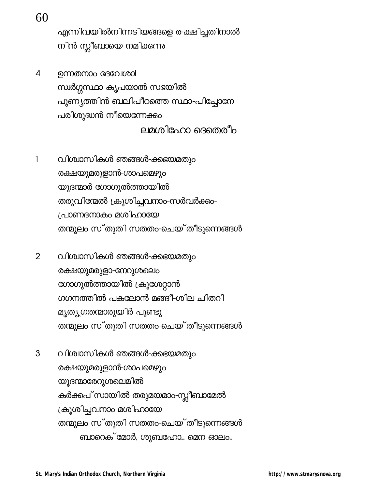60

എന്നിവയിൽനിന്നടിയങ്ങളെ ര-ക്ഷിച്ചതിനാൽ നിൻ സ്ലീബായെ നമിക്കന്നു

 $\overline{4}$ ഉന്നതനാം ദേവേശാ! സ്വർഗ്ഗസ്ഥാ കൃപയാൽ സഭയിൽ പുണ്യത്തിൻ ബലിപീഠത്തെ സ്ഥാ-പിച്ചോനേ പരിശുദ്ധൻ നീയെന്നേക്കം ലമശിഹോ ദെതെരീം

1 വിശ്വാസികൾ ഞങ്ങൾ-ക്കഭയമതും രക്ഷയുമരുളാൻ-ശാപമെഴും യൂദന്മാർ ഗോഗുൽത്തായിൽ തരുവിന്മേൽ ക്രൂശിച്ചവനാം-സർവർക്കം-പ്രാണദനാകം മശിഹായേ തന്മൂലം സ്തുതി സതതം-ചെയ്തീടുന്നെങ്ങൾ

- $\overline{2}$ വിശ്വാസികൾ ഞങ്ങൾ-ക്കഭയമതും രക്ഷയുമരുളാ-നേറുശലെം ഗോഗുൽത്തായിൽ ക്രൂശേറ്റാൻ ഗഗനത്തിൽ പകലോൻ മങ്ങീ-ശില ചിതറി മൃത്യശതന്മാരുയിർ പൂണ്ടു തന്മൂലം സ്തുതി സതതം-ചെയ്തീടുന്നെങ്ങൾ
- 3 വിശ്വാസികൾ ഞങ്ങൾ-ക്കഭയമതും രക്ഷയുമരുളാൻ-ശാപമെഴും യൂദന്മാരേറുശലെമിൽ കർക്കപ് സായിൽ തരുമയമാം-സ്ലീബാമേൽ ക്രൂശിച്ചവനാം മശിഹായേ തന്മൂലം സ്തുതി സതതം-ചെയ്തീടുന്നെങ്ങൾ ബാറെക് മോർ, ശുബഹോ… മെന ഓലം…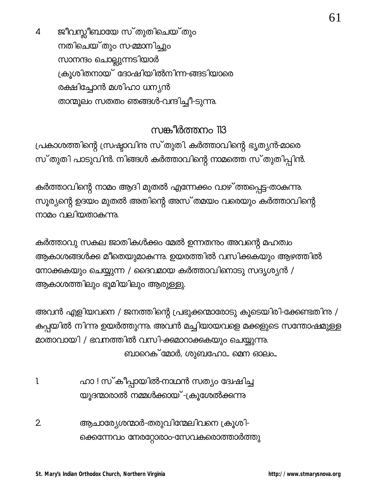ജീവസ്സീബായേ സ്തുതിചെയ്തും  $\overline{4}$ നതിചെയ്തും സ-മ്മാനിച്ചും സാനന്ദം ചൊല്ലുന്നടിയാർ ക്രൂശിതനായ് ദോഷിയിൽനിന്ന-ങ്ങടിയാരെ രക്ഷിച്ചോൻ മശിഹാ ധന്യൻ താന്മുലം സതതം ഞങ്ങൾ-വന്ദിച്ചീ-ടുന്നു.

# സങ്കീർത്തനം 113

പ്രകാശത്തിന്റെ സ്രഷ്ടാവിനു സ്തുതി. കർത്താവിന്റെ ഭൃത്യൻ-മാരെ സ്തുതി പാടുവിൻ. നിങ്ങൾ കർത്താവിന്റെ നാമത്തെ സ്തുതിപ്പിൻ.

കർത്താവിന്റെ നാമം ആദി മുതൽ എന്നേക്കം വാഴ് ത്തപ്പെട്ട-താകുന്നു. സൂര്യന്റെ ഉദയം മുതൽ അതിന്റെ അസ് തമയം വരെയും കർത്താവിന്റെ നാമം വലിയതാകുന്നു.

കർത്താവു സകല ജാതികൾക്കം മേൽ ഉന്നതന്നം അവന്റെ മഹത്വം ആകാശങ്ങൾക്ക മീതെയുമാകന്നു. ഉയരത്തിൽ വസിക്കുകയും ആഴത്തിൽ നോക്കുകയും ചെയ്യുന്ന / ദൈവമായ കർത്താവിനൊടു സദൃശൃൻ / ആകാശത്തിലും ഭൂമിയിലും ആരുള്ളു.

അവൻ എളിയവനെ / ജനത്തിന്റെ പ്രഭുക്കന്മാരോടു കൂടെയിരി-ക്കേണ്ടതിനു / കുപ്പയിൽ നിന്നു ഉയർത്തുന്നു. അവൻ മച്ചിയായവളെ മക്കളുടെ സന്തോഷമുള്ള മാതാവായി / ഭവനത്തിൽ വസി-ക്കമാറാക്കുകയും ചെയ്യുന്നു. ബാറെക് മോർ, ശുബഹോ… മെന ഓലം…

- ഹാ ! സ്കീപ്പായിൽ-നാഥൻ സത്യം ദേഷിച്ച 1 യൂദന്മാരാൽ നമ്മൾക്കായ് -ക്രൂശേൽക്കന്നു
- ആചാര്യേശന്മാർ-തരുവിന്മേലിവനെ ക്രൂശി- $\overline{2}$ ക്കെന്നേവം നേരറ്റോരാം-സേവകരൊത്താർത്തു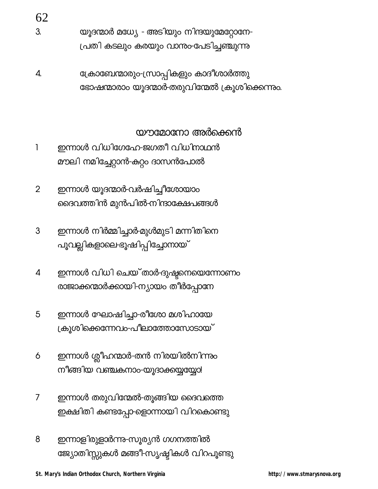62

- യൂദന്മാർ മധ്യേ അടിയും നിന്ദയുമേറ്റോനേ-3. പ്രതി കടലും കരയും വാനുംപേടിച്ചഞ്ചുന്നു
- ക്രോബേന്മാരും-സ്രാപ്പികളും കാദീശാർത്തു 4. ഭോഷന്മാരാം യൂദന്മാർ-തരുവിന്മേൽ ക്രൂശിക്കെന്നും.

### യൗമോനോ അർക്കെൻ

- ഇന്നാൾ വിധിഗേഹേ-ജഗതീ വിധിനാഥൻ  $\mathbf{1}$ മൗലി നമിച്ചേറ്റാൻ-കറ്റം ദാസൻപോൽ
- $\overline{2}$ ഇന്നാൾ യൂദന്മാർ-വർഷിച്ചീശോയാം ദൈവത്തിൻ മുൻപിൽ-നിന്ദാക്ഷേപങ്ങൾ
- ഇന്നാൾ നിർമ്മിച്ചാർ-മുൾമുടി മന്നിതിനെ 3 പൂവല്ലികളാലെ-ഭൂഷിപ്പിച്ചോനായ്
- ഇന്നാൾ വിധി ചെയ്താർ-ദുഷ്ടനെയെന്നോണം  $\overline{4}$ രാജാക്കന്മാർക്കായി-ന്യായം തീർപ്പോനേ
- ഇന്നാൾ ഘോഷിച്ചാ-രീശോ മശിഹായേ 5 ക്രൂശിക്കെന്നേവം-പീലാത്തോസോടായ്
- ഇന്നാൾ ശ്ലീഹന്മാർ-തൻ നിരയിൽനിന്നും 6 നീങ്ങിയ വഞ്ചകനാം-യൂദാക്കയ്യയ്യോ!
- $\overline{7}$ ഇന്നാൾ തരുവിന്മേൽ-തൂങ്ങിയ ദൈവത്തെ ഇക്ഷിതി കണ്ടപ്പോ-ളൊന്നായി വിറകൊണ്ടു
- ഇന്നാളിരുളാർന്നു-സൂര്യൻ ഗഗനത്തിൽ 8 ജ്യോതിസ്സുകൾ മങ്ങീ-സൃഷ്ടികൾ വിറപൂണ്ടു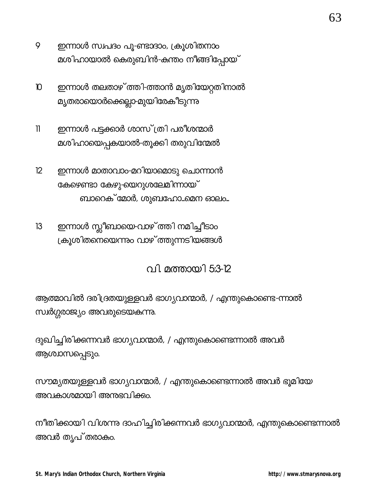- 9 ഇന്നാൾ സ്വപദം പൂ-ണ്ടാദാം, ക്രൂശിതനാം മശിഹായാൽ കെരുബിൻ-കന്തം നീങ്ങിപ്പോയ്
- ഇന്നാൾ തലതാഴ്ത്തി-ത്താൻ മൃതിയേറ്റതിനാൽ  $\mathbf D$ മൃതരായൊർക്കെല്ലാ-മുയിരേകീടുന്<u>ന</u>ു
- ഇന്നാൾ പട്ടക്കാർ ശാസ്ത്രി പരീശന്മാർ  $\mathbb{I}$ മശിഹായെപ്പകയാൽ-തൂക്കി തരുവിന്മേൽ
- ഇന്നാൾ മാതാവാം-മറിയാമൊടു ചൊന്നാൻ  $12$ ക്കേഴണ്ടാ കേഴു-യെറുശലേമിന്നായ് ബാറെക് മോർ, ശുബഹോ...മെന ഓലം...
- ഇന്നാൾ സ്ലീബായെ-വാഴ് ത്തി നമിച്ചീടാം  $13$ ക്രൂശിതനെയെന്നും വാഴ് ത്തുന്നടിയങ്ങൾ

വി. മത്തായി 5:3-12

ആത്മാവിൽ ദരിദ്രതയുള്ളവർ ഭാഗ്യവാന്മാർ, / എന്തുകൊണ്ടെ-ന്നാൽ സ്ഥർഗ്ഗരാജ്യം അവരുടെയകന്നു.

ദുഖിച്ചിരിക്കന്നവർ ഭാഗ്യവാന്മാർ, / എന്തുകൊണ്ടെന്നാൽ അവർ ആശ്വാസപ്പെടും.

സൗമൃതയുള്ളവർ ഭാഗ്യവാന്മാർ, / എന്തുകൊണ്ടെന്നാൽ അവർ ഭൂമിയേ അവകാശമായി അനുഭവിക്കം.

നീതിക്കായി വിശന്നു ദാഹിച്ചിരിക്കന്നവർ ഭാഗ്യവാന്മാർ, എന്തുകൊണ്ടെന്നാൽ അവർ തൃപ്തരാകം.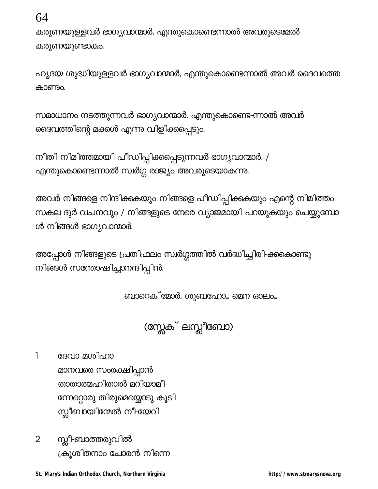64

കരുണയുള്ളവർ ഭാഗ്യവാന്മാർ, എന്തുകൊണ്ടെന്നാൽ അവരുടെമേൽ കരുണയുണ്ടാകും.

ഹൃദയ ശുദ്ധിയുള്ളവർ ഭാഗ്യവാന്മാർ, എന്തുകൊണ്ടെന്നാൽ അവർ ദൈവത്തെ കാണും.

സമാധാനം നടത്തുന്നവർ ഭാഗ്യവാന്മാർ, എന്തുകൊണ്ടെ-ന്നാൽ അവർ ദൈവത്തിന്റെ മക്കൾ എന്നു വിളിക്കപ്പെടും.

നീതി നിമിത്തമായി പീഡിപ്പിക്കപ്പെടുന്നവർ ഭാഗ്യവാന്മാർ, / എന്തുകൊണ്ടെന്നാൽ സ്വർഗ്ഗ രാജ്യം അവരുടെയാകുന്നു.

അവർ നിങ്ങളെ നിന്ദിക്കുകയും നിങ്ങളെ പീഡിപ്പിക്കുകയും എന്റെ നിമിത്തം സകല ദുർ വചനവും / നിങ്ങളുടെ നേരെ വ്യാജമായി പറയുകയും ചെയ്യുമ്പോ ൾ നിങ്ങൾ ഭാഗ്യവാന്മാർ.

അപ്പോൾ നിങ്ങളുടെ പ്രതിഫലം സ്വർഗ്ഗത്തിൽ വർദ്ധിച്ചിരി-ക്കകൊണ്ടു നിങ്ങൾ സന്തോഷിച്ചാനന്ദിപ്പിൻ.

ബാറെക് മോർ, ശുബഹോ... മെന ഓലം...

(സ്റ്റേക് ലസ്സീബോ)

1 ദേവാ മശിഹാ

> മാനവരെ സംരക്ഷിപ്പാൻ താതാത്മഹിതാൽ മറിയാമീ-ന്നേറ്റൊരു തിരുമെയ്യൊടു കൂടി സ്സീബായിന്മേൽ നീ-യേറി

സ്സീ-ബാത്തരുവിൽ  $\overline{2}$ ക്രൂശിതനാം ചോരൻ നിന്നെ

St. Mary's Indian Orthodox Church, Northern Virginia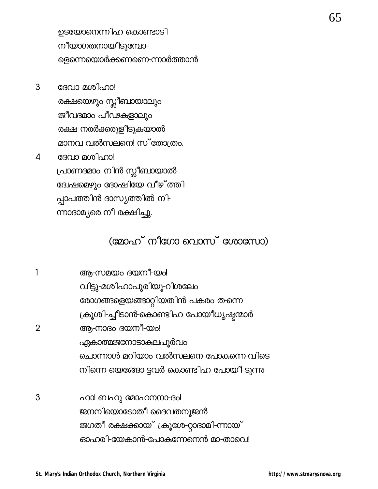ഉടയോനെന്നിഹ കൊണ്ടാടി നീയാഗതനായീടുമ്പോ-ളെന്നെയൊർക്കണണെ-ന്നാർത്താൻ

- 3 ദേവാ മശിഹാ! രക്ഷയെഴും സ്ലീബായാലും ജീവദമാം പീഢകളാലും രക്ഷ നരർക്കരുളീടുകയാൽ മാനവ വൽസലനെ! സ്തോത്രം. ദേവാ മശിഹാ!  $\overline{4}$ പ്രാണദമാം നിൻ സ്ലീബായാൽ ദ്വേഷമെഴും ദോഷിയേ വീഴ്ത്തി
	- പ്പാപത്തിൻ ദാസ്യത്തിൽ നി-
	- ന്നാദാമ്യരെ നീ രക്ഷിച്ചു.

# (മോഹ് നീഗോ വൊസ് ശോസോ)

|                | ആ-സമയം ദയനീ-യം!                         |
|----------------|-----------------------------------------|
|                | വിട്ടു-മശിഹാപുരിയൂ-റിശലേം               |
|                | രോഗങ്ങളെയങ്ങാറ്റിയതിൻ പകരം തന്നെ        |
|                | ക്രൂശി-ച്ചീടാൻ-കൊണ്ടിഹ പോയീധൃഷ്ടന്മാർ   |
| $\overline{2}$ | ആ-നാദം ദയനീ-യം!                         |
|                | ഏകാത്മജനോടാകലപുർവം                      |
|                | ചൊന്നാൾ മറിയാം വൽസലനെ-പോകന്നെ-വിടെ      |
|                | നിന്നെ-യെങ്ങോ-ട്ടവർ കൊണ്ടിഹ പോയീ-ടുന്നു |
|                |                                         |
|                | ഹി ബഹു മോഹനനാകി                         |

ഹാ: ബഹു മോഹസ്ഥാ-ദം! ജനനിയൊടോതീ ദൈവതനൂജൻ ജഗതീ രക്ഷക്കായ് ക്രൂശേ-റ്റാദാമി-ന്നായ് ഓഹരി-യേകാൻ-പോകന്നേനെൻ മാ-താവെ!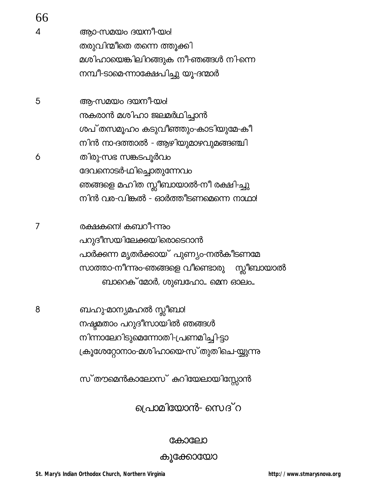| 66             |                                          |
|----------------|------------------------------------------|
| $\overline{A}$ | ആാ-സമയം ദയനീ-യം!                         |
|                | തരുവിന്മീതെ തന്നെ ത്തൂക്കി               |
|                | മശിഹായെങ്കിലിറങ്ങുക നീ-ഞങ്ങൾ നി-ന്നെ     |
|                | നമ്പീ-ടാമെ-ന്നാക്ഷേപിച്ചു യൂ-ദന്മാർ      |
| 5              | ആ-സമയം ദയനീ-യം!                          |
|                | നകരാൻ മശിഹാ ജലമർഥിച്ചാൻ                  |
|                | ശപ്തസമൂഹം കടുവീഞ്ഞും-കാടിയുമേ-കീ         |
|                | നിൻ നാ-ദത്താൽ - ആഴിയുമാഴവുമങ്ങഞ്ചി       |
| 6              | തിരു-സഭ സങ്കടപൂർവം                       |
|                | ദേവനൊടർ-ഥിച്ചൊതുന്നേവം                   |
|                | ഞങ്ങളെ മഹിത സ്ലീബായാൽ-നീ രക്ഷി-ച്ചു      |
|                | നിൻ വര-വിങ്കൽ - ഓർത്തീടണമെന്നെ നാഥാ!     |
| 7              | രക്ഷകനെ! കബറീ-ന്നും                      |
|                | പറുദീസയിലേക്കയിരൊടെറാൻ                   |
|                | പാർക്കന്ന മൃതർക്കായ് പുണ്യം-നൽകീടണമേ     |
|                | സാത്താ-നീന്നം-ഞങ്ങളെ വീണ്ടൊരു സ്ലീബായാൽ  |
|                | ബാറെക് മോർ, ശുബഹോ… മെന ഓലം…              |
| 8              | ബഹു-മാന്യമഹൽ സ്ലീബാ!                     |
|                | നഷ്ടമതാം പറുദീസായിൽ ഞങ്ങൾ                |
|                | നിന്നാലേറിടുമെന്നോതി-പ്രണമിച്ചി-ട്ടാ     |
|                | ക്രൂശേറ്റോനാം-മശിഹായെ-സ് തുതിചെ-യ്യുന്നു |
|                |                                          |

സ്തൗമെൻകാലോസ് കറിയേലായിസ്സോൻ

പ്രൊമിയോൻ- സെദ് റ

### കോലോ

കൂക്കോയോ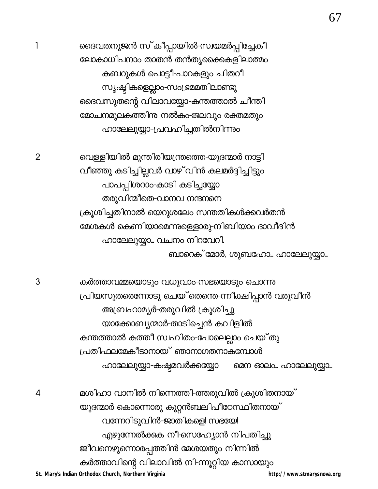St. Mary's Indian Orthodox Church, Northern Virginia

ദൈവതനൂജൻ സ്കീപ്പായിൽ-സ്വയമർപ്പിച്ചേകീ ലോകാധിപനാം താതൻ തൻതൃക്കൈകളിലാത്മം കബറുകൾ പൊട്ടീ-പാറകളും ചിതറീ സ്യഷ്ടികളെല്ലാം-സംഭ്രമമതിലാണ്ടു ദൈവസുതന്റെ വിലാവയ്യോ-കന്തത്താൽ ചീന്തി മോചനമുലകത്തിനു നൽകം-ജലവും രക്തമതും ഹാലേലുയ്യാ-പ്രവഹിച്ചതിൽനിന്നും

വെള്ളിയിൽ മുന്തിരിയന്ത്രത്തെ-യൂദന്മാർ നാട്ടി വീഞ്ഞു കുടിച്ചില്ലവർ വാഴ് വിൻ കുലമർദ്ദിച്ചിട്ടും പാപപ്പിശറാം-കാടി കടിച്ചയ്യോ തരുവിന്മീതെ-വാനവ നന്ദനനെ ക്രൂശിച്ചതിനാൽ യെറുശലേം സന്തതികൾക്കവർതൻ മേശകൾ കെണിയാമെന്നുള്ളൊരു-നിബിയാം ദാവീദിൻ ഹാലേലുയ്യാ... വചനം നിറവേറി. ബാറെക് മോർ, ശുബഹോ… ഹാലേലുയ്യാ…

കർത്താവമ്മയൊടും വധുവാം-സഭയൊടും ചൊന്നു പ്രിയസുതരെന്നോടു ചെയ്ക്തന്തെ-ന്നീക്ഷിപ്പാൻ വരുവീൻ അബ്രഹാമ്യർ-തരുവിൽ ക്രൂശിച്ചു യാക്കോബ്യന്മാർ-താടിച്ചെൻ കവിളിൽ കന്തത്താൽ കത്തീ സ്വഹിതം-പോലെല്ലാം ചെയ്തു പ്രതിഫലമേകീടാനായ് ഞാനാഗതനാകുമ്പോൾ ഹാലേലുയ്യാ-കഷ്ടമവർക്കയ്യോ മെന ഓലം.. ഹാലേലുയ്യാ...

മശിഹാ വാനിൽ നിന്നെത്തി-ത്തരുവിൽ ക്രൂശിതനായ് യൂദന്മാർ കൊന്നൊരു കൂറ്റൻബലിപ<mark>ീ</mark>ഠേസ്ഥിതനായ് വന്നേറിടുവിൻ-ജാതികളെ! സഭയേ! എഴുന്നേൽക്കക നീ-സെഹ്യോൻ നിപതിച്ചു ജീവനെഴുന്നൊരപ്പത്തിൻ മേശയതും നിന്നിൽ കർത്താവിന്റെ വിലാവിൽ നി-ന്നൂറ്റിയ കാസായും http://www.stmarysnova.org

3

4

 $\mathbf{1}$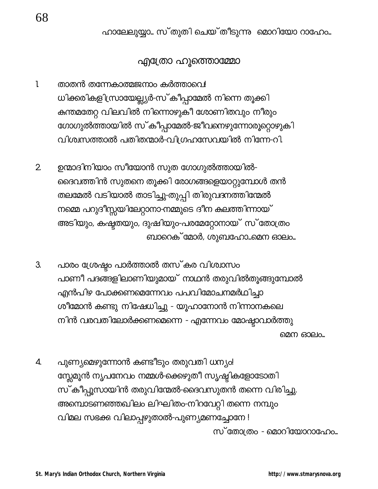ഹാലേലുയ്യാ... സ്തുതി ചെയ്തീടുന്നു മൊറിയോ റാഹേം...

### എ്രോ ഹൂത്തൊമ്മോ

- $\mathbf{l}$ താതൻ തന്നേകാത്മജനാം കർത്താവെ! ധിക്കരികളിസ്രായേല്ല്യർ-സ്കീപ്പാമേൽ നിന്നെ തൂക്കി കുന്തമതേറ്റ വിലവിൽ നിന്നൊഴുകീ ശോണിതവും നീരും ഗോഗുൽത്തായിൽ സ്കീപ്പാമേൽ-ജീവനെഴുന്നോരൂറ്റൊഴുകി വിശ്വസത്താൽ പതിതന്മാർ-വിഗ്രഹസേവയിൽ നിന്നേ-റി.
- ഉന്മാദിനിയാം സീയോൻ സുത ഗോഗുൽത്തായിൽ- $2<sub>1</sub>$ ദൈവത്തിൻ സുതനെ തൂക്കി രോഗങ്ങളെയാറ്റുമ്പോൾ തൻ തലമേൽ വടിയാൽ താടിച്ചു-തുപ്പി തിരുവദനത്തിന്മേൽ നമ്മെ പറുദീസ്സയിലേറ്റാനാ-നമ്മുടെ ദീന കലത്തിന്നായ് അടിയും, കഷ്ട്രതയും, ദുഷിയും-പരമേറ്റോനായ് സ് തോത്രം ബാറെക് മോർ, ശുബഹോ...മെന ഓലം...
- 3. പാരം ശ്രേഷ്ടം പാർത്താൽ തസ്കര വിശ്വാസം പാണീ പദങ്ങളിലാണിയുമായ് നാഥൻ തരുവിൽതൂങ്ങുമ്പോൽ എൻപിഴ പോക്കണമെന്നേവം പപവിമോചനമർഥിച്ചാ ശീമോൻ കണ്ടു നിഷേധിച്ചു - യൂഹാനോൻ നിന്നാനകലെ നിൻ വരവതിലോർക്കണമെന്നെ - എന്നേവം മോഷ്ടാവാർത്തു മെന ഓലം..
- പുണ്യമെഴുന്നോൻ കണ്ടീടും തരുവതി ധന്യം! 4. സ്സേമൂൻ നൃപനേവം നമ്മൾ-ക്കെഴുതീ സൃഷ്ടികളോടോതി സ്കീപ്പൂസായിൻ തരുവിന്മേൽ-ദൈവസുതൻ തന്നെ വിരിച്ചു. അമ്പൊടണഞ്ഞഖിലം ലിഘിതം-നിറവേറ്റി തന്നെ നമ്പും വിമല സഭക്കു വിലാപ്പഴുതാൽ-പുണ്യമണച്ചോനേ ! സ്തോത്രം - മൊറിയോറാഫോം...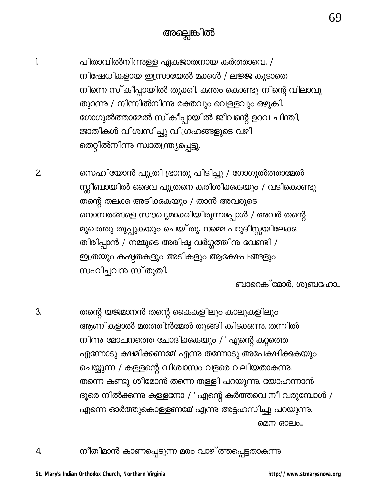- $\mathbf{l}$ പിതാവിൽനിന്നുള്ള ഏകജാതനായ കർത്താവെ, / നിഷേധികളായ ഇസ്രായേൽ മക്കൾ / ലജ്ജ കൂടാതെ നിന്നെ സ്കീപ്പായിൽ തൂക്കി, കന്തം കൊണ്ടു നിന്റെ വിലാവു തുറന്നു / നിന്നിൽനിന്നു രക്തവും വെള്ളവും ഒഴുകി. ഗോഗുൽത്താമേൽ സ്കീപ്പായിൽ ജീവന്റെ ഉറവ ചിന്തി, ജാതികൾ വിശ്വസിച്ചു വിഗ്രഹങ്ങളുടെ വഴി തെറ്റിൽനിന്നു സ്വാതന്ത്ര്യപ്പെട്ടു.
	- സെഹിയോൻ പുത്രി ഭ്രാന്തു പിടിച്ചു / ഗോഗുൽത്താമേൽ സ്സീബായിൽ ദൈവ പുത്രനെ കരിശിക്കുകയും / വടികൊണ്ടു തന്റെ തലക്ക അടിക്കുകയും / താൻ അവരുടെ നൊമ്പരങ്ങളെ സൗഖ്യമാക്കിയിരുന്നപ്പോൾ / അവർ തന്റെ മുഖത്തു തുപ്പുകയും ചെയ്തു. നമ്മെ പറുദീസ്സയിലേക്ക തിരിപ്പാൻ / നമ്മുടെ അരിഷ്ട വർഗ്ഗത്തിനു വേണ്ടി / ഇത്രയും കഷ്ടതകളും അടികളും ആക്ഷേപ-ങ്ങളും സഹിച്ചവന്ദ സ്തുതി

ബാറെക് മോർ, ശുബഹോ...

69

3. തന്റെ യജമാനൻ തന്റെ കൈകളിലും കാലുകളിലും ആണികളാൽ മരത്തിൻമേൽ തൂങ്ങി കിടക്കന്നു. തന്നിൽ നിന്നു മോചനത്തെ ചോദിക്കുകയും / ' എന്റെ കറ്റത്തെ എന്നോടു ക്ഷമിക്കണമേ' എന്നു തന്നോടു അപേക്ഷിക്കുകയും ചെയ്യുന്ന / കള്ളന്റെ വിശ്വാസം വളരെ വലിയതാകുന്നു. തന്നെ കണ്ടു ശീമോൻ തന്നെ തള്ളി പറയുന്നു. യോഹന്നാൻ ദൂരെ നിൽക്കന്നു കള്ളനോ / ' എന്റെ കർത്തവെ നീ വരുമ്പോൾ / എന്നെ ഓർത്തുകൊള്ളണമേ' എന്നു അട്ടഹസിച്ചു പറയുന്നു. മെന ഓലം…

4.

 $2\overline{ }$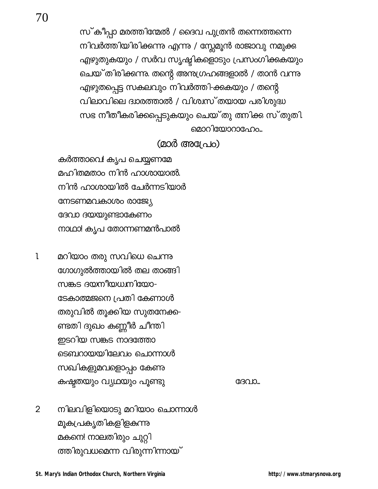സ്കീപ്പാ മരത്തിന്മേൽ / ദൈവ പുത്രൻ തന്നെത്തന്നെ നിവർത്തിയിരിക്കന്നു എന്നു / സ്റ്റേമൂൻ രാജാവു നമുക്ക എഴുതുകയും / സർവ സൃഷ്ടികളൊടും പ്രസംഗിക്കുകയും ചെയ്തിരിക്കന്നു. തന്റെ അനുഗ്രഹങ്ങളാൽ / താൻ വന്നു എഴുതപ്പെട്ട സകലവും നിവർത്തി-ക്കുകയും / തന്റെ

വിലാവിലെ ദ്വാരത്താൽ / വിശ്വസ്തയായ പരിശുദ്ധ സഭ നീതീകരിക്കപ്പെടുകയും ചെയ്തു തനിക്ക സ്തുതി. മൊറിയോറാഹേം...

 $(2000 \text{ (8008)} \triangle)$ 

കർത്താവെ! കൃപ ചെയ്യണമേ മഹിതമതാം നിൻ ഹാശായാൽ. നിൻ ഹാശായിൽ ചേർന്നടിയാർ നേടണമവകാശം രാജ്യേ ദേവാ ദയയുണ്ടാകേണം നാഥാ! കൃപ തോന്നണമൻപാൽ

70

മറിയാം തരു സവിധെ ചെന്നു  $\mathbf{l}$ ഗോഗുൽത്തായിൽ തല താങ്ങി സങ്കട ദയനീയധനിയോ-ടേകാത്മജനെ പ്രതി കേണാൾ തരുവിൽ തൂക്കിയ സുതനേക്ക-ണ്ടതി ദുഖം കണ്ണീർ ചീന്തി ഇടറിയ സങ്കട നാദത്തോ ടെബറായയിലേവം ചൊന്നാൾ സഖികളുമവളൊപ്പം കേണു കഷ്ടതയും വ്യഥയും പൂണ്ടു

GGO 10...

നിലവിളിയൊടു മറിയാം ചൊന്നാൾ  $\overline{2}$ മൂകപ്രകൃതികളിളകന്നു മകനെ! നാലതിരും ചുറ്റി ത്തിരുവധമെന്ന വിരുന്നിന്നായ്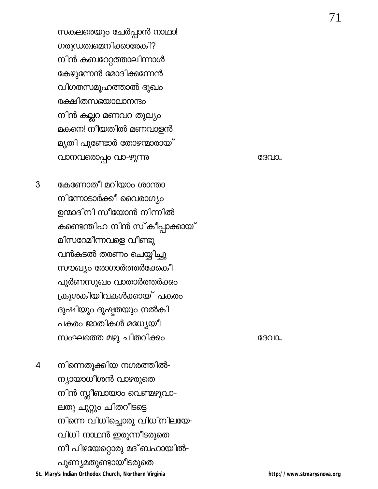സകലരെയും ചേർപ്പാൻ നാഥാ! ഗരുഡത്വമെനിക്കാരേകി? നിൻ കബറേറ്റത്താലിന്നാൾ കേഴുന്നേൻ മോദിക്കന്നേൻ വിഗതസമൂഹത്താൽ ദുഖം രക്ഷിതസഭയാലാനന്ദം നിൻ കല്ലറ മണവറ തുല്യം മകനെ! നീയതിൽ മണവാളൻ മൃതി പൂണ്ടോർ തോഴന്മാരായ് വാനവരൊപ്പം വാ-ഴുന്നു

കേണോതീ മറിയാം ശാന്താ 3 നിന്നോടാർക്കീ വൈരാഗ്യം ഉന്മാദിനി സീയോൻ നിന്നിൽ കണ്ടെന്തിഹ നിൻ സ്കീപ്പാക്കായ് മിസറേമീന്നവളെ വീണ്ടു വൻകടൽ തരണം ചെയ്യിച്ചു സൗഖ്യം രോഗാർത്തർക്കേകീ പൂർണസുഖം വാതാർത്തർക്കം ക്രുശകിയിവകൾക്കായ് പകരം ദുഷിയും ദുഷ്ടതയും നൽകി പകരം ജാതികൾ മധ്യേയീ സംഘത്തെ മഴു ചിതറിക്കം

 $\overline{4}$ നിന്നെതുക്കിയ നഗരത്തിൽ-ന്യായാധീശൻ വാഴരുതെ നിൻ സ്ലീബായാം വെണ്മഴുവാ-ലതു ചുറ്റും ചിതറീടട്ടെ നിന്നെ വിധിച്ചൊരു വിധിനിലയേ-വിധി നാഥൻ ഇരുന്നീടരുതെ നീ പിഴയേറ്റൊരു മദ് ബഹായിൽ-പുണ്യമതുണ്ടായീടരുതെ St. Mary's Indian Orthodox Church, Northern Virginia

ദേവാ...

GGO IO...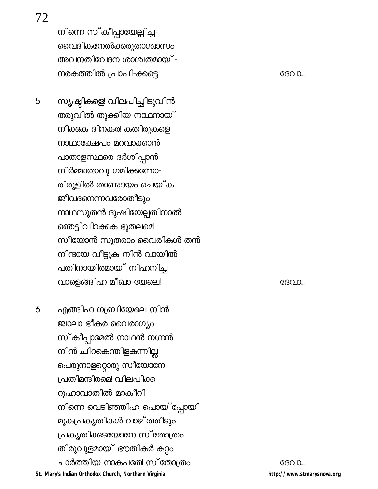72

നിന്നെ സ്കീപ്പായേല്പിച്ച-വൈദികനേൽക്കരുതാശ്വാസം അവനതിവേദന ശാശ്വതമായ് -നരകത്തിൽ പ്രാപി-ക്കട്ടെ

സൃഷ്ടികളെ! വിലപിച്ചിടുവിൻ 5 തരുവിൽ തൂക്കിയ നാഥനായ് നീക്കുക ദിനകര! കതിരുകളെ നാഥാക്ഷേപം മറവാക്കാൻ പാതാളസ്ഥരെ ദർശിപ്പാൻ നിർമ്മാതാവു ഗമിക്കന്നോ-രിരുളിൽ താണ്ടദയം ചെയ്ക ജീവദനെന്നവരോതീടും നാഥസുതൻ ദുഷിയേല്പതിനാൽ ഞെട്ടിവിറക്കുക ഭൂതലമെ! സീയോൻ സുതരാം വൈരികൾ തൻ നിന്ദയേ വീട്ടുക നിൻ വായിൽ പതിനായിരമായ് നിഹനിച്ച വാളെങ്ങിഹ മീഖാ-യേലെ!

എങ്ങിഹ ഗബ്രിയേലെ നിൻ 6 ജ്വാലാ ഭീകര വൈരാഗ്യം സ്കീപ്പാമേൽ നാഥൻ നഗ്നൻ നിൻ ചിറകെന്തിളകന്നില്ല പെരുനാളറ്റൊരു സീയോനേ പ്രതിമന്ദിരമെ! വിലപിക്ക റുഹാവാതിൽ മറകീറി നിന്നെ വെടിഞ്ഞിഹ പൊയ് പ്പോയി മൂകപ്രകൃതികൾ വാഴ്ത്തീടും പ്രകൃതിക്കടയോനേ സ് തോത്രം തിരുവുളമായ് ഭൗതികർ കറ്റം ചാർത്തിയ നാകപതേ! സ് തോത്രം St. Mary's Indian Orthodox Church, Northern Virginia

ദേവാ...

ദേവാ...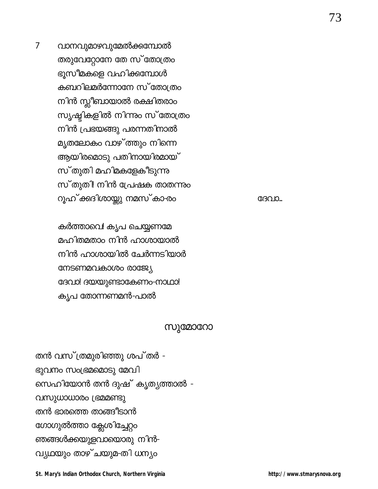തൻ വസ്ത്രമുരിഞ്ഞു ശപ്തർ -ഭുവനം സംഭ്രമമൊടു മേവി സെഹിയോൻ തൻ ദുഷ് കൃത്യത്താൽ -വസുധാധാരം ഭ്രമമണ്ടു തൻ ഭാരത്തെ താങ്ങീടാൻ ഗോഗുൽത്താ ക്ലേശിച്ചേറ്റം ഞങ്ങൾക്കയുളവായൊരു നിൻ-വ്യഥയും താഴ്ചയുമ-തി ധന്യം

സുമോറോ

കർത്താവെ! കൃപ ചെയ്യണമേ മഹിതമതാം നിൻ ഹാശായാൽ നിൻ ഹാശായിൽ ചേർന്നടിയാർ നേടണമവകാശം രാജ്യേ ദേവാ! ദയയുണ്ടാകേണം-നാഥാ! കൃപ തോന്നണമൻ-പാൽ

വാനവുമാഴവുമേൽക്കമ്പോൽ തരുവേറ്റോനേ തേ സ് തോത്രം ഭൂസീമകളെ വഹിക്കമ്പോൾ കബറിലമർന്നോനേ സ്തോത്രം നിൻ സ്ലീബായാൽ രക്ഷിതരാം സൃഷ്ടികളിൽ നിന്നും സ്തോത്രം നിൻ പ്രഭയങ്ങു പരന്നതിനാൽ മൃതലോകം വാഴ് ത്തും നിന്നെ ആയിരമൊടു പതിനായിരമായ് സ്തുതി മഹിമകളേകീടുന്നു സ്തുതി നിൻ പ്രേഷക താതന്നും റൂഹ് ക്കദിശായ്ക്കു നമസ്കാ-രം

GGO 10...

73

#### $\overline{7}$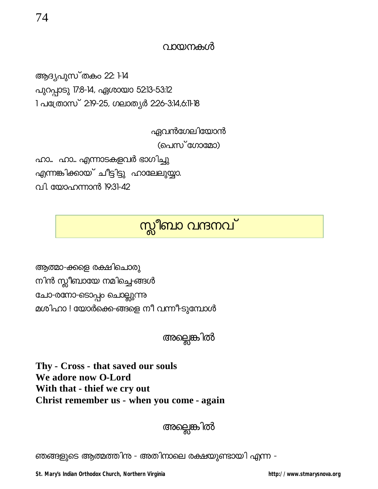ആദൃപുസ്തകം 22: 14 പുറപ്പാടു 17:8-14, ഏശായാ 52:13-53:12 1 പക്രോസ് 2:19-25, ഗലാത്യർ 2:26-3:14,6:11-18

ഏവൻഗേലിയോൻ

(പെസ്ഗോമോ)

ഹാ... ഹാ... എന്നാടകളവർ ഭാഗിച്ചു എന്നങ്കിക്കായ് ചീട്ടിട്ടു ഹാലേലുയ്യാ. വി. യോഹന്നാൻ 19:31-42

# സ്സീബാ വന്ദനവ്

ആത്മാ-ക്കളെ രക്ഷിചൊരു നിൻ സ്ലീബായേ നമിച്ചെ-ങ്ങൾ ചോ-രനോ-ടൊപ്പം ചൊല്ലുന്നു മശിഹാ ! യോർക്കെ-ങ്ങളെ നീ വന്നീ-ടുമ്പോൾ

അല്ലെങ്കിൽ

Thy - Cross - that saved our souls We adore now O-Lord With that - thief we cry out Christ remember us - when you come - again

ഞങ്ങളുടെ ആത്മത്തിന - അതിനാലെ രക്ഷയുണ്ടായി എന്ന -

St. Mary's Indian Orthodox Church, Northern Virginia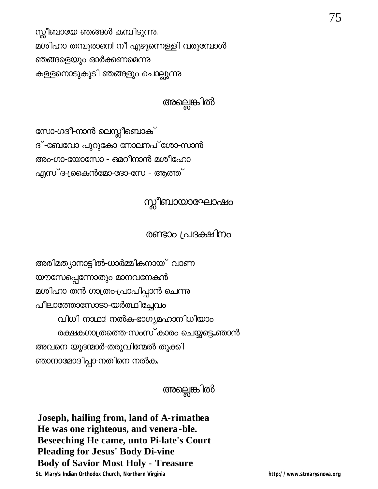സ്ലീബായേ ഞങ്ങൾ കമ്പിടുന്നു. മശിഹാ തമ്പുരാണ! നീ എഴുന്നെള്ളി വരുമ്പോൾ ഞങ്ങളെയും ഓർക്കണമെന്നു കള്ളനൊടുകൂടി ഞങ്ങളും ചൊല്ലുന്നു

അല്ലെങ്കിൽ

സോ-ഗദീ-നാൻ ലെസ്ലീബൊക് ദ് -ബേവോ പുറുകോ നോലനപ് ശോ-സാൻ അം-ഗാ-യോസോ - ഒമറീനാൻ മശീഹോ എസ് ദ-ക്രകെൻമോ-ദോ-സേ - ആത്ത്

# സ്സീബായാഘോഷം

### രണ്ടാം പ്രദക്ഷിനം

അരിമത്യാനാട്ടിൽ-ധാർമ്മികനായ് വാണ യൗസേപ്പെന്നോതും മാനവനേകൻ മശിഹാ തൻ ഗാത്രം-പ്രാപിപ്പാൻ ചെന്നു പീലാത്തോസോടാ-യർത്ഥിച്ചേവം വിധി നാഥാ! നൽക-ഭാഗ്യമഹാനിധിയാം രക്ഷകഗാത്രത്തെ-സംസ്കാരം ചെയ്യടെ..ഞാൻ അവനെ യൂദന്മാർ-തരുവിന്മേൽ തൂക്കി ഞാനാമോദിപ്പാ-നതിനെ നൽക.

# അല്ലെങ്കിൽ

Joseph, hailing from, land of A-rimathea He was one righteous, and venera-ble. **Beseeching He came, unto Pi-late's Court Pleading for Jesus' Body Di-vine Body of Savior Most Holy - Treasure** St. Mary's Indian Orthodox Church, Northern Virginia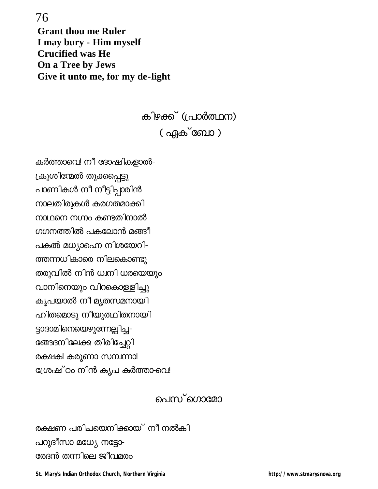76 **Grant thou me Ruler** I may bury - Him myself **Crucified was He On a Tree by Jews** Give it unto me, for my de-light

> കിഴക്ക് (പ്രാർത്ഥന) ( ഏക് ബോ )

കർത്താവെ! നീ ദോഷികളാൽ-ക്രൂശിന്മേൽ തൂക്കപ്പെട്ടു പാണികൾ നീ നീട്ടിപ്പാരിൻ നാലതിരുകൾ കരഗതമാക്കി നാഥനെ നഗ്നം കണ്ടതിനാൽ ഗഗനത്തിൽ പകലോൻ മങ്ങീ പകൽ മധ്യാഹെ നിശയേറി-ത്തന്നധികാരെ നിലകൊണ്ടു തരുവിൽ നിൻ ധ്വനി ധരയെയും വാനിനെയും വിറകൊള്ളിച്ചു കൃപയാൽ നീ മൃതസമനായി ഹിതമൊടു നീയുത്ഥിതനായി ട്ടാദാമിനെയെഴുന്നേല്പിച്ച-ങ്ങേദനിലേക്ക തിരിച്ചേറ്റി രക്ഷക! കരുണാ സമ്പന്നാ! ശ്രേഷ് ഠം നിൻ കൃപ കർത്താ-വെ!

### പെസ**്**ഗൊമോ

രക്ഷണ പരിചയെനിക്കായ് നീ നൽകി പറുദീസാ മധ്യേ നട്ടോ-രേദൻ തന്നിലെ ജീവമരം

St. Mary's Indian Orthodox Church, Northern Virginia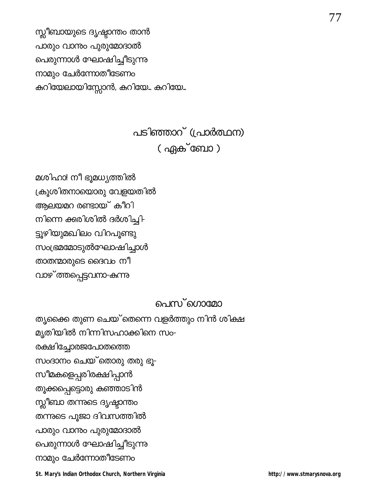സ്ലീബായുടെ ദൃഷ്ടാന്തം താൻ പാരും വാന്നം പുരുമോദാൽ പെരുന്നാൾ ഘോഷിച്ചീടുന്നു നാമും ചേർന്നോതീടേണം കുറിയേലായിസ്സോൻ, കുറിയേ… കുറിയേ…

# പടിഞ്ഞാറ് (പ്രാർത്ഥന) ( ഏക്ബോ )

മശിഹാ! നീ ഭൂമധ്യത്തിൽ ക്രൂശിതനായൊരു വേളയതിൽ ആലയമറ രണ്ടായ് കീറി നിന്നെ ക്കുരിശിൽ ദർശിച്ചി-ട്ടൂഴിയുമഖിലം വിറപുണ്ടു സംഭ്രമമോടുൽഘോഷിച്ചാൾ താതന്മാരുടെ ദൈവം നീ വാഴ**്ത്തപ്പെട്ടവനാ-കന്നു** 

### പെസ**്**ഗൊമോ

തൃക്കൈ തുണ ചെയ്ക്തന്നെ വളർത്തും നിൻ ശിക്ഷ മൃതിയിൽ നിന്നിസഹാക്കിനെ സം-രക്ഷിച്ചോരജപോതത്തെ സംദാനം ചെയ്തൊരു തരു ഭൂ-സീമകളെപ്പരിരക്ഷിപ്പാൻ തൂക്കപ്പെട്ടൊരു കഞ്ഞാടിൻ സ്സീബാ തന്നുടെ ദൃഷ്ടാന്തം തന്നുടെ പൂജാ ദിവസത്തിൽ പാരും വാന്നം പുരുമോദാൽ പെരുന്നാൾ ഘോഷിച്ചീടുന്നു നാമും ചേർന്നോതീടേണം

St. Mary's Indian Orthodox Church, Northern Virginia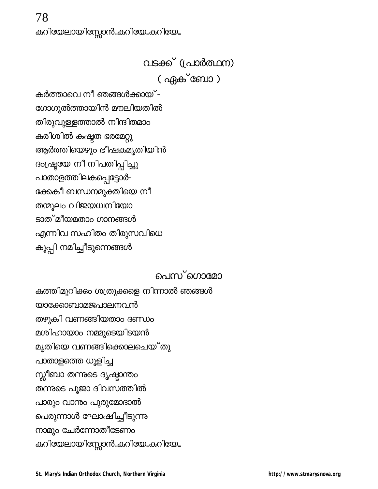# വടക്ക് (പ്രാർത്ഥന) ( ഏക് ബോ )

കർത്താവെ നീ ഞങ്ങൾക്കായ് -ഗോഗുൽത്തായിൻ മൗലിയതിൽ തിരുവുള്ളത്താൽ നിന്ദിതമാം കരിശിൽ കഷ്ടത ഭരമേറ്റു ആർത്തിയെഴും ഭീഷകമൃതിയിൻ ദംഷ്ട്രയ നീ നിപതിപ്പിച്ചു പാതാളത്തിലകപ്പെട്ടോർ-ക്കേകീ ബന്ധനമുക്തിയെ നീ തന്മൂലം വിജയധനിയോ ടാത് മീയമതാം ഗാനങ്ങൾ എന്നിവ സഹിതം തിരുസവിധെ കൂപ്പി നമിച്ചീടുന്നെങ്ങൾ

### പെസ് ഗൊമ<u>ോ</u>

കത്തിമുറിക്കം ശത്രുക്കളെ നിന്നാൽ ഞങ്ങൾ യാക്കോബാമജപാലനവൻ തഴുകി വണങ്ങിയതാം ദണ്ഡം മശിഹായാം നമ്മുടെയിടയൻ മൃതിയെ വണങ്ങിക്കൊലചെയ്തു പാതാളത്തെ ധൂളിച്ച സ്സീബാ തന്നുടെ ദൃഷ്ടാന്തം തന്നുടെ പൂജാ ദിവസത്തിൽ പാരും വാന്നം പുരുമോദാൽ പെരുന്നാൾ ഘോഷിച്ചീടുന്നു നാമും ചേർന്നോതീടേണം കുറിയേലായിസ്സോൻ..കുറിയേ..കുറിയേ..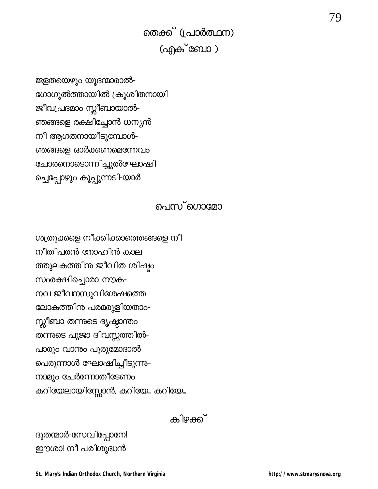തെക്ക് (പ്രാർത്ഥന) (എക്ബോ )

ജളതയെഴും യൂദന്മാരാൽ-ഗോഗുൽത്തായിൽ ക്രൂശിതനായി ജീവപ്രദമാം സ്സീബായാൽ-ഞങ്ങളെ രക്ഷിച്ചോൻ ധന്യൻ നീ ആഗതനായീടുമ്പോൾ-ഞങ്ങളെ ഓർക്കണമെന്നേവം ചോരനൊടൊന്നിച്ചുൽഘോഷി-ച്ചെപ്പോഴും കൂപ്പുന്നടി-യാർ

#### പെസ**്**ഗൊമോ

ശത്രുക്കളെ നീക്കിക്കാത്തെങ്ങളെ നീ നീതിപരൻ നോഹിൻ കാല-ത്തുലകത്തിനു ജീവിത ശിഷ്ടം സംരക്ഷിച്ചൊരാ നൗക-നവ ജീവനസുവിശേഷത്തെ ലോകത്തിന പരമരുളിയതാം-സ്സീബാ തന്നുടെ ദൃഷ്ടാന്തം തന്നുടെ പൂജാ ദിവസ്സത്തിൽ-പാരും വാന്നം പുരുമോദാൽ പെരുന്നാൾ ഘോഷിച്ചീടുന്നു-നാമും ചേർന്നോതീടേണം കുറിയേലായിസ്സോൻ, കുറിയേ… കുറിയേ…

കിഴക്ക്

ദൂതന്മാർ-സേവിപ്പോനേ! ഈശാ! നീ പരിശുദ്ധൻ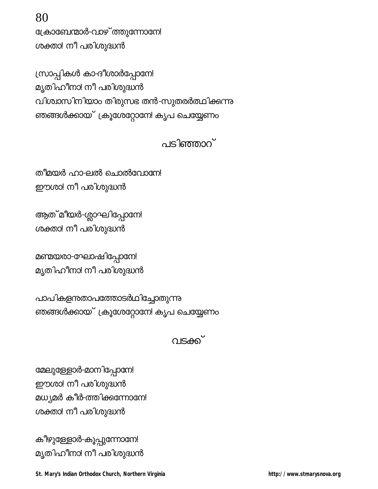**St. Mary's Indian Orthodox Church, Northern Virginia http://www.stmarysnova.org**

കീഴുള്ളോർ-കൂപ്പുന്നോനേ! മൃതിഹീനാ! നീ പരിശുദ്ധൻ

ശക്താ! നീ പരിശുദ്ധൻ

മേലുള്ളോർ-മാനിപ്പോനേ! ഈശാ! നീ പരിശുദ്ധൻ മധ്യമർ കീർ-ത്തിക്കുന്നോനേ!

വടക്ക്

പാപികളനതാപത്തോടർഥിച്ചോതുന്നു ഞങ്ങൾക്കായ് ക്രൂശേറ്റോനേ! കൃപ ചെയ്യേണ<del>ം</del>

മണ്മയരാ-ഘോഷിപ്പോനേ!

മൃതിഹീനാ! നീ പരിശുദ്ധൻ

ആത് മീയർ-ശ്ലാഘിപ്പോനേ! ശക്താ! നീ പരിശുദ്ധൻ

തീമയർ ഹാ-ലൽ ചൊൽവോനിേ ഈശാ! നീ പരിശുദ്ധൻ

പടിഞ്ഞാറ്

(സാപ്പികൾ കാ-ദീശാർപ്പോനേ! മൃതിഹീനാ! നീ പരിശുദ്ധൻ വിശ്വാസിനിയാം തിരുസഭ തൻ-സുതരർത്ഥിക്കന്നു ഞങ്ങൾക്കായ് ക്രൂശേറ്റോനേ! കൃപ ചെയ്യേണ<mark>ം</mark>

ക്രോബേന്മാർ-വാഴ് ത്തുന്നോനേ! ശക്താ! നീ പരിശുദ്ധൻ

80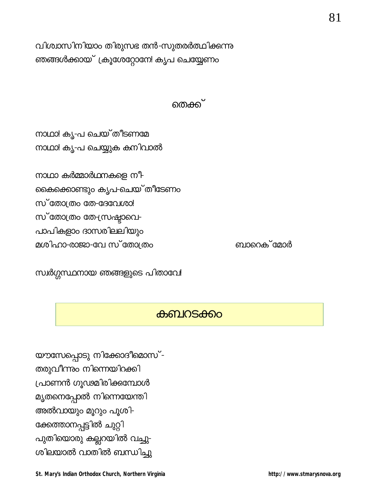യൗസേപ്പൊടു നിക്കോദീമൊസ്-തരുവീന്നും നിന്നെയിറക്കി പ്രാണൻ ഗൂഢമിരിക്കമ്പോൾ മൃതനെപ്പോൽ നിന്നെയേന്തി അൽവായും മൂറും പൂശി-ക്കേത്താനപ്പട്ടിൽ ചുറ്റി പുതിയൊരു കല്ലറയിൽ വച്ചു-ശിലയാൽ വാതിൽ ബന്ധിച്ചു

### കബറടക്കം

സ്വർഗ്ഗസ്ഥനായ ഞങ്ങളുടെ പിതാവേ!

നാഥാ കർമ്മാർഥനകളെ നീ-കൈക്കൊണ്ടും കൃപ-ചെയ്`തീടേണം സ്തോത്രം തേ-ദേവേശാ! സ് തോത്രം തേ-സ്രഷ്ടാവെ-പാപികളാം ദാസരിലലിയും മശിഹാ-രാജാ-വേ സ്തോത്രം

നാഥാ! കൃ-പ ചെയ് തീടണമേ നാഥാ! കൃ-പ ചെയ്യുക കനിവാൽ

#### തെക്ക്

വിശ്വാസിനിയാം തിരുസഭ തൻ-സുതരർത്ഥിക്കന്നു ഞങ്ങൾക്കായ് ക്രൂശേറ്റോനേ! കൃപ ചെയ്യേണം

81

http://www.stmarysnova.org

ബാറെക് മോർ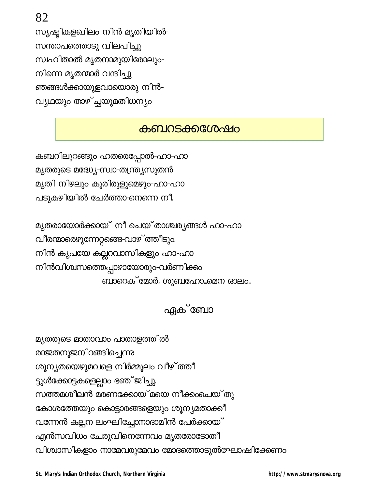82

സൃഷ്ടികളഖിലം നിൻ മൃതിയിൽ-സന്താപത്തൊടു വിലപിച്ചു സ്വഹിതാൽ മൃതനാമുയിരോലും-നിന്നെ മൃതന്മാർ വന്ദിച്ചു ഞങ്ങൾക്കായുളവായൊരു നിൻ-വ്യഥയും താഴ്ച്ചയുമതിധന്യം

### **കബറടക്കഗ്രേഷം**

കബറിലുറങ്ങും ഹതരെപ്പോൽ-ഹാ-ഹാ മൃതരുടെ മദ്ധ്യേ-സ്വാ-തന്ത്ര്യസുതൻ മൃതി നിഴലും കൂരിരുളുമെഴും-ഹാ-ഹാ പടുകഴിയിൽ ചേർത്താ-നെന്നെ നീ

മൃതരായോർക്കായ് നീ ചെയ്താശ്ചരൃങ്ങൾ ഹാ-ഹാ വീരന്മാരെഴുന്നേറ്റങ്ങെ-വാഴ് ത്തീടും. നിൻ കൃപയേ കല്ലറവാസികളും ഹാ-ഹാ നിൻവിശ്വസത്തെപ്പാഴായോരും-വർണിക്കം ബാറെക്്മോർ, ശുബഹോ...മെന ഓലം..

## ഏക് ബോ

മൃതരുടെ മാതാവാം പാതാളത്തിൽ രാജരനൂജനിറങ്ങിച്ചെന്നു ശൂന്യതയെഴുമവളെ നിർമ്മൂലം വീഴ് ത്തീ ട്ടുൾക്കോട്ടകളെല്ലാം ഭഞ് ജിച്ചു. സത്തമശീലൻ മരണക്കോയ് മയെ നീക്കംചെയ്തു കോശത്തേയും കൊട്ടാരങ്ങളെയും ശൂന്യമതാക്കീ വന്നേൻ കല്പന ലംഘിച്ചോനാദാമിൻ പേർക്കായ് എൻസവിധം ചേരുവിനെന്നേവം മൃതരോടോതീ വിശ്വാസികളാം നാമേവരുമേവം മോദത്തൊടുൽഘോഷിക്കേണം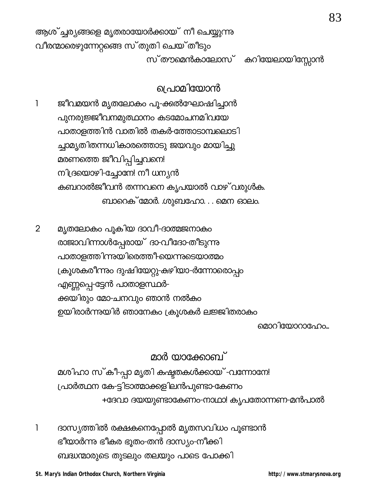പ്രാമിയോൻ

ജീവമയൻ മൃതലോകം പൂ-ക്കൽഘോഷിച്ചാൻ 1 പുനരുജ്ജീവനമുത്ഥാനം കടമോചനമിവയേ പാതാളത്തിൻ വാതിൽ തകർ-ത്തോടാമ്പലൊടി ച്ചാമൃതിതന്നധികാരത്തൊടു ജയവും മായിച്ചു മരണത്തെ ജീവിപ്പിച്ചവനെ! നിദ്രയൊഴി-ച്ചോനേ! നീ ധന്യൻ കബറാൽജീവൻ തന്നവനെ കൃപയാൽ വാഴ് വരുൾക. ബാറെക് മോർ. ശുബഹോ. . . മെന ഓലം.

മൃതലോകം പൂകിയ ദാവീ-ദാത്മജനാകം  $\overline{2}$ രാജാവിന്നാൾപ്പേരായ് ദാ-വീദോ-തീടുന്നു പാതാളത്തിന്നുയിരെത്തീ-യെന്നുടെയാത്മം ക്രൂശകരീന്നും ദുഷിയേറ്റു-കഴിയാ-ർന്നോരൊപ്പം എണ്ണപ്പെ-ട്ടേൻ പാതാളസ്ഥർ-ക്കയിരും മോ-ചനവും ഞാൻ നൽകം ഉയിരാർന്നുയിർ ഞാനേകം ക്രൂശകർ ലജ്ജിതരാകം

മൊറിയോറാഹേം...

83

മാർ യാക്കോബ്

മശിഹാ സ്കീ-പ്പാ മൃതി കഷ്ടതകൾക്കായ് -വന്നോനേ! പ്രാർത്ഥന കേ-ട്ടിടാത്മാക്കളിലൻപുണ്ടാ-കേണം +ദേവാ ദയയുണ്ടാകേണം-നാഥാ! കൃപതോന്നണ-മൻപാൽ

1 ദാസ്യത്തിൽ രക്ഷകനെപ്പോൽ മൃതസവിധം പൂണ്ടാൻ ഭീയാർന്നു ഭീകര ഭൂതം-തൻ ദാസ്യം-നീക്കി ബദ്ധന്മാരുടെ തുടലും തലയും പാടെ പോക്കി

St. Mary's Indian Orthodox Church, Northern Virginia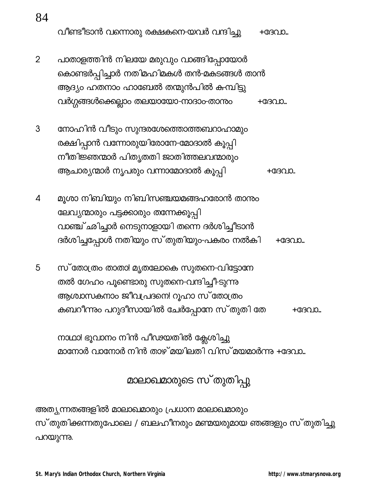വീണ്ടീടാൻ വന്നൊരു രക്ഷകനെ-യവർ വന്ദിച്ചു +ദേവാ...

- $\overline{2}$ പാതാളത്തിൻ നിലയേ മരുവും വാങ്ങിപ്പോയോർ കൊണ്ടർപ്പിച്ചാർ നതിമഹിമകൾ തൻ-മകടങ്ങൾ താൻ ആദ്യം ഹതനാം ഹാബേൽ തന്മുൻപിൽ കമ്പിട്ടു വർഗ്ഗങ്ങൾക്കെല്ലാം തലയായോ-നാദാം-താന്നം  $+$ G $\beta$  $\Omega$ D.
- നോഹിൻ വീടും സുന്ദരശേത്തൊത്തബറാഹാമും 3 രക്ഷിപ്പാൻ വന്നോരുയിരോനേ-മോദാൽ കൂപ്പി നീതിജ്ഞന്മാർ പിതൃതതി ജാതിത്തലവന്മാരും ആചാര്യന്മാർ നൃപരും വന്നാമോദാൽ കൂപ്പി  $+$ GGO IO.
- മൂശാ നിബിയും നിബിസഞ്ചയമങ്ങഹരോൻ താന്നം  $\boldsymbol{\mathcal{A}}$ ലേവ്യന്മാരും പട്ടക്കാരും തന്നേക്കൂപ്പി വാഞ്ച്ഛിച്ചാർ നെടുനാളായി തന്നെ ദർശിച്ചീടാൻ ദർശിച്ചപ്പോൾ നതിയും സ്തുതിയും-പകരം നൽകി  $+$ G $\beta$  $\Omega$ D.
- 5 സ് തോത്രം താതാ! മൃതലോകെ സുതനെ-വിട്ടോനേ തൽ ഗേഹം പൂണ്ടൊരു സുതനെ-വന്ദിച്ചീ-ടുന്നു ആശ്വാസകനാം ജീവപ്രദനെ! റൂഹാ സ് തോത്രം കബറീന്നും പറുദീസായിൽ ചേർപ്പോനേ സ്തുതി തേ  $+$ G $\beta$ QJ $\Omega$ ...

നാഥാ! ഭൂവാനം നിൻ പീഢയതിൽ ക്ലേശിച്ചു മാനോർ വാനോർ നിൻ താഴ്മയിലതി വിസ്മയമാർന്നു +ദേവാ...

മാലാഖമാരുടെ സ്തുതിപ്പു

അത്യുന്നതങ്ങളിൽ മാലാഖമാരും പ്രധാന മാലാഖമാരും സ്തുതിക്കന്നതുപോലെ / ബലഹീനരും മണ്മയരുമായ ഞങ്ങളും സ്തുതിച്ചു പറയുന്നു.

84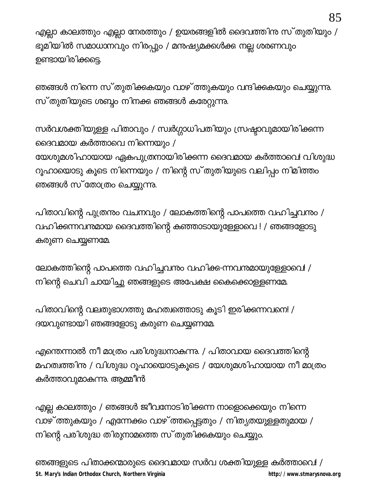എല്ലാ കാലത്തും എല്ലാ നേരത്തും / ഉയരങ്ങളിൽ ദൈവത്തിന സ്തുതിയും / ഭൂമിയിൽ സമാധാനവും നിരപ്പും / മനുഷ്യമക്കൾക്കു നല്ല ശരണവും ഉണ്ടായിരിക്കട്ടെ.

ഞങ്ങൾ നിന്നെ സ്തുതിക്കുകയും വാഴ് ത്തുകയും വന്ദിക്കുകയും ചെയ്യുന്നു. സ്തുതിയുടെ ശബ്ദം നിനക്ക ഞങ്ങൾ കരേറ്റുന്നു.

സർവശക്തിയുള്ള പിതാവും / സ്വർഗ്ഗാധിപതിയും സ്രഷ്ടാവുമായിരിക്കന്ന ദൈവമായ കർത്താവെ നിന്നെയും / യേശുമശിഹായായ ഏകപുത്രനായിരിക്കന്ന ദൈവമായ കർത്താവെ! വിശുദ്ധ റൂഹായൊടു കൂടെ നിന്നെയും / നിന്റെ സ്തുതിയുടെ വലിപ്പം നിമിത്തം ഞങ്ങൾ സ്തോത്രം ചെയ്യുന്നു.

പിതാവിന്റെ പുത്രനും വചനവും / ലോകത്തിന്റെ പാപത്തെ വഹിച്ചവനും / വഹിക്കന്നവനമായ ദൈവത്തിന്റെ കഞ്ഞാടായുള്ളോവെ ! / ഞങ്ങളോടു കരുണ ചെയ്യണമേ.

ലോകത്തിന്റെ പാപത്തെ വഹിച്ചവന്തം വഹിക്ക-ന്നവനമായുള്ളോവെ! / നിന്റെ ചെവി ചായിച്ചു ഞങ്ങളുടെ അപേക്ഷ കൈക്കൊള്ളണമേ.

പിതാവിന്റെ വലതുഭാഗത്തു മഹത്വത്തൊടു കൂടി ഇരിക്കന്നവനെ! / ദയവുണ്ടായി ഞങ്ങളോടു കരുണ ചെയ്യണമേ.

എന്തെന്നാൽ നീ മാത്രം പരിശുദ്ധനാകുന്നു. / പിതാവായ ദൈവത്തിന്റെ മഹത്വത്തിനു / വിശുദ്ധ റൂഹായൊടുകൂടെ / യേശുമശിഹായായ നീ മാത്രം കർത്താവുമാകന്നു. ആമ്മീൻ

എല്ല കാലത്തും / ഞങ്ങൾ ജീവനോടിരിക്കന്ന നാളൊക്കെയും നിന്നെ വാഴ് ത്തുകയും / എന്നേക്കം വാഴ് ത്തപ്പെട്ടതും / നിത്യതയുള്ളതുമായ / നിന്റെ പരിശുദ്ധ തിരുനാമത്തെ സ്തുതിക്കുകയും ചെയ്യും.

ഞങ്ങളുടെ പിതാക്കന്മാരുടെ ദൈവമായ സർവ ശക്തിയുള്ള കർത്താവെ! / St. Mary's Indian Orthodox Church, Northern Virginia http://www.stmarysnova.org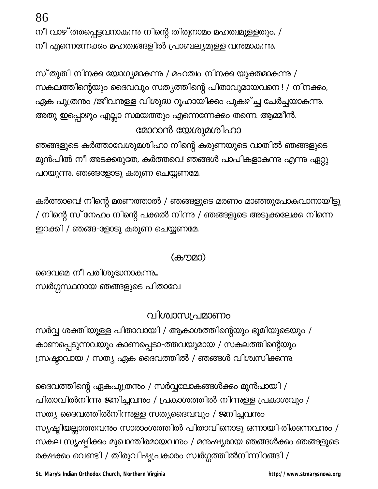86

നീ വാഴ് ത്തപ്പെട്ടവനാകുന്നു നിന്റെ തിരുനാമം മഹത്ഥുള്ളതും, / നീ എന്നെന്നേക്കം മഹത്വങ്ങളിൽ പ്രാബല്യമുള്ള-വന്തമാകുന്നു.

സ്തുതി നിനക്ക യോഗ്യമാകുന്നു / മഹത്വം നിനക്കു യുക്തമാകുന്നു / സകലത്തിന്റെയും ദൈവവും സത്യത്തിന്റെ പിതാവുമായവനെ ! / നിനക്കം, ഏക പുത്രന്തം /ജീവനുള്ള വിശുദ്ധ റൂഹായിക്കം പുകഴ്ച്ച ചേർച്ചയാകുന്നു. അതു ഇപ്പൊഴും എല്ലാ സമയത്തും എന്നെന്നേക്കം തന്നെ. ആമ്മീൻ. മോറാൻ യേശുമശിഹാ

ഞങ്ങളുടെ കർത്താവേശുമശിഹാ നിന്റെ കരുണയുടെ വാതിൽ ഞങ്ങളുടെ മുൻപിൽ നീ അടക്കരുതേ, കർത്തവെ! ഞങ്ങൾ പാപികളാകന്നു എന്നു ഏറ്റു പറയുന്നു, ഞങ്ങളോടു കരുണ ചെയ്യണമേ.

കർത്താവെ! നിന്റെ മരണത്താൽ / ഞങ്ങളുടെ മരണം മാഞ്ഞുപോകുവാനായിട്ടു / നിന്റെ സ്നേഹം നിന്റെ പക്കൽ നിന്നു / ഞങ്ങളുടെ അടുക്കലേക്കു നിന്നെ ഇറക്കി / ഞങ്ങ-ളോടു കരുണ ചെയ്യണമേ.

(കൗമാ)

ദൈവമെ നീ പരിശുദ്ധനാകുന്നു... സ്വർഗ്ഗസ്ഥനായ ഞങ്ങളുടെ പിതാവേ

### വിശ്വാസപ്രമാണം

സർവ്വ ശക്തിയുള്ള പിതാവായി / ആകാശത്തിന്റെയും ഭൂമിയുടെയും / കാണപ്പെടുന്നവയും കാണപ്പെടാ-ത്തവയുമായ / സകലത്തിന്റെയും ന്ധ്രഷ്ടാവായ / സത്യ ഏക ദൈവത്തിൽ / ഞങ്ങൾ വിശ്വസിക്കന്നു.

ദൈവത്തിന്റെ ഏകപുത്രന്തം / സർവ്വലോകങ്ങൾക്കം മുൻപായി / പിതാവിൽനിന്നു ജനിച്ചവനും / പ്രകാശത്തിൽ നിന്നുള്ള പ്രകാശവും / സത്യ ദൈവത്തിൽനിന്നുള്ള സത്യദൈവവും / ജനിച്ചവന്നും സൃഷ്ടിയല്ലാത്തവനും സാരാംശത്തിൽ പിതാവിനൊടു ഒന്നായി-രിക്കന്നവനും / സകല സൃഷ്ടിക്കം മുഖാന്തിരമായവന്നും / മനുഷ്യരായ ഞങ്ങൾക്കും ഞങ്ങളുടെ രക്ഷക്കം വെണ്ടി / തിരുവിഷ്ട്യപ്രകാരം സ്വർഗ്ഗത്തിൽനിന്നിറങ്ങി /

St. Mary's Indian Orthodox Church, Northern Virginia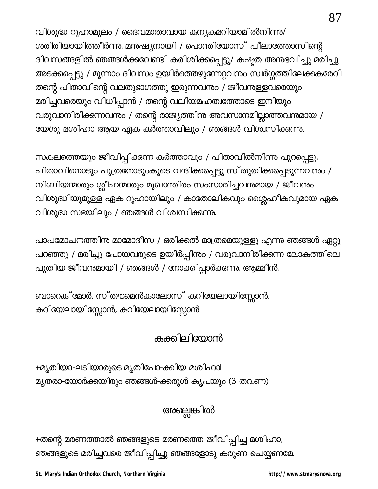വിശുദ്ധ റൂഹാമൂലം / ദൈവമാതാവായ കന്യകമറിയാമിൽനിന്നു/ ശരീരിയായിത്തീർന്നു. മനുഷ്യനായി / പൊന്തിയോസ് പീലാത്തോസിന്റെ ദിവസങ്ങളിൽ ഞങ്ങൾക്കവേണ്ടി കരിശിക്കപ്പെട്ടു/ കഷ്ടത അന്നഭവിച്ചു മരിച്ചു അടക്കപ്പെട്ടു / മൂന്നാം ദിവസം ഉയിർത്തെഴുന്നേറ്റവനും സ്വർഗ്ഗത്തിലേക്കുകരേറി തന്റെ പിതാവിന്റെ വലതുഭാഗത്തു ഇരുന്നവന്നം / ജീവനുളളവരെയും മരിച്ചവരെയും വിധിപ്പാൻ / തന്റെ വലിയമഹത്വത്തോടെ ഇനിയും വരുവാനിരിക്കുന്നവനും / തന്റെ രാജ്യത്തിനു അവസാനമില്ലാത്തവനുമായ / യേശു മശിഹാ ആയ ഏക കർത്താവിലും / ഞങ്ങൾ വിശ്വസിക്കന്നു,

സകലത്തെയും ജീവിപ്പിക്കന്ന കർത്താവും / പിതാവിൽനിന്നു പുറപ്പെട്ടു, പിതാവിനൊടും പുത്രനോടുംകൂടെ വന്ദിക്കപ്പെട്ടു സ്തുതിക്കപ്പെടുന്നവനും / നിബിയന്മാരും ശ്ലീഹന്മാരും മുഖാന്തിരം സംസാരിച്ചവന്മായ / ജീവനും വിശുദ്ധിയുമുള്ള ഏക റൂഹായിലും / കാതോലികവും ശ്ലൈഹീകവുമായ ഏക വിശുദ്ധ സഭയിലും / ഞങ്ങൾ വിശ്വസിക്കന്നു.

പാപമോചനത്തിന മാമോദീസ / ഒരിക്കൽ മാത്രമെയുള്ളു എന്നു ഞങ്ങൾ ഏറ്റു പറഞ്ഞു / മരിച്ചു പോയവരുടെ ഉയിർപ്പിന്നു / വരുവാനിരിക്കന്ന ലോകത്തിലെ പുതിയ ജീവന്തമായി / ഞങ്ങൾ / നോക്കിപ്പാർക്കന്നു. ആമ്മീൻ.

ബാറെക് മോർ, സ്തൗമെൻകാലോസ് കറിയേലായിസ്സോൻ, കുറിയേലായിസ്സോൻ, കുറിയേലായിസ്സോൻ

## കക്കിലിയോൻ

+മൃതിയാ-ലടിയാരുടെ മൃതിപോ-ക്കിയ മശിഹാ! മൃതരാ-യോർക്കയിരും ഞങ്ങൾ-ക്കരുൾ കൃപയും (3 തവണ)

# അല്ലെങ്കിൽ

+തന്റെ മരണത്താൽ ഞങ്ങളുടെ മരണത്തെ ജീവിപ്പിച്ച മശിഹാ, ഞങ്ങളുടെ മരിച്ചവരെ ജീവിപ്പിച്ചു ഞങ്ങളോടു കരുണ ചെയ്യണമേ

St. Mary's Indian Orthodox Church, Northern Virginia